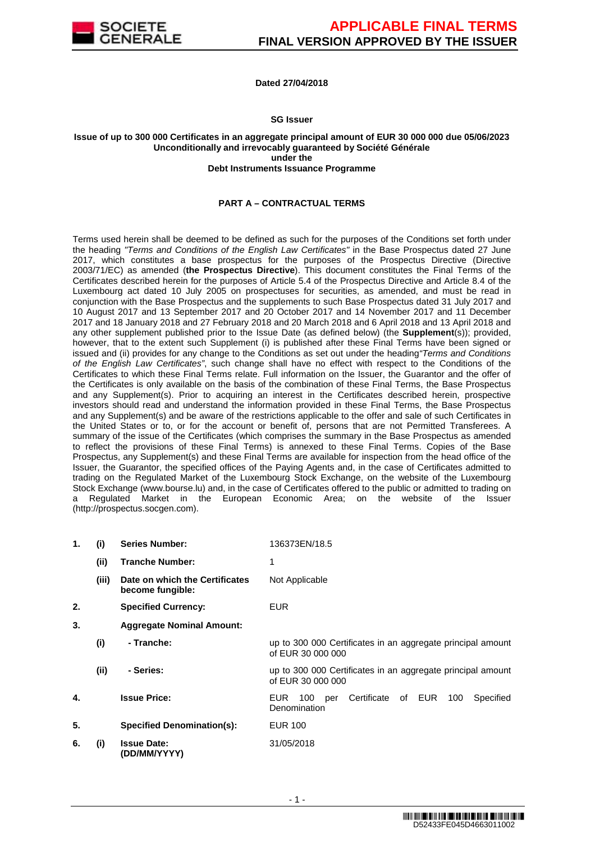

### **Dated 27/04/2018**

### **SG Issuer**

#### **Issue of up to 300 000 Certificates in an aggregate principal amount of EUR 30 000 000 due 05/06/2023 Unconditionally and irrevocably guaranteed by Société Générale under the Debt Instruments Issuance Programme**

### **PART A – CONTRACTUAL TERMS**

Terms used herein shall be deemed to be defined as such for the purposes of the Conditions set forth under the heading "Terms and Conditions of the English Law Certificates" in the Base Prospectus dated 27 June 2017, which constitutes a base prospectus for the purposes of the Prospectus Directive (Directive 2003/71/EC) as amended (**the Prospectus Directive**). This document constitutes the Final Terms of the Certificates described herein for the purposes of Article 5.4 of the Prospectus Directive and Article 8.4 of the Luxembourg act dated 10 July 2005 on prospectuses for securities, as amended, and must be read in conjunction with the Base Prospectus and the supplements to such Base Prospectus dated 31 July 2017 and 10 August 2017 and 13 September 2017 and 20 October 2017 and 14 November 2017 and 11 December 2017 and 18 January 2018 and 27 February 2018 and 20 March 2018 and 6 April 2018 and 13 April 2018 and any other supplement published prior to the Issue Date (as defined below) (the **Supplement**(s)); provided, however, that to the extent such Supplement (i) is published after these Final Terms have been signed or issued and (ii) provides for any change to the Conditions as set out under the heading"Terms and Conditions of the English Law Certificates", such change shall have no effect with respect to the Conditions of the Certificates to which these Final Terms relate. Full information on the Issuer, the Guarantor and the offer of the Certificates is only available on the basis of the combination of these Final Terms, the Base Prospectus and any Supplement(s). Prior to acquiring an interest in the Certificates described herein, prospective investors should read and understand the information provided in these Final Terms, the Base Prospectus and any Supplement(s) and be aware of the restrictions applicable to the offer and sale of such Certificates in the United States or to, or for the account or benefit of, persons that are not Permitted Transferees. A summary of the issue of the Certificates (which comprises the summary in the Base Prospectus as amended to reflect the provisions of these Final Terms) is annexed to these Final Terms. Copies of the Base Prospectus, any Supplement(s) and these Final Terms are available for inspection from the head office of the Issuer, the Guarantor, the specified offices of the Paying Agents and, in the case of Certificates admitted to trading on the Regulated Market of the Luxembourg Stock Exchange, on the website of the Luxembourg Stock Exchange (www.bourse.lu) and, in the case of Certificates offered to the public or admitted to trading on a Regulated Market in the European Economic Area; on the website of the Issuer (http://prospectus.socgen.com).

| 1. | (i)   | <b>Series Number:</b>                              | 136373EN/18.5                                                                    |
|----|-------|----------------------------------------------------|----------------------------------------------------------------------------------|
|    | (ii)  | <b>Tranche Number:</b>                             | 1                                                                                |
|    | (iii) | Date on which the Certificates<br>become fungible: | Not Applicable                                                                   |
| 2. |       | <b>Specified Currency:</b>                         | EUR.                                                                             |
| 3. |       | <b>Aggregate Nominal Amount:</b>                   |                                                                                  |
|    | (i)   | - Tranche:                                         | up to 300 000 Certificates in an aggregate principal amount<br>of EUR 30 000 000 |
|    | (i)   | - Series:                                          | up to 300 000 Certificates in an aggregate principal amount<br>of EUR 30 000 000 |
| 4. |       | <b>Issue Price:</b>                                | Certificate<br>of EUR<br>100<br>Specified<br>EUR.<br>100<br>per<br>Denomination  |
| 5. |       | <b>Specified Denomination(s):</b>                  | <b>EUR 100</b>                                                                   |
| 6. | (i)   | <b>Issue Date:</b><br>(DD/MM/YYYY)                 | 31/05/2018                                                                       |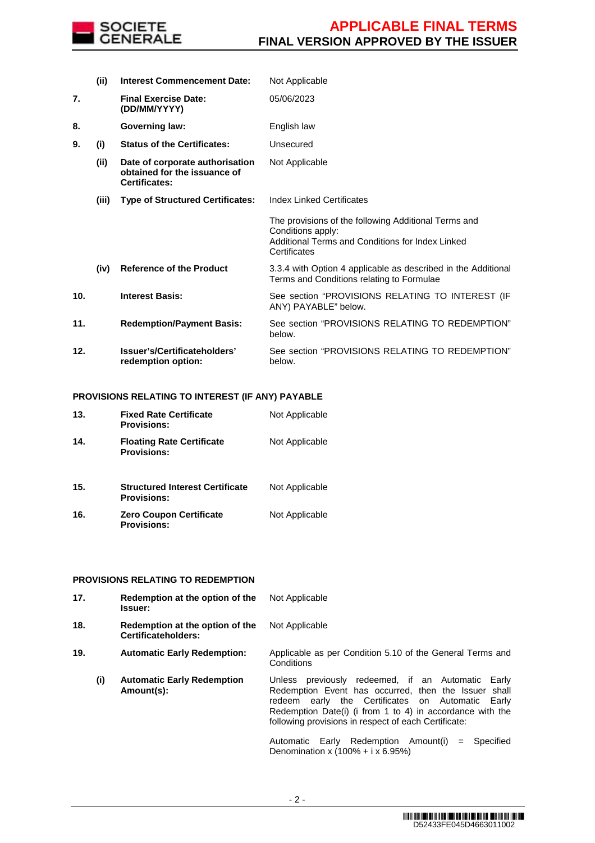

|     | (ii)  | <b>Interest Commencement Date:</b>                                                      | Not Applicable                                                                                                                                |
|-----|-------|-----------------------------------------------------------------------------------------|-----------------------------------------------------------------------------------------------------------------------------------------------|
| 7.  |       | <b>Final Exercise Date:</b><br>(DD/MM/YYYY)                                             | 05/06/2023                                                                                                                                    |
| 8.  |       | <b>Governing law:</b>                                                                   | English law                                                                                                                                   |
| 9.  | (i)   | <b>Status of the Certificates:</b>                                                      | Unsecured                                                                                                                                     |
|     | (ii)  | Date of corporate authorisation<br>obtained for the issuance of<br><b>Certificates:</b> | Not Applicable                                                                                                                                |
|     | (iii) | <b>Type of Structured Certificates:</b>                                                 | <b>Index Linked Certificates</b>                                                                                                              |
|     |       |                                                                                         | The provisions of the following Additional Terms and<br>Conditions apply:<br>Additional Terms and Conditions for Index Linked<br>Certificates |
|     | (iv)  | <b>Reference of the Product</b>                                                         | 3.3.4 with Option 4 applicable as described in the Additional<br>Terms and Conditions relating to Formulae                                    |
| 10. |       | <b>Interest Basis:</b>                                                                  | See section "PROVISIONS RELATING TO INTEREST (IF<br>ANY) PAYABLE" below.                                                                      |
| 11. |       | <b>Redemption/Payment Basis:</b>                                                        | See section "PROVISIONS RELATING TO REDEMPTION"<br>below.                                                                                     |
| 12. |       | Issuer's/Certificateholders'<br>redemption option:                                      | See section "PROVISIONS RELATING TO REDEMPTION"<br>below.                                                                                     |

### **PROVISIONS RELATING TO INTEREST (IF ANY) PAYABLE**

| 13. | <b>Fixed Rate Certificate</b><br><b>Provisions:</b>          | Not Applicable |
|-----|--------------------------------------------------------------|----------------|
| 14. | <b>Floating Rate Certificate</b><br><b>Provisions:</b>       | Not Applicable |
| 15. | <b>Structured Interest Certificate</b><br><b>Provisions:</b> | Not Applicable |
| 16. | <b>Zero Coupon Certificate</b><br><b>Provisions:</b>         | Not Applicable |

### **PROVISIONS RELATING TO REDEMPTION**

| 17. |                                                  | Redemption at the option of the<br><b>Issuer:</b>      | Not Applicable                                                                                                                                                                                                                                                                                                                                    |  |  |
|-----|--------------------------------------------------|--------------------------------------------------------|---------------------------------------------------------------------------------------------------------------------------------------------------------------------------------------------------------------------------------------------------------------------------------------------------------------------------------------------------|--|--|
| 18. |                                                  | Redemption at the option of the<br>Certificateholders: | Not Applicable                                                                                                                                                                                                                                                                                                                                    |  |  |
| 19. | <b>Automatic Early Redemption:</b><br>Conditions |                                                        | Applicable as per Condition 5.10 of the General Terms and                                                                                                                                                                                                                                                                                         |  |  |
|     | (i)                                              | <b>Automatic Early Redemption</b><br>Amount(s):        | Unless previously redeemed, if an Automatic Early<br>Redemption Event has occurred, then the Issuer shall<br>redeem early the Certificates on Automatic<br>Earlv<br>Redemption Date(i) (i from 1 to 4) in accordance with the<br>following provisions in respect of each Certificate:<br>Automatic Early Redemption Amount(i)<br>Specified<br>$=$ |  |  |
|     |                                                  |                                                        | Denomination x $(100\% + i \times 6.95\%)$                                                                                                                                                                                                                                                                                                        |  |  |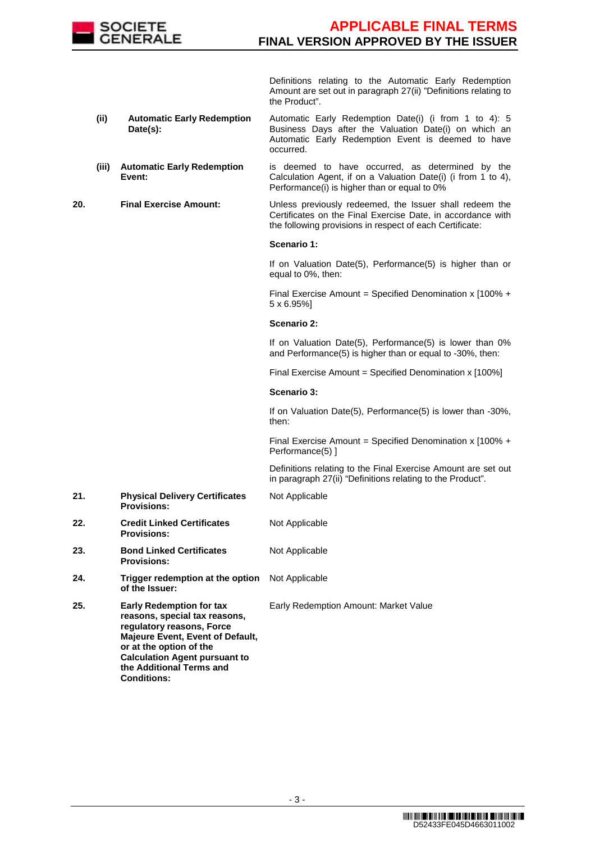

 Definitions relating to the Automatic Early Redemption Amount are set out in paragraph 27(ii) "Definitions relating to the Product".

- **(ii) Automatic Early Redemption Date(s):** Automatic Early Redemption Date(i) (i from 1 to 4): 5 Business Days after the Valuation Date(i) on which an Automatic Early Redemption Event is deemed to have occurred.
- **(iii) Automatic Early Redemption Event:** is deemed to have occurred, as determined by the Calculation Agent, if on a Valuation Date(i) (i from 1 to 4), Performance(i) is higher than or equal to 0%

**20. Final Exercise Amount:** Unless previously redeemed, the Issuer shall redeem the Certificates on the Final Exercise Date, in accordance with the following provisions in respect of each Certificate:

### **Scenario 1:**

If on Valuation Date(5), Performance(5) is higher than or equal to 0%, then:

Final Exercise Amount = Specified Denomination x  $1100\% +$ 5 x 6.95%]

### **Scenario 2:**

If on Valuation Date(5), Performance(5) is lower than 0% and Performance(5) is higher than or equal to -30%, then:

Final Exercise Amount = Specified Denomination x [100%]

### **Scenario 3:**

If on Valuation Date(5), Performance(5) is lower than -30%, then:

Final Exercise Amount = Specified Denomination x  $[100\% +$ Performance(5) ]

 Definitions relating to the Final Exercise Amount are set out in paragraph 27(ii) "Definitions relating to the Product".

- **21. Physical Delivery Certificates Provisions:** Not Applicable
- **22. Credit Linked Certificates Provisions:** Not Applicable
- **23. Bond Linked Certificates Provisions:** Not Applicable
- **24. Trigger redemption at the option of the Issuer:** Not Applicable
	- Early Redemption Amount: Market Value
- **25. Early Redemption for tax reasons, special tax reasons, regulatory reasons, Force Majeure Event, Event of Default, or at the option of the Calculation Agent pursuant to the Additional Terms and Conditions:**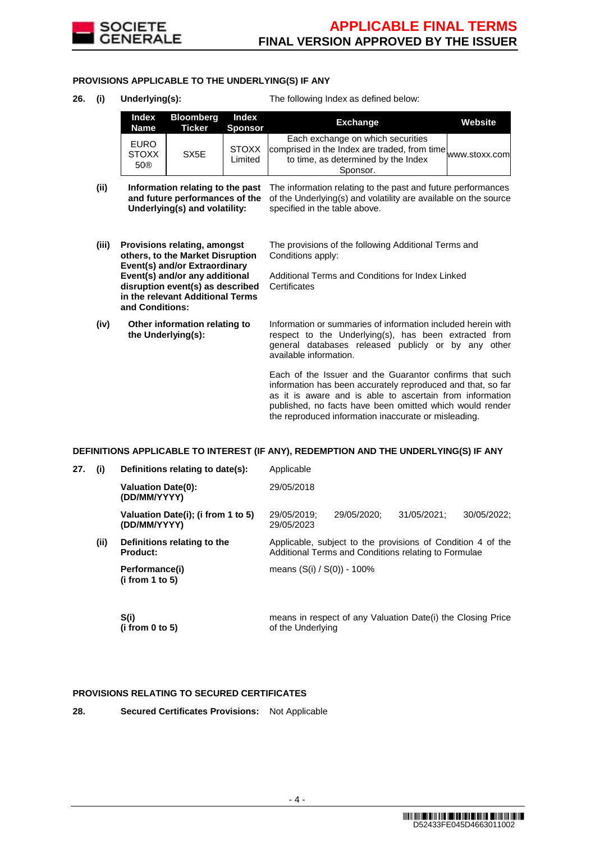

### **PROVISIONS APPLICABLE TO THE UNDERLYING(S) IF ANY**

**26. (i) Underlying(s):** The following Index as defined below:

| Index<br>Name                      | Bloomberg<br>Ticker | Index<br>Sponsor        | <b>Exchange</b>                                                                                                                                                    | Website |
|------------------------------------|---------------------|-------------------------|--------------------------------------------------------------------------------------------------------------------------------------------------------------------|---------|
| <b>EURO</b><br><b>STOXX</b><br>50® | SX <sub>5</sub> E   | <b>STOXX</b><br>Limited | Each exchange on which securities<br>$\frac{L}{200}$ comprised in the Index are traded, from time www.stoxx.com<br>to time, as determined by the Index<br>Sponsor. |         |

- (ii) **Information relating to the past** The information relating to the past and future performances **and future performances of the** of the Underlying(s) and volatility are available on the source **Underlying(s) and volatility:** specified in the table above.
- **(iii) Provisions relating, amongst others, to the Market Disruption Event(s) and/or Extraordinary Event(s) and/or any additional disruption event(s) as described in the relevant Additional Terms and Conditions:**

**(iv) Other information relating to the Underlying(s):**

The provisions of the following Additional Terms and Conditions apply:

Additional Terms and Conditions for Index Linked **Certificates** 

Information or summaries of information included herein with respect to the Underlying(s), has been extracted from general databases released publicly or by any other available information.

Each of the Issuer and the Guarantor confirms that such information has been accurately reproduced and that, so far as it is aware and is able to ascertain from information published, no facts have been omitted which would render the reproduced information inaccurate or misleading.

#### **DEFINITIONS APPLICABLE TO INTEREST (IF ANY), REDEMPTION AND THE UNDERLYING(S) IF ANY**

| 27. | (i)  | Definitions relating to date(s):                   | Applicable                                                                                                          |                                                             |             |             |  |
|-----|------|----------------------------------------------------|---------------------------------------------------------------------------------------------------------------------|-------------------------------------------------------------|-------------|-------------|--|
|     |      | <b>Valuation Date(0):</b><br>(DD/MM/YYYY)          | 29/05/2018                                                                                                          |                                                             |             |             |  |
|     |      | Valuation Date(i); (i from 1 to 5)<br>(DD/MM/YYYY) | 29/05/2019;<br>29/05/2023                                                                                           | 29/05/2020:                                                 | 31/05/2021: | 30/05/2022: |  |
|     | (ii) | Definitions relating to the<br>Product:            | Applicable, subject to the provisions of Condition 4 of the<br>Additional Terms and Conditions relating to Formulae |                                                             |             |             |  |
|     |      | Performance(i)<br>(i from 1 to 5)                  | means $(S(i) / S(0)) - 100\%$                                                                                       |                                                             |             |             |  |
|     |      | S(i)<br>(i from $0$ to $5$ )                       | of the Underlying                                                                                                   | means in respect of any Valuation Date(i) the Closing Price |             |             |  |

#### **PROVISIONS RELATING TO SECURED CERTIFICATES**

**28. Secured Certificates Provisions:** Not Applicable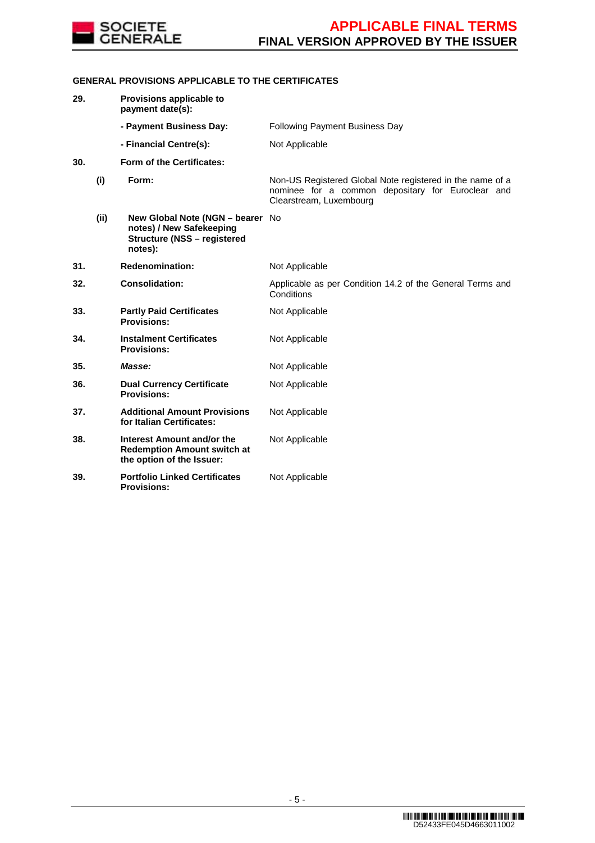

### **GENERAL PROVISIONS APPLICABLE TO THE CERTIFICATES**

| 29. |      | Provisions applicable to<br>payment date(s):                                                                  |                                                                                                                                           |
|-----|------|---------------------------------------------------------------------------------------------------------------|-------------------------------------------------------------------------------------------------------------------------------------------|
|     |      | - Payment Business Day:                                                                                       | <b>Following Payment Business Day</b>                                                                                                     |
|     |      | - Financial Centre(s):                                                                                        | Not Applicable                                                                                                                            |
| 30. |      | Form of the Certificates:                                                                                     |                                                                                                                                           |
|     | (i)  | Form:                                                                                                         | Non-US Registered Global Note registered in the name of a<br>nominee for a common depositary for Euroclear and<br>Clearstream, Luxembourg |
|     | (ii) | New Global Note (NGN - bearer No<br>notes) / New Safekeeping<br><b>Structure (NSS - registered</b><br>notes): |                                                                                                                                           |
| 31. |      | <b>Redenomination:</b>                                                                                        | Not Applicable                                                                                                                            |
| 32. |      | <b>Consolidation:</b>                                                                                         | Applicable as per Condition 14.2 of the General Terms and<br>Conditions                                                                   |
| 33. |      | <b>Partly Paid Certificates</b><br><b>Provisions:</b>                                                         | Not Applicable                                                                                                                            |
| 34. |      | <b>Instalment Certificates</b><br><b>Provisions:</b>                                                          | Not Applicable                                                                                                                            |
| 35. |      | Masse:                                                                                                        | Not Applicable                                                                                                                            |
| 36. |      | <b>Dual Currency Certificate</b><br><b>Provisions:</b>                                                        | Not Applicable                                                                                                                            |
| 37. |      | <b>Additional Amount Provisions</b><br>for Italian Certificates:                                              | Not Applicable                                                                                                                            |
| 38. |      | Interest Amount and/or the<br><b>Redemption Amount switch at</b><br>the option of the Issuer:                 | Not Applicable                                                                                                                            |
| 39. |      | <b>Portfolio Linked Certificates</b><br><b>Provisions:</b>                                                    | Not Applicable                                                                                                                            |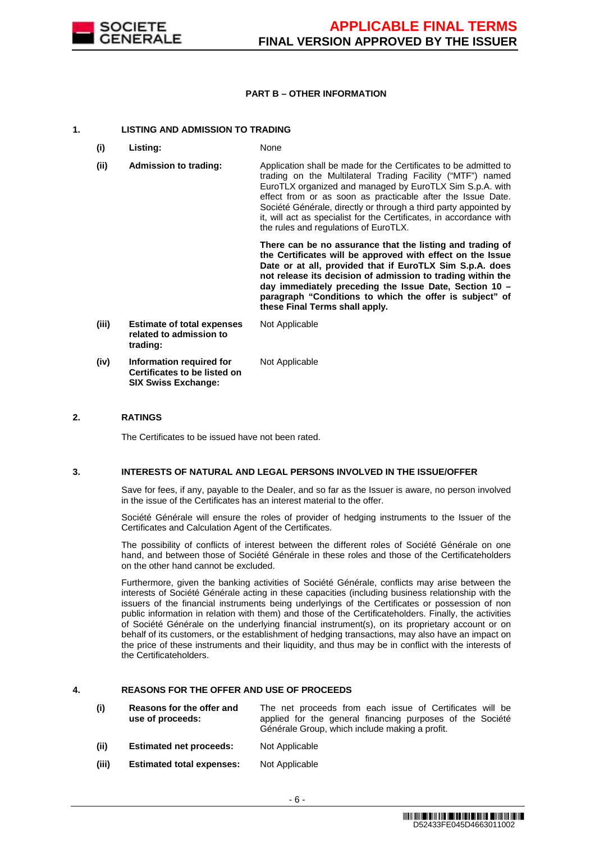

### **PART B – OTHER INFORMATION**

### **1. LISTING AND ADMISSION TO TRADING**

- **(i) Listing:** None
- **(ii) Admission to trading:** Application shall be made for the Certificates to be admitted to trading on the Multilateral Trading Facility ("MTF") named EuroTLX organized and managed by EuroTLX Sim S.p.A. with effect from or as soon as practicable after the Issue Date. Société Générale, directly or through a third party appointed by it, will act as specialist for the Certificates, in accordance with the rules and regulations of EuroTLX.

 **There can be no assurance that the listing and trading of the Certificates will be approved with effect on the Issue Date or at all, provided that if EuroTLX Sim S.p.A. does not release its decision of admission to trading within the day immediately preceding the Issue Date, Section 10 – paragraph "Conditions to which the offer is subject" of these Final Terms shall apply.**

**(iii) Estimate of total expenses related to admission to trading:** Not Applicable **(iv) Information required for Certificates to be listed on SIX Swiss Exchange:** Not Applicable

### **2. RATINGS**

The Certificates to be issued have not been rated.

#### **3. INTERESTS OF NATURAL AND LEGAL PERSONS INVOLVED IN THE ISSUE/OFFER**

 Save for fees, if any, payable to the Dealer, and so far as the Issuer is aware, no person involved in the issue of the Certificates has an interest material to the offer.

 Société Générale will ensure the roles of provider of hedging instruments to the Issuer of the Certificates and Calculation Agent of the Certificates.

 The possibility of conflicts of interest between the different roles of Société Générale on one hand, and between those of Société Générale in these roles and those of the Certificateholders on the other hand cannot be excluded.

 Furthermore, given the banking activities of Société Générale, conflicts may arise between the interests of Société Générale acting in these capacities (including business relationship with the issuers of the financial instruments being underlyings of the Certificates or possession of non public information in relation with them) and those of the Certificateholders. Finally, the activities of Société Générale on the underlying financial instrument(s), on its proprietary account or on behalf of its customers, or the establishment of hedging transactions, may also have an impact on the price of these instruments and their liquidity, and thus may be in conflict with the interests of the Certificateholders.

### **4. REASONS FOR THE OFFER AND USE OF PROCEEDS**

- **(i) Reasons for the offer and use of proceeds:** The net proceeds from each issue of Certificates will be applied for the general financing purposes of the Société Générale Group, which include making a profit. **(ii) Estimated net proceeds:** Not Applicable
- **(iii) Estimated total expenses:** Not Applicable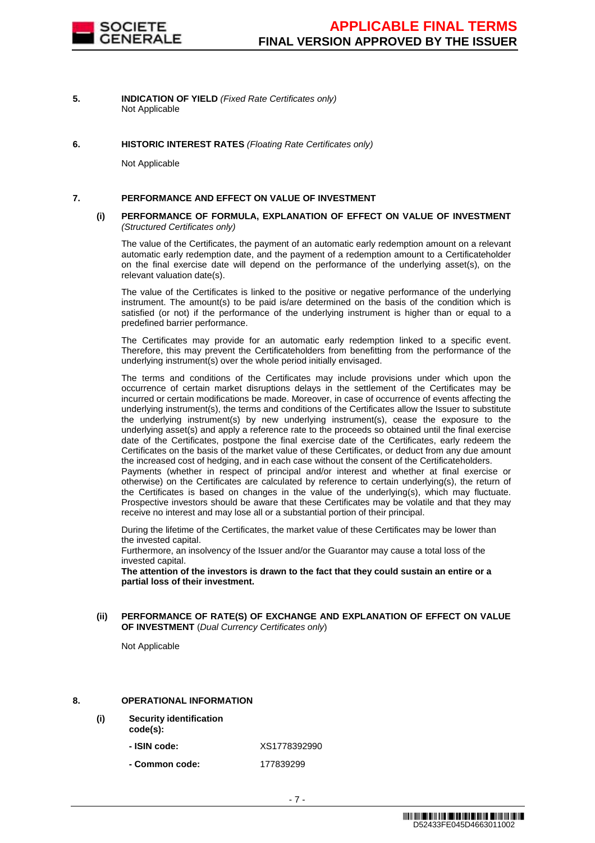

**5. INDICATION OF YIELD** (Fixed Rate Certificates only) Not Applicable

#### **6. HISTORIC INTEREST RATES** (Floating Rate Certificates only)

Not Applicable

#### **7. PERFORMANCE AND EFFECT ON VALUE OF INVESTMENT**

#### **(i) PERFORMANCE OF FORMULA, EXPLANATION OF EFFECT ON VALUE OF INVESTMENT**  (Structured Certificates only)

 The value of the Certificates, the payment of an automatic early redemption amount on a relevant automatic early redemption date, and the payment of a redemption amount to a Certificateholder on the final exercise date will depend on the performance of the underlying asset(s), on the relevant valuation date(s).

 The value of the Certificates is linked to the positive or negative performance of the underlying instrument. The amount(s) to be paid is/are determined on the basis of the condition which is satisfied (or not) if the performance of the underlying instrument is higher than or equal to a predefined barrier performance.

 The Certificates may provide for an automatic early redemption linked to a specific event. Therefore, this may prevent the Certificateholders from benefitting from the performance of the underlying instrument(s) over the whole period initially envisaged.

 The terms and conditions of the Certificates may include provisions under which upon the occurrence of certain market disruptions delays in the settlement of the Certificates may be incurred or certain modifications be made. Moreover, in case of occurrence of events affecting the underlying instrument(s), the terms and conditions of the Certificates allow the Issuer to substitute the underlying instrument(s) by new underlying instrument(s), cease the exposure to the underlying asset(s) and apply a reference rate to the proceeds so obtained until the final exercise date of the Certificates, postpone the final exercise date of the Certificates, early redeem the Certificates on the basis of the market value of these Certificates, or deduct from any due amount the increased cost of hedging, and in each case without the consent of the Certificateholders. Payments (whether in respect of principal and/or interest and whether at final exercise or otherwise) on the Certificates are calculated by reference to certain underlying(s), the return of the Certificates is based on changes in the value of the underlying(s), which may fluctuate. Prospective investors should be aware that these Certificates may be volatile and that they may

 During the lifetime of the Certificates, the market value of these Certificates may be lower than the invested capital.

Furthermore, an insolvency of the Issuer and/or the Guarantor may cause a total loss of the invested capital.

receive no interest and may lose all or a substantial portion of their principal.

**The attention of the investors is drawn to the fact that they could sustain an entire or a partial loss of their investment.**

**(ii) PERFORMANCE OF RATE(S) OF EXCHANGE AND EXPLANATION OF EFFECT ON VALUE OF INVESTMENT** (Dual Currency Certificates only)

Not Applicable

### **8. OPERATIONAL INFORMATION**

- **(i) Security identification** 
	- **code(s):**
		- **ISIN code:** XS1778392990
		- **Common code:** 177839299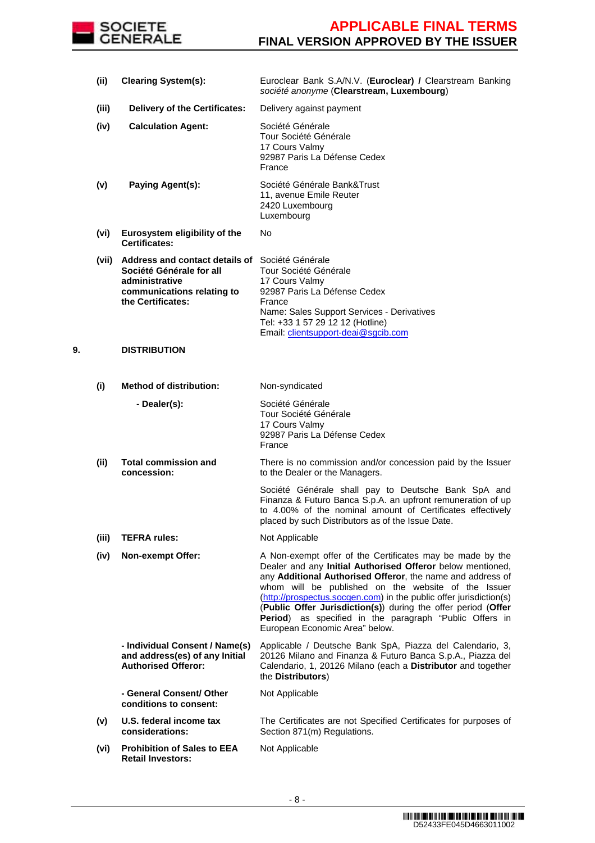

|    |       |                                                                                                                                                        | société anonyme (Clearstream, Luxembourg)                                                                                                                                                                                                                                                                                                                                                                                                                                        |
|----|-------|--------------------------------------------------------------------------------------------------------------------------------------------------------|----------------------------------------------------------------------------------------------------------------------------------------------------------------------------------------------------------------------------------------------------------------------------------------------------------------------------------------------------------------------------------------------------------------------------------------------------------------------------------|
|    | (iii) | <b>Delivery of the Certificates:</b>                                                                                                                   | Delivery against payment                                                                                                                                                                                                                                                                                                                                                                                                                                                         |
|    | (iv)  | <b>Calculation Agent:</b>                                                                                                                              | Société Générale<br>Tour Société Générale<br>17 Cours Valmy<br>92987 Paris La Défense Cedex<br>France                                                                                                                                                                                                                                                                                                                                                                            |
|    | (v)   | Paying Agent(s):                                                                                                                                       | Société Générale Bank&Trust<br>11, avenue Emile Reuter<br>2420 Luxembourg<br>Luxembourg                                                                                                                                                                                                                                                                                                                                                                                          |
|    | (vi)  | Eurosystem eligibility of the<br><b>Certificates:</b>                                                                                                  | No                                                                                                                                                                                                                                                                                                                                                                                                                                                                               |
|    |       | (vii) Address and contact details of Société Générale<br>Société Générale for all<br>administrative<br>communications relating to<br>the Certificates: | Tour Société Générale<br>17 Cours Valmy<br>92987 Paris La Défense Cedex<br>France<br>Name: Sales Support Services - Derivatives<br>Tel: +33 1 57 29 12 12 (Hotline)<br>Email: clientsupport-deai@sgcib.com                                                                                                                                                                                                                                                                       |
| 9. |       | <b>DISTRIBUTION</b>                                                                                                                                    |                                                                                                                                                                                                                                                                                                                                                                                                                                                                                  |
|    | (i)   | <b>Method of distribution:</b>                                                                                                                         | Non-syndicated                                                                                                                                                                                                                                                                                                                                                                                                                                                                   |
|    |       | - Dealer(s):                                                                                                                                           | Société Générale<br>Tour Société Générale<br>17 Cours Valmy<br>92987 Paris La Défense Cedex<br>France                                                                                                                                                                                                                                                                                                                                                                            |
|    | (ii)  | <b>Total commission and</b><br>concession:                                                                                                             | There is no commission and/or concession paid by the Issuer<br>to the Dealer or the Managers.                                                                                                                                                                                                                                                                                                                                                                                    |
|    |       |                                                                                                                                                        | Société Générale shall pay to Deutsche Bank SpA and<br>Finanza & Futuro Banca S.p.A. an upfront remuneration of up<br>to 4.00% of the nominal amount of Certificates effectively<br>placed by such Distributors as of the Issue Date.                                                                                                                                                                                                                                            |
|    | (iii) | <b>TEFRA rules:</b>                                                                                                                                    | Not Applicable                                                                                                                                                                                                                                                                                                                                                                                                                                                                   |
|    | (iv)  | <b>Non-exempt Offer:</b>                                                                                                                               | A Non-exempt offer of the Certificates may be made by the<br>Dealer and any Initial Authorised Offeror below mentioned,<br>any Additional Authorised Offeror, the name and address of<br>whom will be published on the website of the Issuer<br>(http://prospectus.socgen.com) in the public offer jurisdiction(s)<br>(Public Offer Jurisdiction(s)) during the offer period (Offer<br>Period) as specified in the paragraph "Public Offers in<br>European Economic Area" below. |
|    |       | - Individual Consent / Name(s)<br>and address(es) of any Initial<br><b>Authorised Offeror:</b>                                                         | Applicable / Deutsche Bank SpA, Piazza del Calendario, 3,<br>20126 Milano and Finanza & Futuro Banca S.p.A., Piazza del<br>Calendario, 1, 20126 Milano (each a Distributor and together<br>the Distributors)                                                                                                                                                                                                                                                                     |
|    |       | - General Consent/ Other<br>conditions to consent:                                                                                                     | Not Applicable                                                                                                                                                                                                                                                                                                                                                                                                                                                                   |
|    | (v)   | U.S. federal income tax<br>considerations:                                                                                                             | The Certificates are not Specified Certificates for purposes of<br>Section 871(m) Regulations.                                                                                                                                                                                                                                                                                                                                                                                   |
|    | (vi)  | <b>Prohibition of Sales to EEA</b><br><b>Retail Investors:</b>                                                                                         | Not Applicable                                                                                                                                                                                                                                                                                                                                                                                                                                                                   |

**(ii) Clearing System(s):** Euroclear Bank S.A/N.V. (**Euroclear) /** Clearstream Banking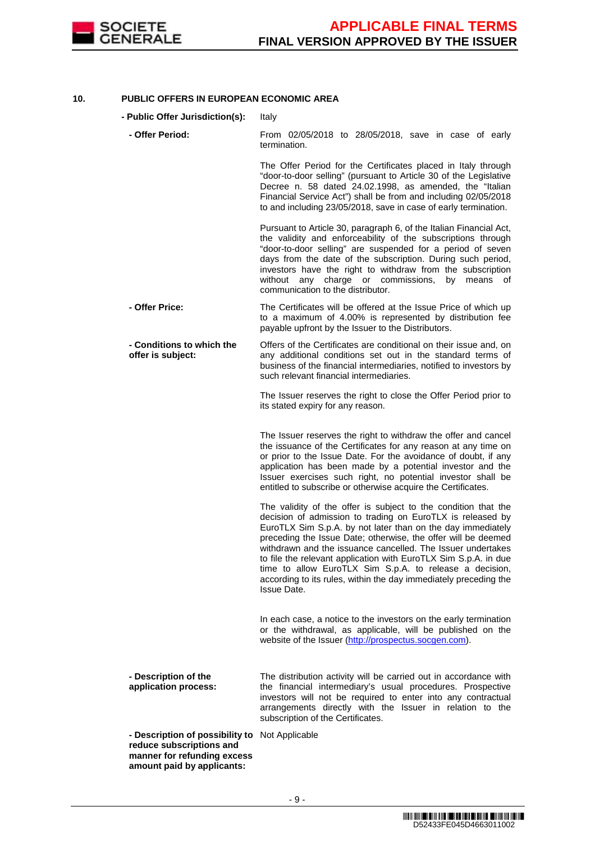

### **10. PUBLIC OFFERS IN EUROPEAN ECONOMIC AREA**

- **Public Offer Jurisdiction(s):** Italy
	- **Offer Period:** From 02/05/2018 to 28/05/2018, save in case of early termination.

The Offer Period for the Certificates placed in Italy through "door-to-door selling" (pursuant to Article 30 of the Legislative Decree n. 58 dated 24.02.1998, as amended, the "Italian Financial Service Act") shall be from and including 02/05/2018 to and including 23/05/2018, save in case of early termination.

Pursuant to Article 30, paragraph 6, of the Italian Financial Act, the validity and enforceability of the subscriptions through "door-to-door selling" are suspended for a period of seven days from the date of the subscription. During such period, investors have the right to withdraw from the subscription without any charge or commissions, by means of communication to the distributor.

 **- Offer Price:** The Certificates will be offered at the Issue Price of which up to a maximum of 4.00% is represented by distribution fee payable upfront by the Issuer to the Distributors.

 **- Conditions to which the offer is subject:** Offers of the Certificates are conditional on their issue and, on any additional conditions set out in the standard terms of business of the financial intermediaries, notified to investors by such relevant financial intermediaries.

> The Issuer reserves the right to close the Offer Period prior to its stated expiry for any reason.

> The Issuer reserves the right to withdraw the offer and cancel the issuance of the Certificates for any reason at any time on or prior to the Issue Date. For the avoidance of doubt, if any application has been made by a potential investor and the Issuer exercises such right, no potential investor shall be entitled to subscribe or otherwise acquire the Certificates.

> The validity of the offer is subject to the condition that the decision of admission to trading on EuroTLX is released by EuroTLX Sim S.p.A. by not later than on the day immediately preceding the Issue Date; otherwise, the offer will be deemed withdrawn and the issuance cancelled. The Issuer undertakes to file the relevant application with EuroTLX Sim S.p.A. in due time to allow EuroTLX Sim S.p.A. to release a decision, according to its rules, within the day immediately preceding the Issue Date.

> In each case, a notice to the investors on the early termination or the withdrawal, as applicable, will be published on the website of the Issuer (http://prospectus.socgen.com).

 **- Description of the application process:** The distribution activity will be carried out in accordance with the financial intermediary's usual procedures. Prospective investors will not be required to enter into any contractual arrangements directly with the Issuer in relation to the subscription of the Certificates.

 **- Description of possibility to**  Not Applicable **reduce subscriptions and manner for refunding excess amount paid by applicants:**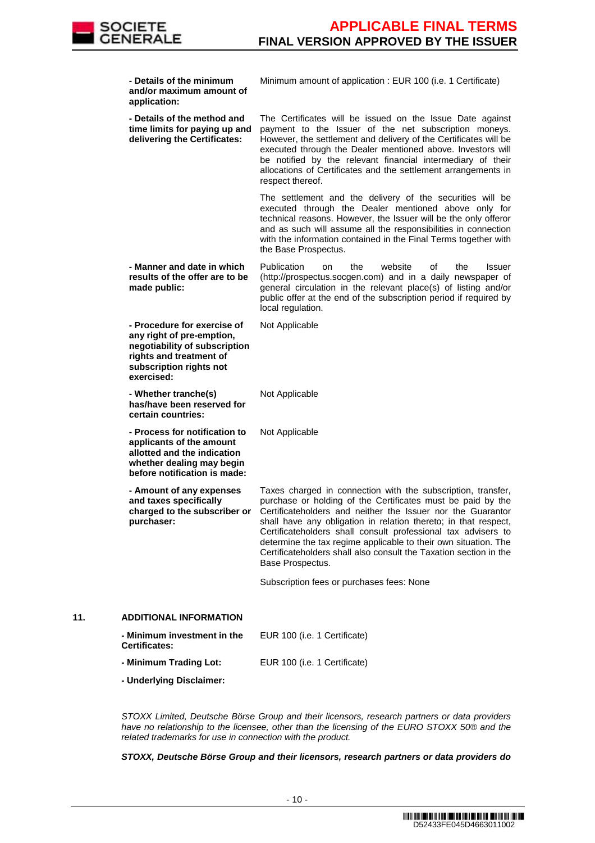

|     | - Details of the minimum<br>and/or maximum amount of<br>application:                                                                                          | Minimum amount of application : EUR 100 (i.e. 1 Certificate)                                                                                                                                                                                                                                                                                                                                                                                                                               |
|-----|---------------------------------------------------------------------------------------------------------------------------------------------------------------|--------------------------------------------------------------------------------------------------------------------------------------------------------------------------------------------------------------------------------------------------------------------------------------------------------------------------------------------------------------------------------------------------------------------------------------------------------------------------------------------|
|     | - Details of the method and<br>time limits for paying up and<br>delivering the Certificates:                                                                  | The Certificates will be issued on the Issue Date against<br>payment to the Issuer of the net subscription moneys.<br>However, the settlement and delivery of the Certificates will be<br>executed through the Dealer mentioned above. Investors will<br>be notified by the relevant financial intermediary of their<br>allocations of Certificates and the settlement arrangements in<br>respect thereof.                                                                                 |
|     |                                                                                                                                                               | The settlement and the delivery of the securities will be<br>executed through the Dealer mentioned above only for<br>technical reasons. However, the Issuer will be the only offeror<br>and as such will assume all the responsibilities in connection<br>with the information contained in the Final Terms together with<br>the Base Prospectus.                                                                                                                                          |
|     | - Manner and date in which<br>results of the offer are to be<br>made public:                                                                                  | Publication<br>website<br>the<br>οf<br>the<br>Issuer<br>on<br>(http://prospectus.socgen.com) and in a daily newspaper of<br>general circulation in the relevant place(s) of listing and/or<br>public offer at the end of the subscription period if required by<br>local regulation.                                                                                                                                                                                                       |
|     | - Procedure for exercise of<br>any right of pre-emption,<br>negotiability of subscription<br>rights and treatment of<br>subscription rights not<br>exercised: | Not Applicable                                                                                                                                                                                                                                                                                                                                                                                                                                                                             |
|     | - Whether tranche(s)<br>has/have been reserved for<br>certain countries:                                                                                      | Not Applicable                                                                                                                                                                                                                                                                                                                                                                                                                                                                             |
|     | - Process for notification to<br>applicants of the amount<br>allotted and the indication<br>whether dealing may begin<br>before notification is made:         | Not Applicable                                                                                                                                                                                                                                                                                                                                                                                                                                                                             |
|     | - Amount of any expenses<br>and taxes specifically<br>charged to the subscriber or<br>purchaser:                                                              | Taxes charged in connection with the subscription, transfer,<br>purchase or holding of the Certificates must be paid by the<br>Certificateholders and neither the Issuer nor the Guarantor<br>shall have any obligation in relation thereto; in that respect,<br>Certificateholders shall consult professional tax advisers to<br>determine the tax regime applicable to their own situation. The<br>Certificateholders shall also consult the Taxation section in the<br>Base Prospectus. |
|     |                                                                                                                                                               | Subscription fees or purchases fees: None                                                                                                                                                                                                                                                                                                                                                                                                                                                  |
| 11. | <b>ADDITIONAL INFORMATION</b>                                                                                                                                 |                                                                                                                                                                                                                                                                                                                                                                                                                                                                                            |
|     | - Minimum investment in the<br><b>Certificates:</b>                                                                                                           | EUR 100 (i.e. 1 Certificate)                                                                                                                                                                                                                                                                                                                                                                                                                                                               |
|     | - Minimum Trading Lot:                                                                                                                                        | EUR 100 (i.e. 1 Certificate)                                                                                                                                                                                                                                                                                                                                                                                                                                                               |
|     | - Underlying Disclaimer:                                                                                                                                      |                                                                                                                                                                                                                                                                                                                                                                                                                                                                                            |
|     |                                                                                                                                                               |                                                                                                                                                                                                                                                                                                                                                                                                                                                                                            |

 STOXX Limited, Deutsche Börse Group and their licensors, research partners or data providers have no relationship to the licensee, other than the licensing of the EURO STOXX 50® and the related trademarks for use in connection with the product.

**STOXX, Deutsche Börse Group and their licensors, research partners or data providers do**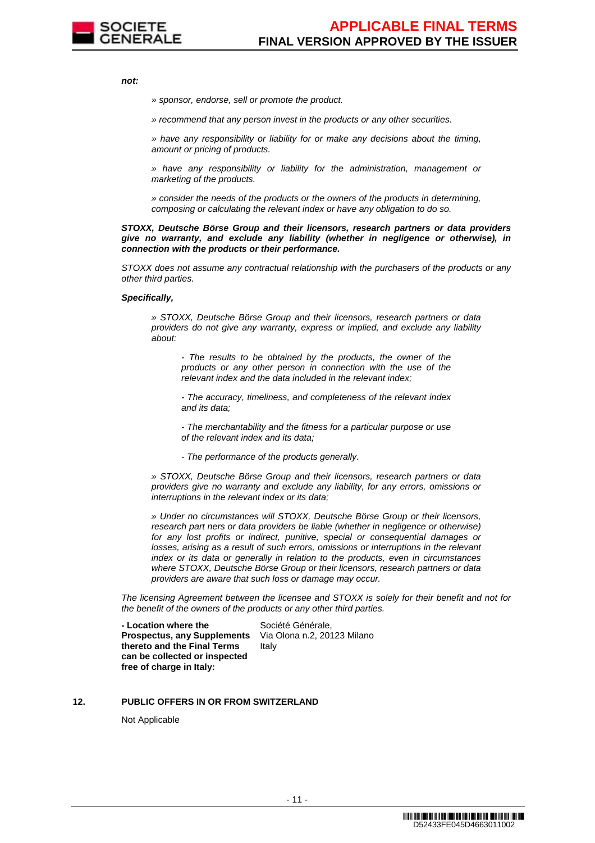

**not:**

» sponsor, endorse, sell or promote the product.

» recommend that any person invest in the products or any other securities.

» have any responsibility or liability for or make any decisions about the timing, amount or pricing of products.

» have any responsibility or liability for the administration, management or marketing of the products.

» consider the needs of the products or the owners of the products in determining, composing or calculating the relevant index or have any obligation to do so.

**STOXX, Deutsche Börse Group and their licensors, research partners or data providers give no warranty, and exclude any liability (whether in negligence or otherwise), in connection with the products or their performance.**

STOXX does not assume any contractual relationship with the purchasers of the products or any other third parties.

#### **Specifically,**

» STOXX, Deutsche Börse Group and their licensors, research partners or data providers do not give any warranty, express or implied, and exclude any liability about:

- The results to be obtained by the products, the owner of the products or any other person in connection with the use of the relevant index and the data included in the relevant index;

- The accuracy, timeliness, and completeness of the relevant index and its data;

- The merchantability and the fitness for a particular purpose or use of the relevant index and its data;

- The performance of the products generally.

» STOXX, Deutsche Börse Group and their licensors, research partners or data providers give no warranty and exclude any liability, for any errors, omissions or interruptions in the relevant index or its data;

» Under no circumstances will STOXX, Deutsche Börse Group or their licensors, research part ners or data providers be liable (whether in negligence or otherwise) for any lost profits or indirect, punitive, special or consequential damages or losses, arising as a result of such errors, omissions or interruptions in the relevant index or its data or generally in relation to the products, even in circumstances where STOXX, Deutsche Börse Group or their licensors, research partners or data providers are aware that such loss or damage may occur.

The licensing Agreement between the licensee and STOXX is solely for their benefit and not for the benefit of the owners of the products or any other third parties.

 **- Location where the Prospectus, any Supplements thereto and the Final Terms can be collected or inspected free of charge in Italy:**

Société Générale, Via Olona n.2, 20123 Milano Italy

#### **12. PUBLIC OFFERS IN OR FROM SWITZERLAND**

Not Applicable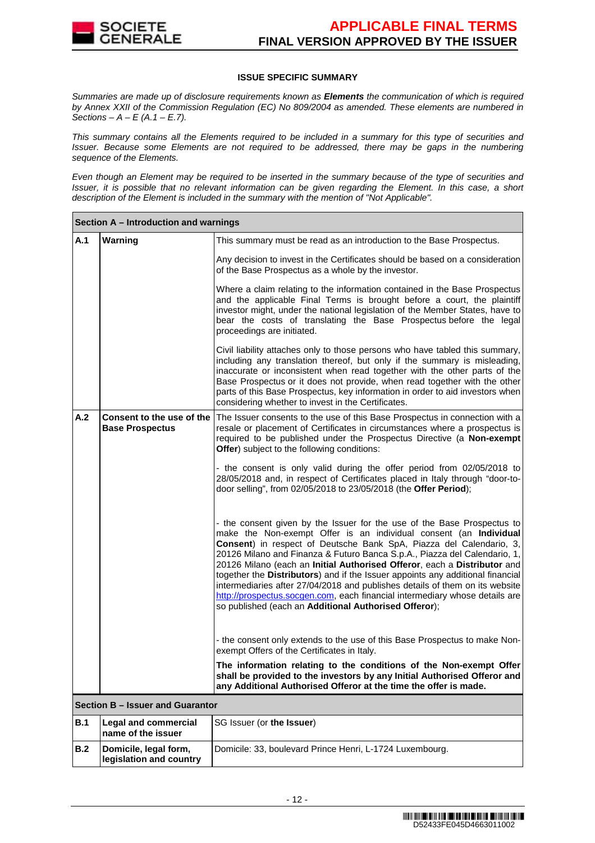

### **ISSUE SPECIFIC SUMMARY**

Summaries are made up of disclosure requirements known as **Elements** the communication of which is required by Annex XXII of the Commission Regulation (EC) No 809/2004 as amended. These elements are numbered in Sections –  $A - E(A.1 - E.7)$ .

This summary contains all the Elements required to be included in a summary for this type of securities and Issuer. Because some Elements are not required to be addressed, there may be gaps in the numbering sequence of the Elements.

Even though an Element may be required to be inserted in the summary because of the type of securities and Issuer, it is possible that no relevant information can be given regarding the Element. In this case, a short description of the Element is included in the summary with the mention of "Not Applicable".

|                                                            | Section A - Introduction and warnings            |                                                                                                                                                                                                                                                                                                                                                                                                                                                                                                                                                                                                                                                                                        |  |  |
|------------------------------------------------------------|--------------------------------------------------|----------------------------------------------------------------------------------------------------------------------------------------------------------------------------------------------------------------------------------------------------------------------------------------------------------------------------------------------------------------------------------------------------------------------------------------------------------------------------------------------------------------------------------------------------------------------------------------------------------------------------------------------------------------------------------------|--|--|
| A.1                                                        | Warning                                          | This summary must be read as an introduction to the Base Prospectus.                                                                                                                                                                                                                                                                                                                                                                                                                                                                                                                                                                                                                   |  |  |
|                                                            |                                                  | Any decision to invest in the Certificates should be based on a consideration<br>of the Base Prospectus as a whole by the investor.                                                                                                                                                                                                                                                                                                                                                                                                                                                                                                                                                    |  |  |
|                                                            |                                                  | Where a claim relating to the information contained in the Base Prospectus<br>and the applicable Final Terms is brought before a court, the plaintiff<br>investor might, under the national legislation of the Member States, have to<br>bear the costs of translating the Base Prospectus before the legal<br>proceedings are initiated.                                                                                                                                                                                                                                                                                                                                              |  |  |
|                                                            |                                                  | Civil liability attaches only to those persons who have tabled this summary,<br>including any translation thereof, but only if the summary is misleading,<br>inaccurate or inconsistent when read together with the other parts of the<br>Base Prospectus or it does not provide, when read together with the other<br>parts of this Base Prospectus, key information in order to aid investors when<br>considering whether to invest in the Certificates.                                                                                                                                                                                                                             |  |  |
| A.2<br>Consent to the use of the<br><b>Base Prospectus</b> |                                                  | The Issuer consents to the use of this Base Prospectus in connection with a<br>resale or placement of Certificates in circumstances where a prospectus is<br>required to be published under the Prospectus Directive (a Non-exempt<br>Offer) subject to the following conditions:                                                                                                                                                                                                                                                                                                                                                                                                      |  |  |
|                                                            |                                                  | - the consent is only valid during the offer period from 02/05/2018 to<br>28/05/2018 and, in respect of Certificates placed in Italy through "door-to-<br>door selling", from 02/05/2018 to 23/05/2018 (the Offer Period);                                                                                                                                                                                                                                                                                                                                                                                                                                                             |  |  |
|                                                            |                                                  | - the consent given by the Issuer for the use of the Base Prospectus to<br>make the Non-exempt Offer is an individual consent (an Individual<br>Consent) in respect of Deutsche Bank SpA, Piazza del Calendario, 3,<br>20126 Milano and Finanza & Futuro Banca S.p.A., Piazza del Calendario, 1,<br>20126 Milano (each an Initial Authorised Offeror, each a Distributor and<br>together the Distributors) and if the Issuer appoints any additional financial<br>intermediaries after 27/04/2018 and publishes details of them on its website<br>http://prospectus.socgen.com, each financial intermediary whose details are<br>so published (each an Additional Authorised Offeror); |  |  |
|                                                            |                                                  | - the consent only extends to the use of this Base Prospectus to make Non-<br>exempt Offers of the Certificates in Italy.                                                                                                                                                                                                                                                                                                                                                                                                                                                                                                                                                              |  |  |
|                                                            |                                                  | The information relating to the conditions of the Non-exempt Offer<br>shall be provided to the investors by any Initial Authorised Offeror and<br>any Additional Authorised Offeror at the time the offer is made.                                                                                                                                                                                                                                                                                                                                                                                                                                                                     |  |  |
|                                                            | Section B - Issuer and Guarantor                 |                                                                                                                                                                                                                                                                                                                                                                                                                                                                                                                                                                                                                                                                                        |  |  |
| <b>B.1</b>                                                 | Legal and commercial<br>name of the issuer       | SG Issuer (or the Issuer)                                                                                                                                                                                                                                                                                                                                                                                                                                                                                                                                                                                                                                                              |  |  |
| B.2                                                        | Domicile, legal form,<br>legislation and country | Domicile: 33, boulevard Prince Henri, L-1724 Luxembourg.                                                                                                                                                                                                                                                                                                                                                                                                                                                                                                                                                                                                                               |  |  |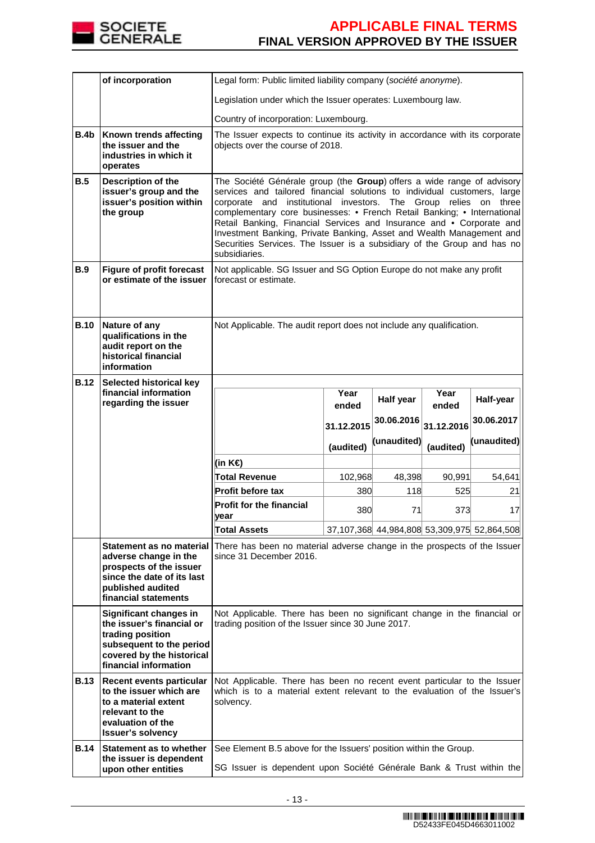

|             | of incorporation                                                                                                                                          | Legal form: Public limited liability company (société anonyme).                                                                                                                                                                                                                                                                                                                                                                                                                                                                                     |            |             |            |                                             |
|-------------|-----------------------------------------------------------------------------------------------------------------------------------------------------------|-----------------------------------------------------------------------------------------------------------------------------------------------------------------------------------------------------------------------------------------------------------------------------------------------------------------------------------------------------------------------------------------------------------------------------------------------------------------------------------------------------------------------------------------------------|------------|-------------|------------|---------------------------------------------|
|             |                                                                                                                                                           | Legislation under which the Issuer operates: Luxembourg law.                                                                                                                                                                                                                                                                                                                                                                                                                                                                                        |            |             |            |                                             |
|             |                                                                                                                                                           | Country of incorporation: Luxembourg.                                                                                                                                                                                                                                                                                                                                                                                                                                                                                                               |            |             |            |                                             |
| <b>B.4b</b> | Known trends affecting<br>the issuer and the<br>industries in which it<br>operates                                                                        | The Issuer expects to continue its activity in accordance with its corporate<br>objects over the course of 2018.                                                                                                                                                                                                                                                                                                                                                                                                                                    |            |             |            |                                             |
| B.5         | <b>Description of the</b><br>issuer's group and the<br>issuer's position within<br>the group                                                              | The Société Générale group (the Group) offers a wide range of advisory<br>services and tailored financial solutions to individual customers, large<br>institutional investors. The Group relies on three<br>corporate<br>and<br>complementary core businesses: • French Retail Banking; • International<br>Retail Banking, Financial Services and Insurance and • Corporate and<br>Investment Banking, Private Banking, Asset and Wealth Management and<br>Securities Services. The Issuer is a subsidiary of the Group and has no<br>subsidiaries. |            |             |            |                                             |
| B.9         | <b>Figure of profit forecast</b><br>or estimate of the issuer                                                                                             | Not applicable. SG Issuer and SG Option Europe do not make any profit<br>forecast or estimate.                                                                                                                                                                                                                                                                                                                                                                                                                                                      |            |             |            |                                             |
| <b>B.10</b> | Nature of any<br>qualifications in the<br>audit report on the<br>historical financial<br>information                                                      | Not Applicable. The audit report does not include any qualification.                                                                                                                                                                                                                                                                                                                                                                                                                                                                                |            |             |            |                                             |
| <b>B.12</b> | Selected historical key<br>financial information                                                                                                          |                                                                                                                                                                                                                                                                                                                                                                                                                                                                                                                                                     | Year       |             | Year       |                                             |
|             | regarding the issuer                                                                                                                                      |                                                                                                                                                                                                                                                                                                                                                                                                                                                                                                                                                     | ended      | Half year   | ended      | Half-year                                   |
|             |                                                                                                                                                           |                                                                                                                                                                                                                                                                                                                                                                                                                                                                                                                                                     | 31.12.2015 | 30.06.2016  | 31.12.2016 | 30.06.2017                                  |
|             |                                                                                                                                                           |                                                                                                                                                                                                                                                                                                                                                                                                                                                                                                                                                     | (audited)  | (unaudited) | (audited)  | (unaudited)                                 |
|             |                                                                                                                                                           | (in K€)                                                                                                                                                                                                                                                                                                                                                                                                                                                                                                                                             |            |             |            |                                             |
|             |                                                                                                                                                           | <b>Total Revenue</b>                                                                                                                                                                                                                                                                                                                                                                                                                                                                                                                                | 102,968    | 48,398      | 90,991     | 54,641                                      |
|             |                                                                                                                                                           | Profit before tax                                                                                                                                                                                                                                                                                                                                                                                                                                                                                                                                   | 380        | 118         | 525        | 21                                          |
|             |                                                                                                                                                           | <b>Profit for the financial</b><br>year                                                                                                                                                                                                                                                                                                                                                                                                                                                                                                             | 380        | 71          | 373        | 17                                          |
|             |                                                                                                                                                           | <b>Total Assets</b>                                                                                                                                                                                                                                                                                                                                                                                                                                                                                                                                 |            |             |            | 37,107,368 44,984,808 53,309,975 52,864,508 |
|             | Statement as no material<br>adverse change in the<br>prospects of the issuer<br>since the date of its last                                                | There has been no material adverse change in the prospects of the Issuer<br>since 31 December 2016.                                                                                                                                                                                                                                                                                                                                                                                                                                                 |            |             |            |                                             |
|             | published audited<br>financial statements                                                                                                                 |                                                                                                                                                                                                                                                                                                                                                                                                                                                                                                                                                     |            |             |            |                                             |
|             | Significant changes in<br>the issuer's financial or<br>trading position<br>subsequent to the period<br>covered by the historical<br>financial information | Not Applicable. There has been no significant change in the financial or<br>trading position of the Issuer since 30 June 2017.                                                                                                                                                                                                                                                                                                                                                                                                                      |            |             |            |                                             |
| <b>B.13</b> | Recent events particular<br>to the issuer which are<br>to a material extent<br>relevant to the<br>evaluation of the<br><b>Issuer's solvency</b>           | Not Applicable. There has been no recent event particular to the Issuer<br>which is to a material extent relevant to the evaluation of the Issuer's<br>solvency.                                                                                                                                                                                                                                                                                                                                                                                    |            |             |            |                                             |
| <b>B.14</b> | Statement as to whether<br>the issuer is dependent<br>upon other entities                                                                                 | See Element B.5 above for the Issuers' position within the Group.<br>SG Issuer is dependent upon Société Générale Bank & Trust within the                                                                                                                                                                                                                                                                                                                                                                                                           |            |             |            |                                             |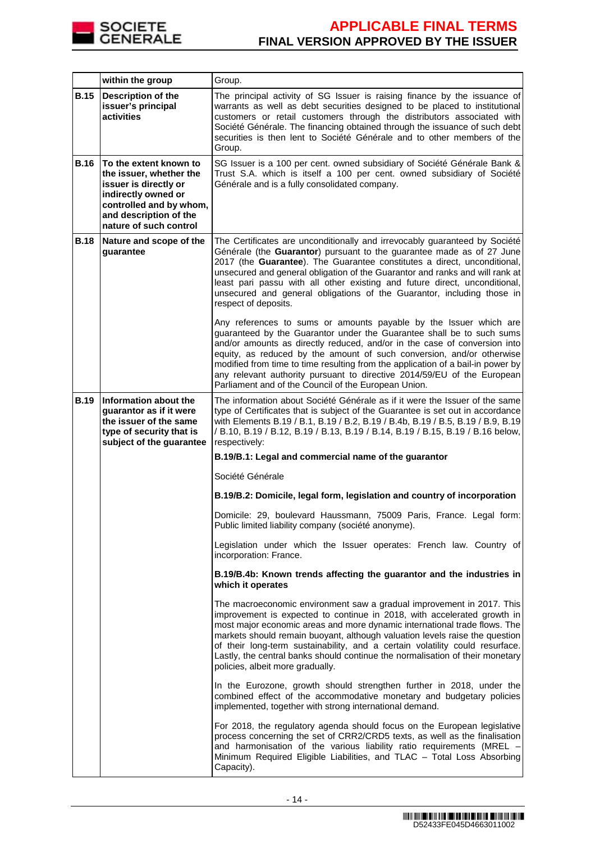

|             | within the group                                                                                                                                                                 | Group.                                                                                                                                                                                                                                                                                                                                                                                                                                                                                                                 |
|-------------|----------------------------------------------------------------------------------------------------------------------------------------------------------------------------------|------------------------------------------------------------------------------------------------------------------------------------------------------------------------------------------------------------------------------------------------------------------------------------------------------------------------------------------------------------------------------------------------------------------------------------------------------------------------------------------------------------------------|
| <b>B.15</b> | <b>Description of the</b><br>issuer's principal<br>activities                                                                                                                    | The principal activity of SG Issuer is raising finance by the issuance of<br>warrants as well as debt securities designed to be placed to institutional<br>customers or retail customers through the distributors associated with<br>Société Générale. The financing obtained through the issuance of such debt<br>securities is then lent to Société Générale and to other members of the<br>Group.                                                                                                                   |
| <b>B.16</b> | To the extent known to<br>the issuer, whether the<br>issuer is directly or<br>indirectly owned or<br>controlled and by whom,<br>and description of the<br>nature of such control | SG Issuer is a 100 per cent. owned subsidiary of Société Générale Bank &<br>Trust S.A. which is itself a 100 per cent. owned subsidiary of Société<br>Générale and is a fully consolidated company.                                                                                                                                                                                                                                                                                                                    |
| <b>B.18</b> | Nature and scope of the<br>guarantee                                                                                                                                             | The Certificates are unconditionally and irrevocably guaranteed by Société<br>Générale (the Guarantor) pursuant to the guarantee made as of 27 June<br>2017 (the Guarantee). The Guarantee constitutes a direct, unconditional,<br>unsecured and general obligation of the Guarantor and ranks and will rank at<br>least pari passu with all other existing and future direct, unconditional,<br>unsecured and general obligations of the Guarantor, including those in<br>respect of deposits.                        |
|             |                                                                                                                                                                                  | Any references to sums or amounts payable by the Issuer which are<br>guaranteed by the Guarantor under the Guarantee shall be to such sums<br>and/or amounts as directly reduced, and/or in the case of conversion into<br>equity, as reduced by the amount of such conversion, and/or otherwise<br>modified from time to time resulting from the application of a bail-in power by<br>any relevant authority pursuant to directive 2014/59/EU of the European<br>Parliament and of the Council of the European Union. |
| <b>B.19</b> | Information about the<br>guarantor as if it were<br>the issuer of the same<br>type of security that is<br>subject of the guarantee                                               | The information about Société Générale as if it were the Issuer of the same<br>type of Certificates that is subject of the Guarantee is set out in accordance<br>with Elements B.19 / B.1, B.19 / B.2, B.19 / B.4b, B.19 / B.5, B.19 / B.9, B.19<br>/ B.10, B.19 / B.12, B.19 / B.13, B.19 / B.14, B.19 / B.15, B.19 / B.16 below,<br>respectively:                                                                                                                                                                    |
|             |                                                                                                                                                                                  | B.19/B.1: Legal and commercial name of the guarantor                                                                                                                                                                                                                                                                                                                                                                                                                                                                   |
|             |                                                                                                                                                                                  | Société Générale                                                                                                                                                                                                                                                                                                                                                                                                                                                                                                       |
|             |                                                                                                                                                                                  | B.19/B.2: Domicile, legal form, legislation and country of incorporation                                                                                                                                                                                                                                                                                                                                                                                                                                               |
|             |                                                                                                                                                                                  | Domicile: 29, boulevard Haussmann, 75009 Paris, France. Legal form:<br>Public limited liability company (société anonyme).                                                                                                                                                                                                                                                                                                                                                                                             |
|             |                                                                                                                                                                                  | Legislation under which the Issuer operates: French law. Country of<br>incorporation: France.                                                                                                                                                                                                                                                                                                                                                                                                                          |
|             |                                                                                                                                                                                  | B.19/B.4b: Known trends affecting the guarantor and the industries in<br>which it operates                                                                                                                                                                                                                                                                                                                                                                                                                             |
|             |                                                                                                                                                                                  | The macroeconomic environment saw a gradual improvement in 2017. This<br>improvement is expected to continue in 2018, with accelerated growth in<br>most major economic areas and more dynamic international trade flows. The<br>markets should remain buoyant, although valuation levels raise the question<br>of their long-term sustainability, and a certain volatility could resurface.<br>Lastly, the central banks should continue the normalisation of their monetary<br>policies, albeit more gradually.      |
|             |                                                                                                                                                                                  | In the Eurozone, growth should strengthen further in 2018, under the<br>combined effect of the accommodative monetary and budgetary policies<br>implemented, together with strong international demand.                                                                                                                                                                                                                                                                                                                |
|             |                                                                                                                                                                                  | For 2018, the regulatory agenda should focus on the European legislative<br>process concerning the set of CRR2/CRD5 texts, as well as the finalisation<br>and harmonisation of the various liability ratio requirements (MREL<br>Minimum Required Eligible Liabilities, and TLAC - Total Loss Absorbing<br>Capacity).                                                                                                                                                                                                  |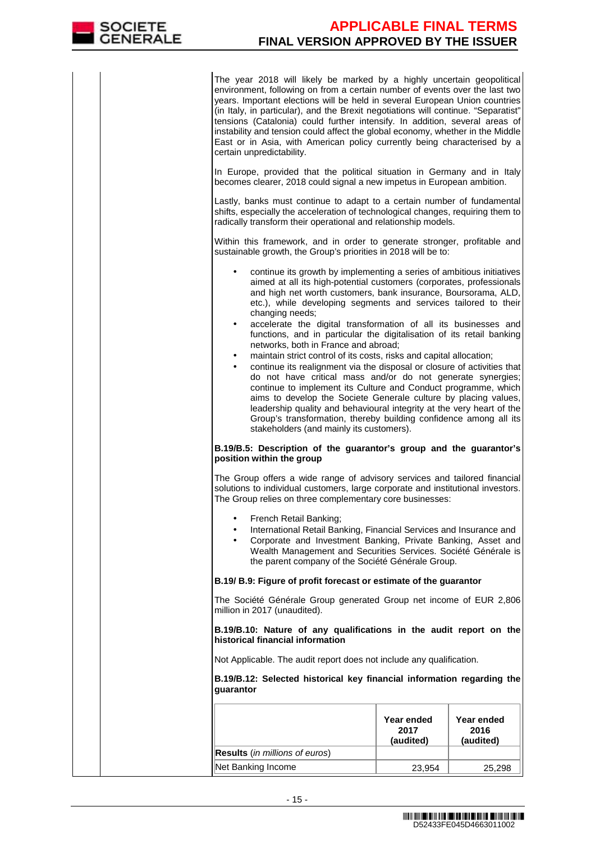

The year 2018 will likely be marked by a highly uncertain geopolitical environment, following on from a certain number of events over the last two years. Important elections will be held in several European Union countries (in Italy, in particular), and the Brexit negotiations will continue. "Separatist" tensions (Catalonia) could further intensify. In addition, several areas of instability and tension could affect the global economy, whether in the Middle East or in Asia, with American policy currently being characterised by a certain unpredictability.

In Europe, provided that the political situation in Germany and in Italy becomes clearer, 2018 could signal a new impetus in European ambition.

Lastly, banks must continue to adapt to a certain number of fundamental shifts, especially the acceleration of technological changes, requiring them to radically transform their operational and relationship models.

Within this framework, and in order to generate stronger, profitable and sustainable growth, the Group's priorities in 2018 will be to:

- continue its growth by implementing a series of ambitious initiatives aimed at all its high-potential customers (corporates, professionals and high net worth customers, bank insurance, Boursorama, ALD, etc.), while developing segments and services tailored to their changing needs;
- accelerate the digital transformation of all its businesses and functions, and in particular the digitalisation of its retail banking networks, both in France and abroad;
- maintain strict control of its costs, risks and capital allocation;
- continue its realignment via the disposal or closure of activities that do not have critical mass and/or do not generate synergies; continue to implement its Culture and Conduct programme, which aims to develop the Societe Generale culture by placing values, leadership quality and behavioural integrity at the very heart of the Group's transformation, thereby building confidence among all its stakeholders (and mainly its customers).

### **B.19/B.5: Description of the guarantor's group and the guarantor's position within the group**

The Group offers a wide range of advisory services and tailored financial solutions to individual customers, large corporate and institutional investors. The Group relies on three complementary core businesses:

- French Retail Banking;
- International Retail Banking, Financial Services and Insurance and
- Corporate and Investment Banking, Private Banking, Asset and Wealth Management and Securities Services. Société Générale is the parent company of the Société Générale Group.

### **B.19/ B.9: Figure of profit forecast or estimate of the guarantor**

The Société Générale Group generated Group net income of EUR 2,806 million in 2017 (unaudited).

**B.19/B.10: Nature of any qualifications in the audit report on the historical financial information**

Not Applicable. The audit report does not include any qualification.

**B.19/B.12: Selected historical key financial information regarding the guarantor**

|                                       | Year ended<br>2017<br>(audited) | Year ended<br>2016<br>(audited) |
|---------------------------------------|---------------------------------|---------------------------------|
| <b>Results</b> (in millions of euros) |                                 |                                 |
| Net Banking Income                    | 23.954                          | 25,298                          |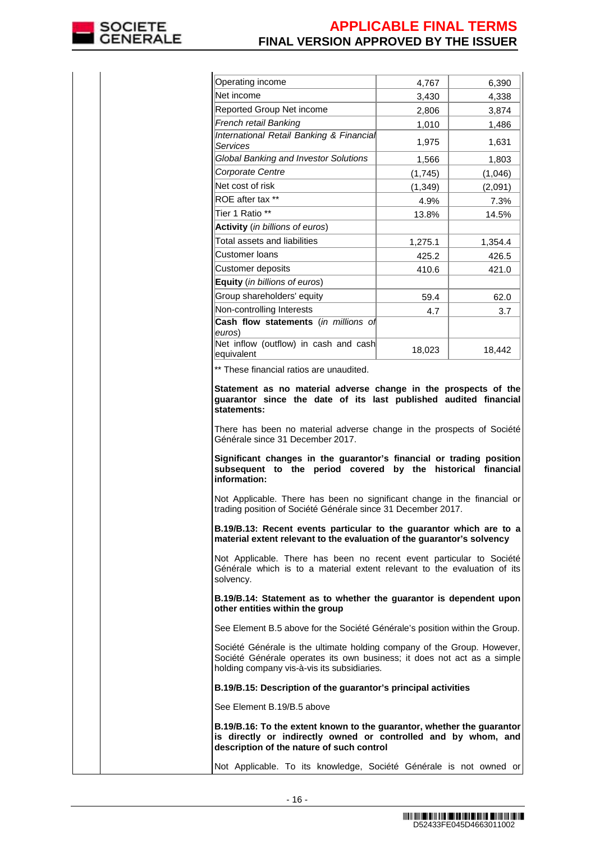

| Operating income                                                                                                                                                                                  | 4.767   | 6,390   |
|---------------------------------------------------------------------------------------------------------------------------------------------------------------------------------------------------|---------|---------|
| Net income                                                                                                                                                                                        | 3,430   | 4,338   |
| Reported Group Net income                                                                                                                                                                         | 2.806   | 3,874   |
| French retail Banking                                                                                                                                                                             | 1,010   | 1,486   |
| International Retail Banking & Financial<br>Services                                                                                                                                              | 1,975   | 1,631   |
| Global Banking and Investor Solutions                                                                                                                                                             | 1,566   | 1,803   |
| Corporate Centre                                                                                                                                                                                  | (1,745) | (1,046) |
| Net cost of risk                                                                                                                                                                                  | (1,349) | (2,091) |
| ROE after tax **                                                                                                                                                                                  | 4.9%    | 7.3%    |
| Tier 1 Ratio **                                                                                                                                                                                   | 13.8%   | 14.5%   |
| Activity (in billions of euros)                                                                                                                                                                   |         |         |
| Total assets and liabilities                                                                                                                                                                      | 1,275.1 | 1,354.4 |
| Customer Ioans                                                                                                                                                                                    | 425.2   | 426.5   |
| Customer deposits                                                                                                                                                                                 | 410.6   | 421.0   |
| <b>Equity</b> (in billions of euros)                                                                                                                                                              |         |         |
| Group shareholders' equity                                                                                                                                                                        | 59.4    | 62.0    |
| Non-controlling Interests                                                                                                                                                                         | 4.7     | 3.7     |
| Cash flow statements (in millions of<br>euros)                                                                                                                                                    |         |         |
| Net inflow (outflow) in cash and cash<br>equivalent                                                                                                                                               | 18,023  | 18,442  |
| ** These financial ratios are unaudited.                                                                                                                                                          |         |         |
| subsequent to the period covered by the historical financial<br>information:                                                                                                                      |         |         |
| Not Applicable. There has been no significant change in the financial or<br>trading position of Société Générale since 31 December 2017.                                                          |         |         |
| B.19/B.13: Recent events particular to the guarantor which are to a<br>material extent relevant to the evaluation of the guarantor's solvency                                                     |         |         |
| Not Applicable. There has been no recent event particular to Société<br>Générale which is to a material extent relevant to the evaluation of its<br>solvency.                                     |         |         |
| B.19/B.14: Statement as to whether the guarantor is dependent upon<br>other entities within the group                                                                                             |         |         |
| See Element B.5 above for the Société Générale's position within the Group.                                                                                                                       |         |         |
| Société Générale is the ultimate holding company of the Group. However,<br>Société Générale operates its own business; it does not act as a simple<br>holding company vis-à-vis its subsidiaries. |         |         |
|                                                                                                                                                                                                   |         |         |
| B.19/B.15: Description of the guarantor's principal activities                                                                                                                                    |         |         |
| See Element B.19/B.5 above                                                                                                                                                                        |         |         |
| B.19/B.16: To the extent known to the guarantor, whether the guarantor<br>is directly or indirectly owned or controlled and by whom, and<br>description of the nature of such control             |         |         |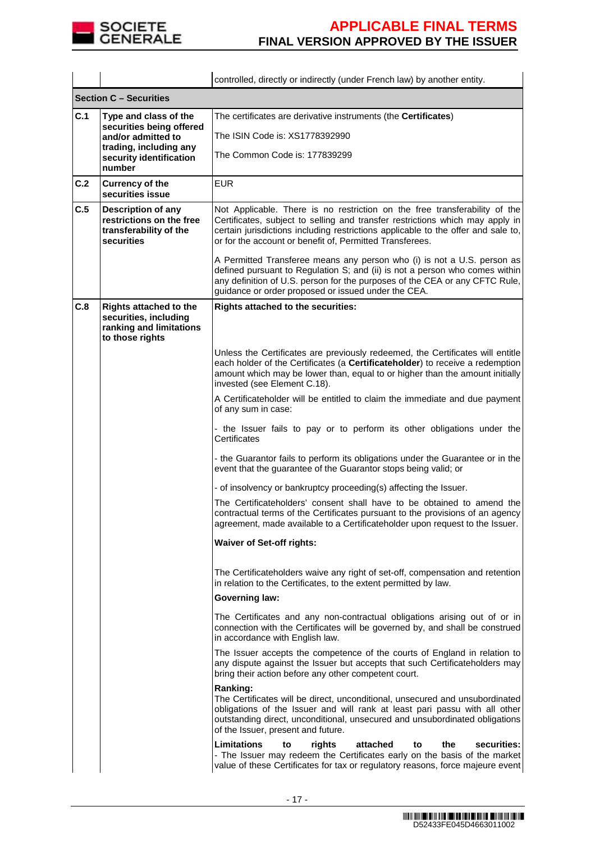

|                                                             |                                                                                                      | controlled, directly or indirectly (under French law) by another entity.                                                                                                                                                                                                                                     |  |  |
|-------------------------------------------------------------|------------------------------------------------------------------------------------------------------|--------------------------------------------------------------------------------------------------------------------------------------------------------------------------------------------------------------------------------------------------------------------------------------------------------------|--|--|
|                                                             | <b>Section C - Securities</b>                                                                        |                                                                                                                                                                                                                                                                                                              |  |  |
| C.1                                                         | Type and class of the<br>securities being offered                                                    | The certificates are derivative instruments (the Certificates)                                                                                                                                                                                                                                               |  |  |
|                                                             | and/or admitted to                                                                                   | The ISIN Code is: XS1778392990                                                                                                                                                                                                                                                                               |  |  |
| trading, including any<br>security identification<br>number |                                                                                                      | The Common Code is: 177839299                                                                                                                                                                                                                                                                                |  |  |
| C.2                                                         | <b>Currency of the</b><br>securities issue                                                           | <b>EUR</b>                                                                                                                                                                                                                                                                                                   |  |  |
| C.5                                                         | Description of any<br>restrictions on the free<br>transferability of the<br>securities               | Not Applicable. There is no restriction on the free transferability of the<br>Certificates, subject to selling and transfer restrictions which may apply in<br>certain jurisdictions including restrictions applicable to the offer and sale to,<br>or for the account or benefit of, Permitted Transferees. |  |  |
|                                                             |                                                                                                      | A Permitted Transferee means any person who (i) is not a U.S. person as<br>defined pursuant to Regulation S; and (ii) is not a person who comes within<br>any definition of U.S. person for the purposes of the CEA or any CFTC Rule,<br>guidance or order proposed or issued under the CEA.                 |  |  |
| C.8                                                         | <b>Rights attached to the</b><br>securities, including<br>ranking and limitations<br>to those rights | Rights attached to the securities:                                                                                                                                                                                                                                                                           |  |  |
|                                                             |                                                                                                      | Unless the Certificates are previously redeemed, the Certificates will entitle<br>each holder of the Certificates (a Certificateholder) to receive a redemption<br>amount which may be lower than, equal to or higher than the amount initially<br>invested (see Element C.18).                              |  |  |
|                                                             |                                                                                                      | A Certificateholder will be entitled to claim the immediate and due payment<br>of any sum in case:                                                                                                                                                                                                           |  |  |
|                                                             |                                                                                                      | - the Issuer fails to pay or to perform its other obligations under the<br>Certificates                                                                                                                                                                                                                      |  |  |
|                                                             |                                                                                                      | - the Guarantor fails to perform its obligations under the Guarantee or in the<br>event that the guarantee of the Guarantor stops being valid; or                                                                                                                                                            |  |  |
|                                                             |                                                                                                      | - of insolvency or bankruptcy proceeding(s) affecting the Issuer.                                                                                                                                                                                                                                            |  |  |
|                                                             |                                                                                                      | The Certificateholders' consent shall have to be obtained to amend the<br>contractual terms of the Certificates pursuant to the provisions of an agency<br>agreement, made available to a Certificateholder upon request to the Issuer.                                                                      |  |  |
|                                                             |                                                                                                      | <b>Waiver of Set-off rights:</b>                                                                                                                                                                                                                                                                             |  |  |
|                                                             |                                                                                                      | The Certificateholders waive any right of set-off, compensation and retention<br>in relation to the Certificates, to the extent permitted by law.                                                                                                                                                            |  |  |
|                                                             |                                                                                                      | <b>Governing law:</b>                                                                                                                                                                                                                                                                                        |  |  |
|                                                             |                                                                                                      | The Certificates and any non-contractual obligations arising out of or in<br>connection with the Certificates will be governed by, and shall be construed<br>in accordance with English law.                                                                                                                 |  |  |
|                                                             |                                                                                                      | The Issuer accepts the competence of the courts of England in relation to<br>any dispute against the Issuer but accepts that such Certificateholders may<br>bring their action before any other competent court.                                                                                             |  |  |
|                                                             |                                                                                                      | Ranking:<br>The Certificates will be direct, unconditional, unsecured and unsubordinated<br>obligations of the Issuer and will rank at least pari passu with all other<br>outstanding direct, unconditional, unsecured and unsubordinated obligations<br>of the Issuer, present and future.                  |  |  |
|                                                             |                                                                                                      | <b>Limitations</b><br>rights<br>attached<br>securities:<br>the<br>to<br>to<br>- The Issuer may redeem the Certificates early on the basis of the market<br>value of these Certificates for tax or regulatory reasons, force majeure event                                                                    |  |  |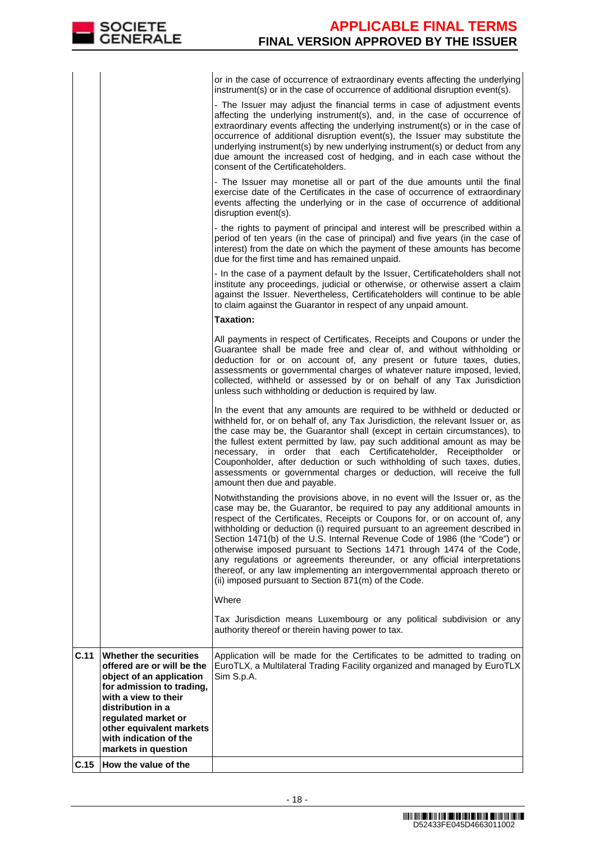or in the case of occurrence of extraordinary events affecting the underlying instrument(s) or in the case of occurrence of additional disruption event(s). - The Issuer may adjust the financial terms in case of adjustment events affecting the underlying instrument(s), and, in the case of occurrence of extraordinary events affecting the underlying instrument(s) or in the case of occurrence of additional disruption event(s), the Issuer may substitute the underlying instrument(s) by new underlying instrument(s) or deduct from any due amount the increased cost of hedging, and in each case without the consent of the Certificateholders. - The Issuer may monetise all or part of the due amounts until the final exercise date of the Certificates in the case of occurrence of extraordinary events affecting the underlying or in the case of occurrence of additional disruption event(s). - the rights to payment of principal and interest will be prescribed within a period of ten years (in the case of principal) and five years (in the case of interest) from the date on which the payment of these amounts has become due for the first time and has remained unpaid. - In the case of a payment default by the Issuer, Certificateholders shall not institute any proceedings, judicial or otherwise, or otherwise assert a claim against the Issuer. Nevertheless, Certificateholders will continue to be able to claim against the Guarantor in respect of any unpaid amount. **Taxation:** All payments in respect of Certificates, Receipts and Coupons or under the Guarantee shall be made free and clear of, and without withholding or deduction for or on account of, any present or future taxes, duties, assessments or governmental charges of whatever nature imposed, levied, collected, withheld or assessed by or on behalf of any Tax Jurisdiction unless such withholding or deduction is required by law. In the event that any amounts are required to be withheld or deducted or withheld for, or on behalf of, any Tax Jurisdiction, the relevant Issuer or, as the case may be, the Guarantor shall (except in certain circumstances), to the fullest extent permitted by law, pay such additional amount as may be necessary, in order that each Certificateholder, Receiptholder or Couponholder, after deduction or such withholding of such taxes, duties, assessments or governmental charges or deduction, will receive the full amount then due and payable. Notwithstanding the provisions above, in no event will the Issuer or, as the case may be, the Guarantor, be required to pay any additional amounts in

respect of the Certificates, Receipts or Coupons for, or on account of, any withholding or deduction (i) required pursuant to an agreement described in Section 1471(b) of the U.S. Internal Revenue Code of 1986 (the "Code") or otherwise imposed pursuant to Sections 1471 through 1474 of the Code, any regulations or agreements thereunder, or any official interpretations thereof, or any law implementing an intergovernmental approach thereto or (ii) imposed pursuant to Section 871(m) of the Code.

#### Where

Tax Jurisdiction means Luxembourg or any political subdivision or any authority thereof or therein having power to tax.

| C.11  | Whether the securities<br>offered are or will be the<br>object of an application<br>for admission to trading,<br>with a view to their<br>distribution in a<br>requiated market or<br>other equivalent markets<br>with indication of the<br>markets in question | Application will be made for the Certificates to be admitted to trading on<br>EuroTLX, a Multilateral Trading Facility organized and managed by EuroTLX<br>Sim S.p.A. |
|-------|----------------------------------------------------------------------------------------------------------------------------------------------------------------------------------------------------------------------------------------------------------------|-----------------------------------------------------------------------------------------------------------------------------------------------------------------------|
| IC.15 | <b>How the value of the</b>                                                                                                                                                                                                                                    |                                                                                                                                                                       |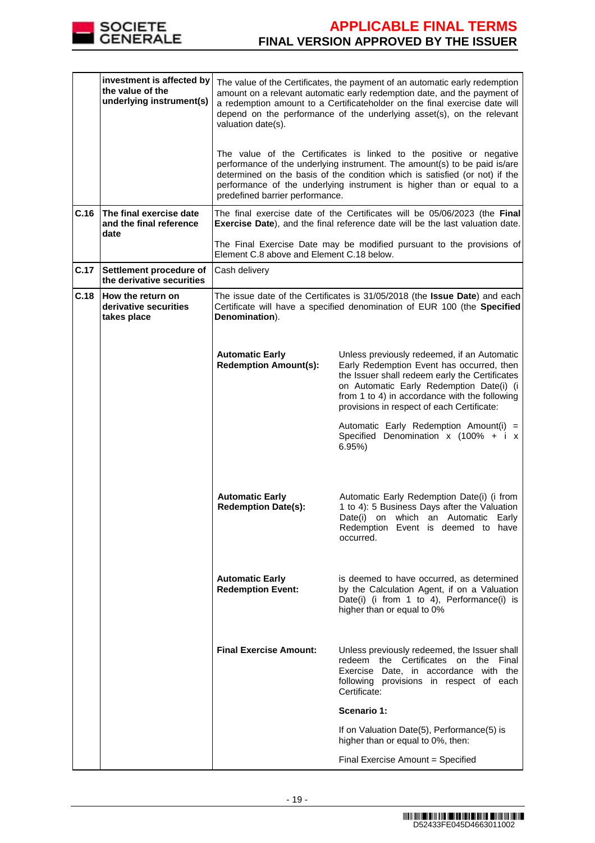

|      | investment is affected by<br>the value of the<br>underlying instrument(s) | valuation date(s).                                     | The value of the Certificates, the payment of an automatic early redemption<br>amount on a relevant automatic early redemption date, and the payment of<br>a redemption amount to a Certificateholder on the final exercise date will<br>depend on the performance of the underlying asset(s), on the relevant |
|------|---------------------------------------------------------------------------|--------------------------------------------------------|----------------------------------------------------------------------------------------------------------------------------------------------------------------------------------------------------------------------------------------------------------------------------------------------------------------|
|      |                                                                           | predefined barrier performance.                        | The value of the Certificates is linked to the positive or negative<br>performance of the underlying instrument. The amount(s) to be paid is/are<br>determined on the basis of the condition which is satisfied (or not) if the<br>performance of the underlying instrument is higher than or equal to a       |
| C.16 | The final exercise date<br>and the final reference<br>date                |                                                        | The final exercise date of the Certificates will be 05/06/2023 (the Final)<br>Exercise Date), and the final reference date will be the last valuation date.                                                                                                                                                    |
|      |                                                                           | Element C.8 above and Element C.18 below.              | The Final Exercise Date may be modified pursuant to the provisions of                                                                                                                                                                                                                                          |
| C.17 | Settlement procedure of<br>the derivative securities                      | Cash delivery                                          |                                                                                                                                                                                                                                                                                                                |
| C.18 | How the return on<br>derivative securities<br>takes place                 | Denomination).                                         | The issue date of the Certificates is 31/05/2018 (the <b>Issue Date</b> ) and each<br>Certificate will have a specified denomination of EUR 100 (the Specified                                                                                                                                                 |
|      |                                                                           | <b>Automatic Early</b><br><b>Redemption Amount(s):</b> | Unless previously redeemed, if an Automatic<br>Early Redemption Event has occurred, then<br>the Issuer shall redeem early the Certificates<br>on Automatic Early Redemption Date(i) (i<br>from 1 to 4) in accordance with the following<br>provisions in respect of each Certificate:                          |
|      |                                                                           |                                                        | Automatic Early Redemption Amount(i) =<br>Specified Denomination x (100% + i x<br>6.95%                                                                                                                                                                                                                        |
|      |                                                                           | <b>Automatic Early</b><br><b>Redemption Date(s):</b>   | Automatic Early Redemption Date(i) (i from<br>1 to 4): 5 Business Days after the Valuation<br>Date(i) on which an Automatic Early<br>Redemption Event is deemed to have<br>occurred.                                                                                                                           |
|      |                                                                           | <b>Automatic Early</b><br><b>Redemption Event:</b>     | is deemed to have occurred, as determined<br>by the Calculation Agent, if on a Valuation<br>Date(i) (i from 1 to 4), Performance(i) is<br>higher than or equal to 0%                                                                                                                                           |
|      |                                                                           | <b>Final Exercise Amount:</b>                          | Unless previously redeemed, the Issuer shall<br>redeem the Certificates on the Final<br>Exercise Date, in accordance with the<br>following provisions in respect of each<br>Certificate:                                                                                                                       |
|      |                                                                           |                                                        | Scenario 1:                                                                                                                                                                                                                                                                                                    |
|      |                                                                           |                                                        | If on Valuation Date(5), Performance(5) is<br>higher than or equal to 0%, then:                                                                                                                                                                                                                                |
|      |                                                                           |                                                        | Final Exercise Amount = Specified                                                                                                                                                                                                                                                                              |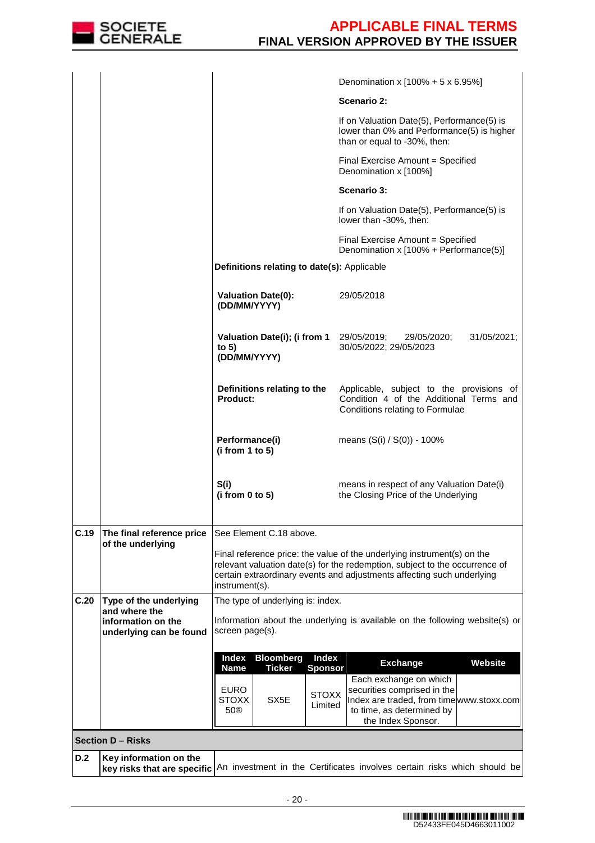

|      |                                                       |                                                                     |                         | Denomination x $[100\% + 5 \times 6.95\%]$                                                                                                                                                                                       |             |
|------|-------------------------------------------------------|---------------------------------------------------------------------|-------------------------|----------------------------------------------------------------------------------------------------------------------------------------------------------------------------------------------------------------------------------|-------------|
|      |                                                       |                                                                     |                         | Scenario 2:                                                                                                                                                                                                                      |             |
|      |                                                       |                                                                     |                         | If on Valuation Date(5), Performance(5) is<br>lower than 0% and Performance(5) is higher<br>than or equal to -30%, then:                                                                                                         |             |
|      |                                                       |                                                                     |                         | Final Exercise Amount = Specified<br>Denomination x [100%]                                                                                                                                                                       |             |
|      |                                                       |                                                                     |                         | Scenario 3:                                                                                                                                                                                                                      |             |
|      |                                                       |                                                                     |                         | If on Valuation Date(5), Performance(5) is<br>lower than -30%, then:                                                                                                                                                             |             |
|      |                                                       |                                                                     |                         | Final Exercise Amount = Specified<br>Denomination x [100% + Performance(5)]                                                                                                                                                      |             |
|      |                                                       | Definitions relating to date(s): Applicable                         |                         |                                                                                                                                                                                                                                  |             |
|      |                                                       | <b>Valuation Date(0):</b><br>(DD/MM/YYYY)                           |                         | 29/05/2018                                                                                                                                                                                                                       |             |
|      |                                                       | Valuation Date(i); (i from 1<br>to $5)$<br>(DD/MM/YYYY)             |                         | 29/05/2019;<br>29/05/2020;<br>30/05/2022; 29/05/2023                                                                                                                                                                             | 31/05/2021; |
|      |                                                       | Definitions relating to the<br><b>Product:</b>                      |                         | Applicable, subject to the provisions of<br>Condition 4 of the Additional Terms and<br>Conditions relating to Formulae                                                                                                           |             |
|      |                                                       | Performance(i)<br>(i from 1 to 5)                                   |                         | means $(S(i) / S(0)) - 100\%$                                                                                                                                                                                                    |             |
|      |                                                       | S(i)<br>(i from $0$ to $5$ )                                        |                         | means in respect of any Valuation Date(i)<br>the Closing Price of the Underlying                                                                                                                                                 |             |
| C.19 | The final reference price                             | See Element C.18 above.                                             |                         |                                                                                                                                                                                                                                  |             |
|      | of the underlying                                     | instrument(s).                                                      |                         | Final reference price: the value of the underlying instrument(s) on the<br>relevant valuation date(s) for the redemption, subject to the occurrence of<br>certain extraordinary events and adjustments affecting such underlying |             |
| C.20 | Type of the underlying<br>and where the               | The type of underlying is: index.                                   |                         |                                                                                                                                                                                                                                  |             |
|      | information on the<br>underlying can be found         | screen page(s).                                                     |                         | Information about the underlying is available on the following website(s) or                                                                                                                                                     |             |
|      |                                                       | <b>Bloomberg</b><br>Index                                           | <b>Index</b>            | <b>Exchange</b>                                                                                                                                                                                                                  | Website     |
|      |                                                       | <b>Ticker</b><br><b>Name</b>                                        | <b>Sponsor</b>          | Each exchange on which                                                                                                                                                                                                           |             |
|      |                                                       | <b>EURO</b><br><b>STOXX</b><br>SX <sub>5</sub> E<br>50 <sup>®</sup> | <b>STOXX</b><br>Limited | securities comprised in the<br>Index are traded, from timewww.stoxx.com<br>to time, as determined by<br>the Index Sponsor.                                                                                                       |             |
|      | <b>Section D-Risks</b>                                |                                                                     |                         |                                                                                                                                                                                                                                  |             |
| D.2  | Key information on the<br>key risks that are specific |                                                                     |                         | An investment in the Certificates involves certain risks which should be                                                                                                                                                         |             |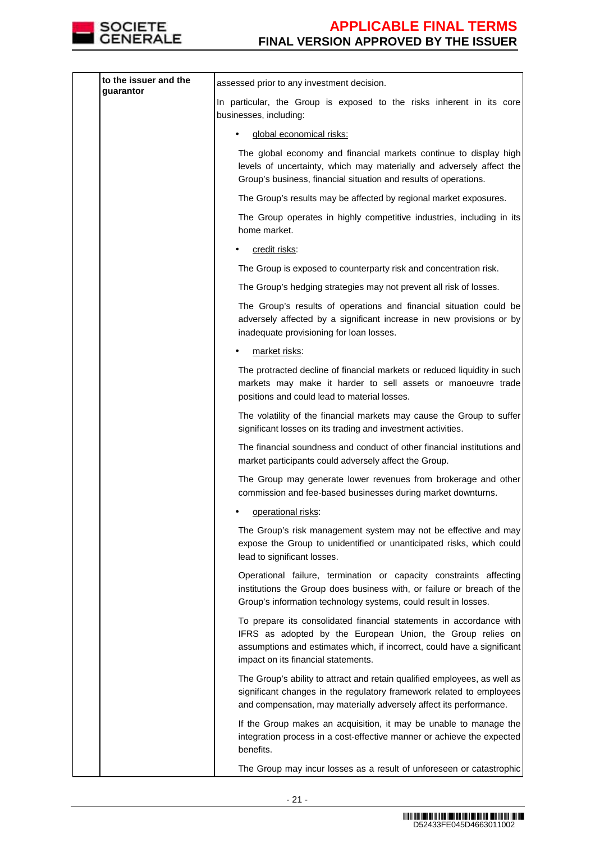

| to the issuer and the<br>guarantor | assessed prior to any investment decision.                                                                                                                                                                                                          |
|------------------------------------|-----------------------------------------------------------------------------------------------------------------------------------------------------------------------------------------------------------------------------------------------------|
|                                    | In particular, the Group is exposed to the risks inherent in its core<br>businesses, including:                                                                                                                                                     |
|                                    | global economical risks:                                                                                                                                                                                                                            |
|                                    | The global economy and financial markets continue to display high<br>levels of uncertainty, which may materially and adversely affect the<br>Group's business, financial situation and results of operations.                                       |
|                                    | The Group's results may be affected by regional market exposures.                                                                                                                                                                                   |
|                                    | The Group operates in highly competitive industries, including in its<br>home market.                                                                                                                                                               |
|                                    | credit risks:                                                                                                                                                                                                                                       |
|                                    | The Group is exposed to counterparty risk and concentration risk.                                                                                                                                                                                   |
|                                    | The Group's hedging strategies may not prevent all risk of losses.                                                                                                                                                                                  |
|                                    | The Group's results of operations and financial situation could be<br>adversely affected by a significant increase in new provisions or by<br>inadequate provisioning for loan losses.                                                              |
|                                    | market risks:                                                                                                                                                                                                                                       |
|                                    | The protracted decline of financial markets or reduced liquidity in such<br>markets may make it harder to sell assets or manoeuvre trade<br>positions and could lead to material losses.                                                            |
|                                    | The volatility of the financial markets may cause the Group to suffer<br>significant losses on its trading and investment activities.                                                                                                               |
|                                    | The financial soundness and conduct of other financial institutions and<br>market participants could adversely affect the Group.                                                                                                                    |
|                                    | The Group may generate lower revenues from brokerage and other<br>commission and fee-based businesses during market downturns.                                                                                                                      |
|                                    | operational risks:                                                                                                                                                                                                                                  |
|                                    | The Group's risk management system may not be effective and may<br>expose the Group to unidentified or unanticipated risks, which could<br>lead to significant losses.                                                                              |
|                                    | Operational failure, termination or capacity constraints affecting<br>institutions the Group does business with, or failure or breach of the<br>Group's information technology systems, could result in losses.                                     |
|                                    | To prepare its consolidated financial statements in accordance with<br>IFRS as adopted by the European Union, the Group relies on<br>assumptions and estimates which, if incorrect, could have a significant<br>impact on its financial statements. |
|                                    | The Group's ability to attract and retain qualified employees, as well as<br>significant changes in the regulatory framework related to employees<br>and compensation, may materially adversely affect its performance.                             |
|                                    | If the Group makes an acquisition, it may be unable to manage the<br>integration process in a cost-effective manner or achieve the expected<br>benefits.                                                                                            |
|                                    | The Group may incur losses as a result of unforeseen or catastrophic                                                                                                                                                                                |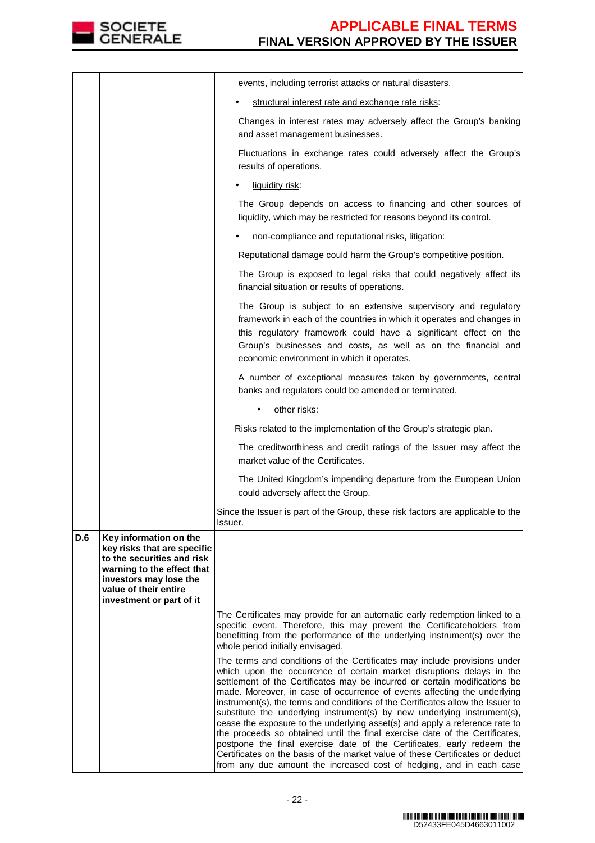

|     |                                                                                                                                                                                                  | events, including terrorist attacks or natural disasters.                                                                                                                                                                                                                                                                                                                                                                                                                                                                                                                                                                                                                                                                                                                                                                                                                   |
|-----|--------------------------------------------------------------------------------------------------------------------------------------------------------------------------------------------------|-----------------------------------------------------------------------------------------------------------------------------------------------------------------------------------------------------------------------------------------------------------------------------------------------------------------------------------------------------------------------------------------------------------------------------------------------------------------------------------------------------------------------------------------------------------------------------------------------------------------------------------------------------------------------------------------------------------------------------------------------------------------------------------------------------------------------------------------------------------------------------|
|     |                                                                                                                                                                                                  | structural interest rate and exchange rate risks:                                                                                                                                                                                                                                                                                                                                                                                                                                                                                                                                                                                                                                                                                                                                                                                                                           |
|     |                                                                                                                                                                                                  | Changes in interest rates may adversely affect the Group's banking<br>and asset management businesses.                                                                                                                                                                                                                                                                                                                                                                                                                                                                                                                                                                                                                                                                                                                                                                      |
|     |                                                                                                                                                                                                  | Fluctuations in exchange rates could adversely affect the Group's<br>results of operations.                                                                                                                                                                                                                                                                                                                                                                                                                                                                                                                                                                                                                                                                                                                                                                                 |
|     |                                                                                                                                                                                                  | liquidity risk:                                                                                                                                                                                                                                                                                                                                                                                                                                                                                                                                                                                                                                                                                                                                                                                                                                                             |
|     |                                                                                                                                                                                                  | The Group depends on access to financing and other sources of<br>liquidity, which may be restricted for reasons beyond its control.                                                                                                                                                                                                                                                                                                                                                                                                                                                                                                                                                                                                                                                                                                                                         |
|     |                                                                                                                                                                                                  | non-compliance and reputational risks, litigation:                                                                                                                                                                                                                                                                                                                                                                                                                                                                                                                                                                                                                                                                                                                                                                                                                          |
|     |                                                                                                                                                                                                  | Reputational damage could harm the Group's competitive position.                                                                                                                                                                                                                                                                                                                                                                                                                                                                                                                                                                                                                                                                                                                                                                                                            |
|     |                                                                                                                                                                                                  | The Group is exposed to legal risks that could negatively affect its<br>financial situation or results of operations.                                                                                                                                                                                                                                                                                                                                                                                                                                                                                                                                                                                                                                                                                                                                                       |
|     |                                                                                                                                                                                                  | The Group is subject to an extensive supervisory and regulatory<br>framework in each of the countries in which it operates and changes in<br>this regulatory framework could have a significant effect on the<br>Group's businesses and costs, as well as on the financial and<br>economic environment in which it operates.                                                                                                                                                                                                                                                                                                                                                                                                                                                                                                                                                |
|     |                                                                                                                                                                                                  | A number of exceptional measures taken by governments, central<br>banks and regulators could be amended or terminated.                                                                                                                                                                                                                                                                                                                                                                                                                                                                                                                                                                                                                                                                                                                                                      |
|     |                                                                                                                                                                                                  | other risks:                                                                                                                                                                                                                                                                                                                                                                                                                                                                                                                                                                                                                                                                                                                                                                                                                                                                |
|     |                                                                                                                                                                                                  | Risks related to the implementation of the Group's strategic plan.                                                                                                                                                                                                                                                                                                                                                                                                                                                                                                                                                                                                                                                                                                                                                                                                          |
|     |                                                                                                                                                                                                  | The creditworthiness and credit ratings of the Issuer may affect the<br>market value of the Certificates.                                                                                                                                                                                                                                                                                                                                                                                                                                                                                                                                                                                                                                                                                                                                                                   |
|     |                                                                                                                                                                                                  | The United Kingdom's impending departure from the European Union<br>could adversely affect the Group.                                                                                                                                                                                                                                                                                                                                                                                                                                                                                                                                                                                                                                                                                                                                                                       |
|     |                                                                                                                                                                                                  | Since the Issuer is part of the Group, these risk factors are applicable to the<br>Issuer.                                                                                                                                                                                                                                                                                                                                                                                                                                                                                                                                                                                                                                                                                                                                                                                  |
| D.6 | Key information on the<br>key risks that are specific<br>to the securities and risk<br>warning to the effect that<br>investors may lose the<br>value of their entire<br>investment or part of it | The Certificates may provide for an automatic early redemption linked to a<br>specific event. Therefore, this may prevent the Certificateholders from                                                                                                                                                                                                                                                                                                                                                                                                                                                                                                                                                                                                                                                                                                                       |
|     |                                                                                                                                                                                                  | benefitting from the performance of the underlying instrument(s) over the<br>whole period initially envisaged.                                                                                                                                                                                                                                                                                                                                                                                                                                                                                                                                                                                                                                                                                                                                                              |
|     |                                                                                                                                                                                                  | The terms and conditions of the Certificates may include provisions under<br>which upon the occurrence of certain market disruptions delays in the<br>settlement of the Certificates may be incurred or certain modifications be<br>made. Moreover, in case of occurrence of events affecting the underlying<br>instrument(s), the terms and conditions of the Certificates allow the Issuer to<br>substitute the underlying instrument(s) by new underlying instrument(s),<br>cease the exposure to the underlying asset(s) and apply a reference rate to<br>the proceeds so obtained until the final exercise date of the Certificates,<br>postpone the final exercise date of the Certificates, early redeem the<br>Certificates on the basis of the market value of these Certificates or deduct<br>from any due amount the increased cost of hedging, and in each case |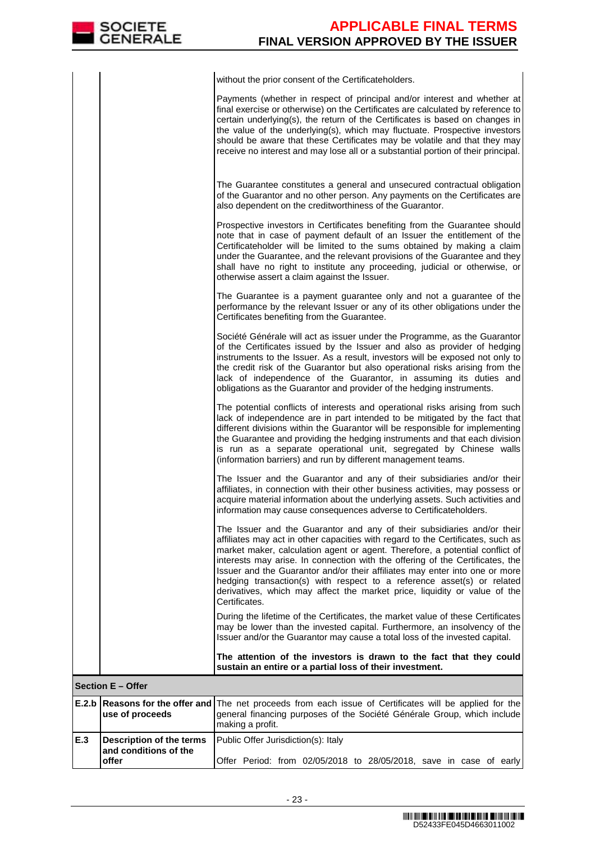**offer**

|     |                                                          | without the prior consent of the Certificateholders.                                                                                                                                                                                                                                                                                                                                                                                                                                                                                                                               |
|-----|----------------------------------------------------------|------------------------------------------------------------------------------------------------------------------------------------------------------------------------------------------------------------------------------------------------------------------------------------------------------------------------------------------------------------------------------------------------------------------------------------------------------------------------------------------------------------------------------------------------------------------------------------|
|     |                                                          | Payments (whether in respect of principal and/or interest and whether at<br>final exercise or otherwise) on the Certificates are calculated by reference to<br>certain underlying(s), the return of the Certificates is based on changes in<br>the value of the underlying(s), which may fluctuate. Prospective investors<br>should be aware that these Certificates may be volatile and that they may<br>receive no interest and may lose all or a substantial portion of their principal.                                                                                        |
|     |                                                          | The Guarantee constitutes a general and unsecured contractual obligation<br>of the Guarantor and no other person. Any payments on the Certificates are<br>also dependent on the creditworthiness of the Guarantor.                                                                                                                                                                                                                                                                                                                                                                 |
|     |                                                          | Prospective investors in Certificates benefiting from the Guarantee should<br>note that in case of payment default of an Issuer the entitlement of the<br>Certificateholder will be limited to the sums obtained by making a claim<br>under the Guarantee, and the relevant provisions of the Guarantee and they<br>shall have no right to institute any proceeding, judicial or otherwise, or<br>otherwise assert a claim against the Issuer.                                                                                                                                     |
|     |                                                          | The Guarantee is a payment guarantee only and not a guarantee of the<br>performance by the relevant Issuer or any of its other obligations under the<br>Certificates benefiting from the Guarantee.                                                                                                                                                                                                                                                                                                                                                                                |
|     |                                                          | Société Générale will act as issuer under the Programme, as the Guarantor<br>of the Certificates issued by the Issuer and also as provider of hedging<br>instruments to the Issuer. As a result, investors will be exposed not only to<br>the credit risk of the Guarantor but also operational risks arising from the<br>lack of independence of the Guarantor, in assuming its duties and<br>obligations as the Guarantor and provider of the hedging instruments.                                                                                                               |
|     |                                                          | The potential conflicts of interests and operational risks arising from such<br>lack of independence are in part intended to be mitigated by the fact that<br>different divisions within the Guarantor will be responsible for implementing<br>the Guarantee and providing the hedging instruments and that each division<br>is run as a separate operational unit, segregated by Chinese walls<br>(information barriers) and run by different management teams.                                                                                                                   |
|     |                                                          | The Issuer and the Guarantor and any of their subsidiaries and/or their<br>affiliates, in connection with their other business activities, may possess or<br>acquire material information about the underlying assets. Such activities and<br>information may cause consequences adverse to Certificateholders.                                                                                                                                                                                                                                                                    |
|     |                                                          | The Issuer and the Guarantor and any of their subsidiaries and/or their<br>affiliates may act in other capacities with regard to the Certificates, such as<br>market maker, calculation agent or agent. Therefore, a potential conflict of<br>interests may arise. In connection with the offering of the Certificates, the<br>Issuer and the Guarantor and/or their affiliates may enter into one or more<br>hedging transaction(s) with respect to a reference asset(s) or related<br>derivatives, which may affect the market price, liquidity or value of the<br>Certificates. |
|     |                                                          | During the lifetime of the Certificates, the market value of these Certificates<br>may be lower than the invested capital. Furthermore, an insolvency of the<br>Issuer and/or the Guarantor may cause a total loss of the invested capital.                                                                                                                                                                                                                                                                                                                                        |
|     |                                                          | The attention of the investors is drawn to the fact that they could<br>sustain an entire or a partial loss of their investment.                                                                                                                                                                                                                                                                                                                                                                                                                                                    |
|     | <b>Section E - Offer</b>                                 |                                                                                                                                                                                                                                                                                                                                                                                                                                                                                                                                                                                    |
|     | use of proceeds                                          | <b>E.2.b</b> Reasons for the offer and The net proceeds from each issue of Certificates will be applied for the<br>general financing purposes of the Société Générale Group, which include<br>making a profit.                                                                                                                                                                                                                                                                                                                                                                     |
| E.3 | <b>Description of the terms</b><br>and conditions of the | Public Offer Jurisdiction(s): Italy                                                                                                                                                                                                                                                                                                                                                                                                                                                                                                                                                |

Offer Period: from 02/05/2018 to 28/05/2018, save in case of early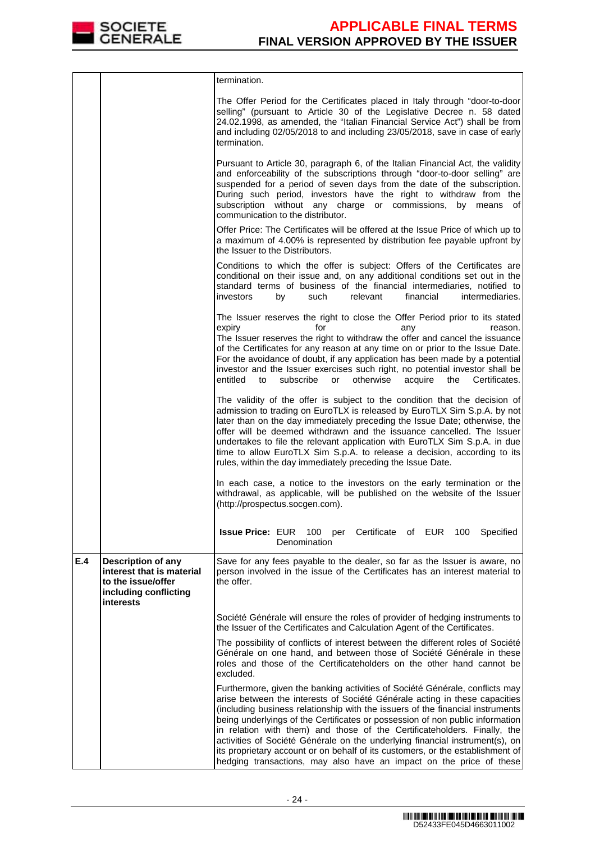

|     |                                                                                                                    | termination.                                                                                                                                                                                                                                                                                                                                                                                                                                                                                                                                                                                                                                       |
|-----|--------------------------------------------------------------------------------------------------------------------|----------------------------------------------------------------------------------------------------------------------------------------------------------------------------------------------------------------------------------------------------------------------------------------------------------------------------------------------------------------------------------------------------------------------------------------------------------------------------------------------------------------------------------------------------------------------------------------------------------------------------------------------------|
|     |                                                                                                                    | The Offer Period for the Certificates placed in Italy through "door-to-door<br>selling" (pursuant to Article 30 of the Legislative Decree n. 58 dated<br>24.02.1998, as amended, the "Italian Financial Service Act") shall be from<br>and including 02/05/2018 to and including 23/05/2018, save in case of early<br>termination.                                                                                                                                                                                                                                                                                                                 |
|     |                                                                                                                    | Pursuant to Article 30, paragraph 6, of the Italian Financial Act, the validity<br>and enforceability of the subscriptions through "door-to-door selling" are<br>suspended for a period of seven days from the date of the subscription.<br>During such period, investors have the right to withdraw from the<br>subscription without any charge or commissions, by<br>means<br>οf<br>communication to the distributor.                                                                                                                                                                                                                            |
|     |                                                                                                                    | Offer Price: The Certificates will be offered at the Issue Price of which up to<br>a maximum of 4.00% is represented by distribution fee payable upfront by<br>the Issuer to the Distributors.                                                                                                                                                                                                                                                                                                                                                                                                                                                     |
|     |                                                                                                                    | Conditions to which the offer is subject: Offers of the Certificates are<br>conditional on their issue and, on any additional conditions set out in the<br>standard terms of business of the financial intermediaries, notified to<br>financial<br>investors<br>by<br>such<br>relevant<br>intermediaries.                                                                                                                                                                                                                                                                                                                                          |
|     |                                                                                                                    | The Issuer reserves the right to close the Offer Period prior to its stated<br>expiry<br>for<br>reason.<br>any<br>The Issuer reserves the right to withdraw the offer and cancel the issuance<br>of the Certificates for any reason at any time on or prior to the Issue Date.<br>For the avoidance of doubt, if any application has been made by a potential<br>investor and the Issuer exercises such right, no potential investor shall be<br>otherwise<br>entitled<br>subscribe<br>or<br>acquire<br>Certificates.<br>to<br>the                                                                                                                 |
|     |                                                                                                                    | The validity of the offer is subject to the condition that the decision of<br>admission to trading on EuroTLX is released by EuroTLX Sim S.p.A. by not<br>later than on the day immediately preceding the Issue Date; otherwise, the<br>offer will be deemed withdrawn and the issuance cancelled. The Issuer<br>undertakes to file the relevant application with EuroTLX Sim S.p.A. in due<br>time to allow EuroTLX Sim S.p.A. to release a decision, according to its<br>rules, within the day immediately preceding the Issue Date.                                                                                                             |
|     |                                                                                                                    | In each case, a notice to the investors on the early termination or the<br>withdrawal, as applicable, will be published on the website of the Issuer<br>(http://prospectus.socgen.com).                                                                                                                                                                                                                                                                                                                                                                                                                                                            |
|     |                                                                                                                    | <b>Issue Price: EUR 100</b><br>Certificate of EUR 100<br>Specified<br>per<br>Denomination                                                                                                                                                                                                                                                                                                                                                                                                                                                                                                                                                          |
| E.4 | <b>Description of any</b><br>interest that is material<br>to the issue/offer<br>including conflicting<br>interests | Save for any fees payable to the dealer, so far as the Issuer is aware, no<br>person involved in the issue of the Certificates has an interest material to<br>the offer.                                                                                                                                                                                                                                                                                                                                                                                                                                                                           |
|     |                                                                                                                    | Société Générale will ensure the roles of provider of hedging instruments to<br>the Issuer of the Certificates and Calculation Agent of the Certificates.                                                                                                                                                                                                                                                                                                                                                                                                                                                                                          |
|     |                                                                                                                    | The possibility of conflicts of interest between the different roles of Société<br>Générale on one hand, and between those of Société Générale in these<br>roles and those of the Certificateholders on the other hand cannot be<br>excluded.                                                                                                                                                                                                                                                                                                                                                                                                      |
|     |                                                                                                                    | Furthermore, given the banking activities of Société Générale, conflicts may<br>arise between the interests of Société Générale acting in these capacities<br>(including business relationship with the issuers of the financial instruments<br>being underlyings of the Certificates or possession of non public information<br>in relation with them) and those of the Certificateholders. Finally, the<br>activities of Société Générale on the underlying financial instrument(s), on<br>its proprietary account or on behalf of its customers, or the establishment of<br>hedging transactions, may also have an impact on the price of these |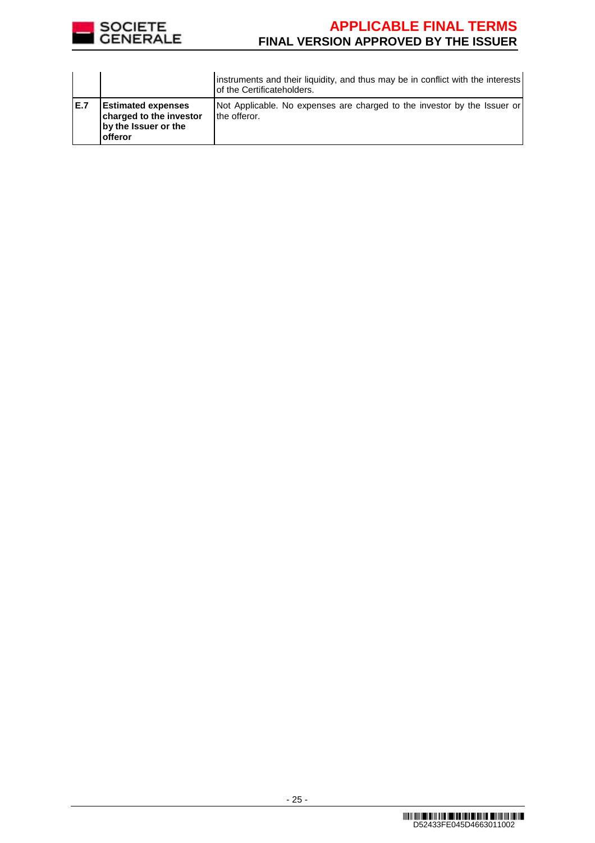

|      |                                                                                          | instruments and their liquidity, and thus may be in conflict with the interests<br>of the Certificateholders. |
|------|------------------------------------------------------------------------------------------|---------------------------------------------------------------------------------------------------------------|
| IE.7 | <b>Estimated expenses</b><br>charged to the investor<br>by the Issuer or the<br>lofferor | Not Applicable. No expenses are charged to the investor by the Issuer or<br>the offeror.                      |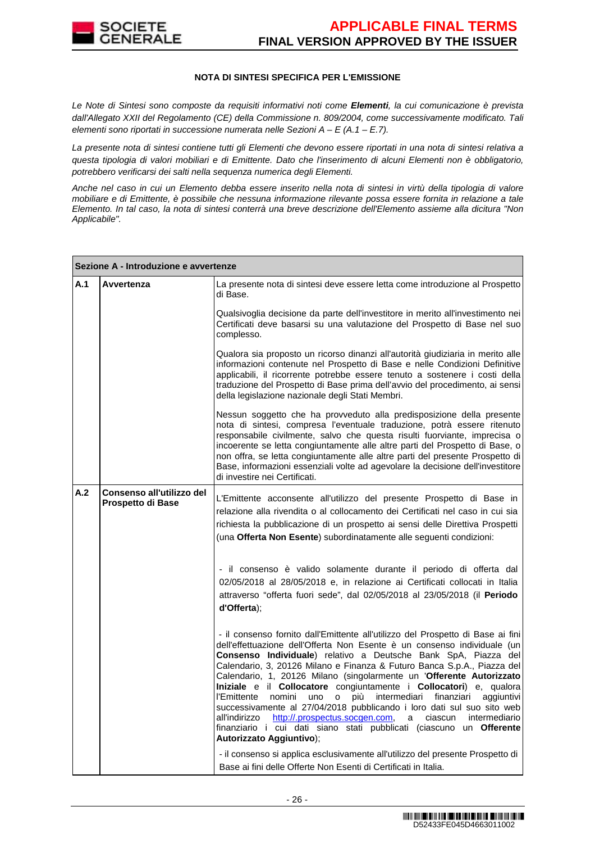

### **NOTA DI SINTESI SPECIFICA PER L'EMISSIONE**

Le Note di Sintesi sono composte da requisiti informativi noti come **Elementi**, la cui comunicazione è prevista dall'Allegato XXII del Regolamento (CE) della Commissione n. 809/2004, come successivamente modificato. Tali elementi sono riportati in successione numerata nelle Sezioni  $A - E(A.1 - E.7)$ .

La presente nota di sintesi contiene tutti gli Elementi che devono essere riportati in una nota di sintesi relativa a questa tipologia di valori mobiliari e di Emittente. Dato che l'inserimento di alcuni Elementi non è obbligatorio, potrebbero verificarsi dei salti nella sequenza numerica degli Elementi.

Anche nel caso in cui un Elemento debba essere inserito nella nota di sintesi in virtù della tipologia di valore mobiliare e di Emittente, è possibile che nessuna informazione rilevante possa essere fornita in relazione a tale Elemento. In tal caso, la nota di sintesi conterrà una breve descrizione dell'Elemento assieme alla dicitura "Non Applicabile".

|     | Sezione A - Introduzione e avvertenze          |                                                                                                                                                                                                                                                                                                                                                                                                                                                                                                                                                                                                                                                                                                                                                                                                |  |  |
|-----|------------------------------------------------|------------------------------------------------------------------------------------------------------------------------------------------------------------------------------------------------------------------------------------------------------------------------------------------------------------------------------------------------------------------------------------------------------------------------------------------------------------------------------------------------------------------------------------------------------------------------------------------------------------------------------------------------------------------------------------------------------------------------------------------------------------------------------------------------|--|--|
| A.1 | Avvertenza                                     | La presente nota di sintesi deve essere letta come introduzione al Prospetto<br>di Base.                                                                                                                                                                                                                                                                                                                                                                                                                                                                                                                                                                                                                                                                                                       |  |  |
|     |                                                | Qualsivoglia decisione da parte dell'investitore in merito all'investimento nei<br>Certificati deve basarsi su una valutazione del Prospetto di Base nel suo<br>complesso.                                                                                                                                                                                                                                                                                                                                                                                                                                                                                                                                                                                                                     |  |  |
|     |                                                | Qualora sia proposto un ricorso dinanzi all'autorità giudiziaria in merito alle<br>informazioni contenute nel Prospetto di Base e nelle Condizioni Definitive<br>applicabili, il ricorrente potrebbe essere tenuto a sostenere i costi della<br>traduzione del Prospetto di Base prima dell'avvio del procedimento, ai sensi<br>della legislazione nazionale degli Stati Membri.                                                                                                                                                                                                                                                                                                                                                                                                               |  |  |
|     |                                                | Nessun soggetto che ha provveduto alla predisposizione della presente<br>nota di sintesi, compresa l'eventuale traduzione, potrà essere ritenuto<br>responsabile civilmente, salvo che questa risulti fuorviante, imprecisa o<br>incoerente se letta congiuntamente alle altre parti del Prospetto di Base, o<br>non offra, se letta congiuntamente alle altre parti del presente Prospetto di<br>Base, informazioni essenziali volte ad agevolare la decisione dell'investitore<br>di investire nei Certificati.                                                                                                                                                                                                                                                                              |  |  |
| A.2 | Consenso all'utilizzo del<br>Prospetto di Base | L'Emittente acconsente all'utilizzo del presente Prospetto di Base in<br>relazione alla rivendita o al collocamento dei Certificati nel caso in cui sia<br>richiesta la pubblicazione di un prospetto ai sensi delle Direttiva Prospetti<br>(una Offerta Non Esente) subordinatamente alle seguenti condizioni:                                                                                                                                                                                                                                                                                                                                                                                                                                                                                |  |  |
|     |                                                | - il consenso è valido solamente durante il periodo di offerta dal<br>02/05/2018 al 28/05/2018 e, in relazione ai Certificati collocati in Italia<br>attraverso "offerta fuori sede", dal 02/05/2018 al 23/05/2018 (il Periodo<br>d'Offerta);                                                                                                                                                                                                                                                                                                                                                                                                                                                                                                                                                  |  |  |
|     |                                                | - il consenso fornito dall'Emittente all'utilizzo del Prospetto di Base ai fini<br>dell'effettuazione dell'Offerta Non Esente è un consenso individuale (un<br>Consenso Individuale) relativo a Deutsche Bank SpA, Piazza del<br>Calendario, 3, 20126 Milano e Finanza & Futuro Banca S.p.A., Piazza del<br>Calendario, 1, 20126 Milano (singolarmente un 'Offerente Autorizzato<br>Iniziale e il Collocatore congiuntamente i Collocatori) e, qualora<br>nomini<br>intermediari finanziari<br>l'Emittente<br>uno o<br>più<br>aggiuntivi<br>successivamente al 27/04/2018 pubblicando i loro dati sul suo sito web<br>all'indirizzo http://.prospectus.socgen.com, a ciascun intermediario<br>finanziario i cui dati siano stati pubblicati (ciascuno un Offerente<br>Autorizzato Aggiuntivo); |  |  |
|     |                                                | - il consenso si applica esclusivamente all'utilizzo del presente Prospetto di<br>Base ai fini delle Offerte Non Esenti di Certificati in Italia.                                                                                                                                                                                                                                                                                                                                                                                                                                                                                                                                                                                                                                              |  |  |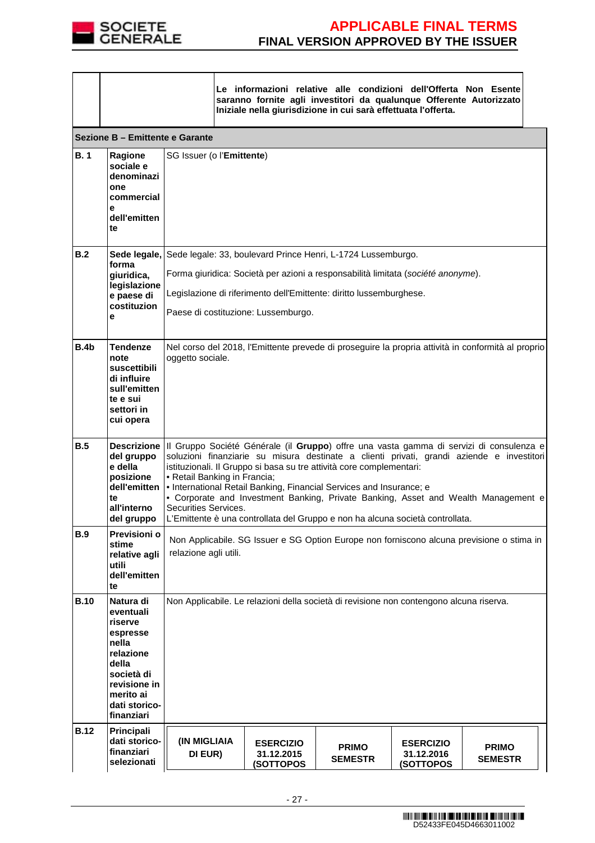

|             |                                                                                                                                                        | Le informazioni relative alle condizioni dell'Offerta Non Esente<br>saranno fornite agli investitori da qualunque Offerente Autorizzato<br>Iniziale nella giurisdizione in cui sarà effettuata l'offerta.                                                                                                                                                                                                                                                                                                                                                           |  |                                             |                                                                                         |                                             |                                |  |
|-------------|--------------------------------------------------------------------------------------------------------------------------------------------------------|---------------------------------------------------------------------------------------------------------------------------------------------------------------------------------------------------------------------------------------------------------------------------------------------------------------------------------------------------------------------------------------------------------------------------------------------------------------------------------------------------------------------------------------------------------------------|--|---------------------------------------------|-----------------------------------------------------------------------------------------|---------------------------------------------|--------------------------------|--|
|             | Sezione B - Emittente e Garante                                                                                                                        |                                                                                                                                                                                                                                                                                                                                                                                                                                                                                                                                                                     |  |                                             |                                                                                         |                                             |                                |  |
| <b>B.1</b>  | <b>Ragione</b><br>sociale e<br>denominazi<br>one<br>commercial<br>е<br>dell'emitten<br>te                                                              | SG Issuer (o l'Emittente)                                                                                                                                                                                                                                                                                                                                                                                                                                                                                                                                           |  |                                             |                                                                                         |                                             |                                |  |
| B.2         | forma                                                                                                                                                  |                                                                                                                                                                                                                                                                                                                                                                                                                                                                                                                                                                     |  |                                             | Sede legale, Sede legale: 33, boulevard Prince Henri, L-1724 Lussemburgo.               |                                             |                                |  |
|             | giuridica,                                                                                                                                             |                                                                                                                                                                                                                                                                                                                                                                                                                                                                                                                                                                     |  |                                             | Forma giuridica: Società per azioni a responsabilità limitata (société anonyme).        |                                             |                                |  |
|             | legislazione<br>e paese di                                                                                                                             |                                                                                                                                                                                                                                                                                                                                                                                                                                                                                                                                                                     |  |                                             | Legislazione di riferimento dell'Emittente: diritto lussemburghese.                     |                                             |                                |  |
|             | costituzion<br>e                                                                                                                                       |                                                                                                                                                                                                                                                                                                                                                                                                                                                                                                                                                                     |  | Paese di costituzione: Lussemburgo.         |                                                                                         |                                             |                                |  |
| B.4b        | <b>Tendenze</b><br>note<br>suscettibili<br>di influire<br>sull'emitten<br>te e sui<br>settori in<br>cui opera                                          | Nel corso del 2018, l'Emittente prevede di proseguire la propria attività in conformità al proprio<br>oggetto sociale.                                                                                                                                                                                                                                                                                                                                                                                                                                              |  |                                             |                                                                                         |                                             |                                |  |
| B.5         | <b>Descrizione</b><br>del gruppo<br>e della<br>posizione<br>dell'emitten<br>te<br>all'interno<br>del gruppo                                            | III Gruppo Société Générale (il Gruppo) offre una vasta gamma di servizi di consulenza e<br>soluzioni finanziarie su misura destinate a clienti privati, grandi aziende e investitori<br>istituzionali. Il Gruppo si basa su tre attività core complementari:<br>• Retail Banking in Francia;<br>• International Retail Banking, Financial Services and Insurance; e<br>• Corporate and Investment Banking, Private Banking, Asset and Wealth Management e<br>Securities Services.<br>L'Emittente è una controllata del Gruppo e non ha alcuna società controllata. |  |                                             |                                                                                         |                                             |                                |  |
| <b>B.9</b>  | Previsioni o<br>stime<br>relative agli<br>utili<br>dell'emitten<br>te                                                                                  | Non Applicabile. SG Issuer e SG Option Europe non forniscono alcuna previsione o stima in<br>relazione agli utili.                                                                                                                                                                                                                                                                                                                                                                                                                                                  |  |                                             |                                                                                         |                                             |                                |  |
| <b>B.10</b> | Natura di<br>eventuali<br>riserve<br>espresse<br>nella<br>relazione<br>della<br>società di<br>revisione in<br>merito ai<br>dati storico-<br>finanziari |                                                                                                                                                                                                                                                                                                                                                                                                                                                                                                                                                                     |  |                                             | Non Applicabile. Le relazioni della società di revisione non contengono alcuna riserva. |                                             |                                |  |
| <b>B.12</b> | Principali<br>dati storico-<br>finanziari<br>selezionati                                                                                               | (IN MIGLIAIA<br>DI EUR)                                                                                                                                                                                                                                                                                                                                                                                                                                                                                                                                             |  | <b>ESERCIZIO</b><br>31.12.2015<br>(SOTTOPOS | <b>PRIMO</b><br><b>SEMESTR</b>                                                          | <b>ESERCIZIO</b><br>31.12.2016<br>(SOTTOPOS | <b>PRIMO</b><br><b>SEMESTR</b> |  |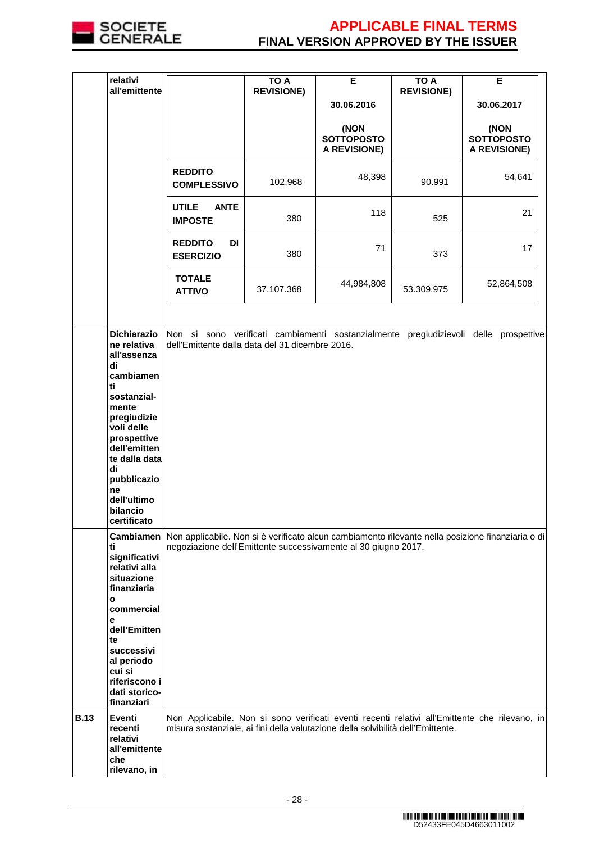

|             | relativi                                                          |                                                                                 | <b>TO A</b>       | Е                                                | <b>TO A</b>       | Е                                                                                                             |
|-------------|-------------------------------------------------------------------|---------------------------------------------------------------------------------|-------------------|--------------------------------------------------|-------------------|---------------------------------------------------------------------------------------------------------------|
|             | all'emittente                                                     |                                                                                 | <b>REVISIONE)</b> | 30.06.2016                                       | <b>REVISIONE)</b> | 30.06.2017                                                                                                    |
|             |                                                                   |                                                                                 |                   |                                                  |                   |                                                                                                               |
|             |                                                                   |                                                                                 |                   | (NON<br><b>SOTTOPOSTO</b><br><b>A REVISIONE)</b> |                   | (NON<br><b>SOTTOPOSTO</b><br>A REVISIONE)                                                                     |
|             |                                                                   | <b>REDDITO</b><br><b>COMPLESSIVO</b>                                            | 102.968           | 48,398                                           | 90.991            | 54,641                                                                                                        |
|             |                                                                   | <b>UTILE</b><br><b>ANTE</b><br><b>IMPOSTE</b>                                   | 380               | 118                                              | 525               | 21                                                                                                            |
|             |                                                                   | <b>REDDITO</b><br>DI<br><b>ESERCIZIO</b>                                        | 380               | 71                                               | 373               | 17                                                                                                            |
|             |                                                                   | <b>TOTALE</b><br><b>ATTIVO</b>                                                  | 37.107.368        | 44,984,808                                       | 53.309.975        | 52,864,508                                                                                                    |
|             | <b>Dichiarazio</b><br>ne relativa<br>all'assenza<br>di            | dell'Emittente dalla data del 31 dicembre 2016.                                 |                   |                                                  |                   | Non si sono verificati cambiamenti sostanzialmente pregiudizievoli delle prospettive                          |
|             | cambiamen<br>ti<br>sostanzial-<br>mente<br>pregiudizie            |                                                                                 |                   |                                                  |                   |                                                                                                               |
|             | voli delle<br>prospettive<br>dell'emitten<br>te dalla data<br>di  |                                                                                 |                   |                                                  |                   |                                                                                                               |
|             | pubblicazio<br>ne<br>dell'ultimo<br>bilancio                      |                                                                                 |                   |                                                  |                   |                                                                                                               |
|             | certificato                                                       |                                                                                 |                   |                                                  |                   | Cambiamen   Non applicabile. Non si è verificato alcun cambiamento rilevante nella posizione finanziaria o di |
|             | ti<br>significativi<br>relativi alla<br>situazione<br>finanziaria | negoziazione dell'Emittente successivamente al 30 giugno 2017.                  |                   |                                                  |                   |                                                                                                               |
|             | $\mathbf{o}$<br>commercial                                        |                                                                                 |                   |                                                  |                   |                                                                                                               |
|             | е<br>dell'Emitten<br>te<br>successivi<br>al periodo               |                                                                                 |                   |                                                  |                   |                                                                                                               |
|             | cui si<br>riferiscono i<br>dati storico-<br>finanziari            |                                                                                 |                   |                                                  |                   |                                                                                                               |
| <b>B.13</b> | Eventi<br>recenti<br>relativi<br>all'emittente<br>che             | misura sostanziale, ai fini della valutazione della solvibilità dell'Emittente. |                   |                                                  |                   | Non Applicabile. Non si sono verificati eventi recenti relativi all'Emittente che rilevano, in                |
|             | rilevano, in                                                      |                                                                                 |                   |                                                  |                   |                                                                                                               |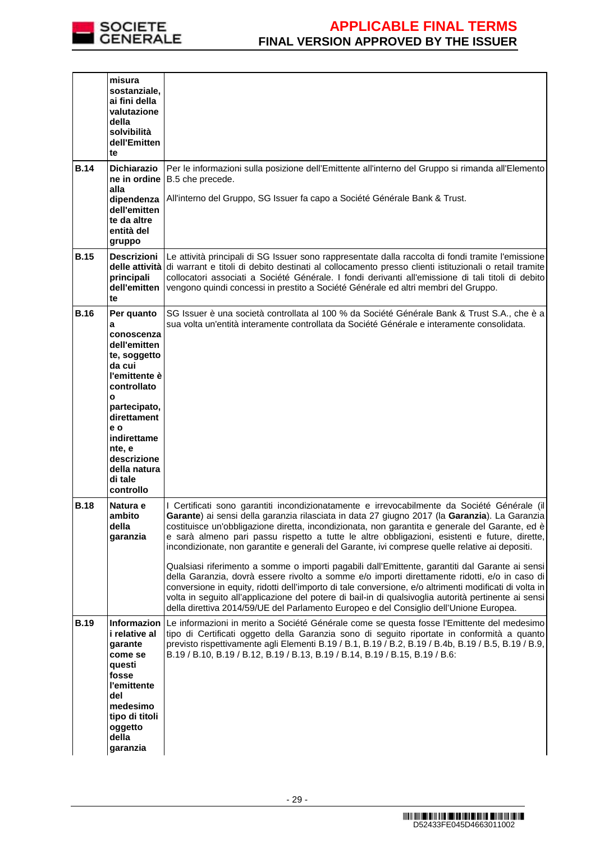

|             | misura<br>sostanziale,<br>ai fini della<br>valutazione<br>della<br>solvibilità<br>dell'Emitten<br>te                                                                                                                               |                                                                                                                                                                                                                                                                                                                                                                                                                                                                                                                                                                                                                                                                                                                                                                                                                                                                                                                                                                                                                     |
|-------------|------------------------------------------------------------------------------------------------------------------------------------------------------------------------------------------------------------------------------------|---------------------------------------------------------------------------------------------------------------------------------------------------------------------------------------------------------------------------------------------------------------------------------------------------------------------------------------------------------------------------------------------------------------------------------------------------------------------------------------------------------------------------------------------------------------------------------------------------------------------------------------------------------------------------------------------------------------------------------------------------------------------------------------------------------------------------------------------------------------------------------------------------------------------------------------------------------------------------------------------------------------------|
| <b>B.14</b> | <b>Dichiarazio</b><br>ne in ordine<br>alla<br>dipendenza<br>dell'emitten<br>te da altre<br>entità del<br>gruppo                                                                                                                    | Per le informazioni sulla posizione dell'Emittente all'interno del Gruppo si rimanda all'Elemento<br>B.5 che precede.<br>All'interno del Gruppo, SG Issuer fa capo a Société Générale Bank & Trust.                                                                                                                                                                                                                                                                                                                                                                                                                                                                                                                                                                                                                                                                                                                                                                                                                 |
| <b>B.15</b> | <b>Descrizioni</b><br>principali<br>dell'emitten<br>te                                                                                                                                                                             | Le attività principali di SG Issuer sono rappresentate dalla raccolta di fondi tramite l'emissione<br>delle attività di warrant e titoli di debito destinati al collocamento presso clienti istituzionali o retail tramite<br>collocatori associati a Société Générale. I fondi derivanti all'emissione di tali titoli di debito<br>vengono quindi concessi in prestito a Société Générale ed altri membri del Gruppo.                                                                                                                                                                                                                                                                                                                                                                                                                                                                                                                                                                                              |
| <b>B.16</b> | Per quanto<br>a<br>conoscenza<br>dell'emitten<br>te, soggetto<br>da cui<br>l'emittente è<br>controllato<br>O<br>partecipato,<br>direttament<br>e o<br>indirettame<br>nte, e<br>descrizione<br>della natura<br>di tale<br>controllo | SG Issuer è una società controllata al 100 % da Société Générale Bank & Trust S.A., che è a<br>sua volta un'entità interamente controllata da Société Générale e interamente consolidata.                                                                                                                                                                                                                                                                                                                                                                                                                                                                                                                                                                                                                                                                                                                                                                                                                           |
| <b>B.18</b> | Natura e<br>ambito<br>della<br>garanzia                                                                                                                                                                                            | I Certificati sono garantiti incondizionatamente e irrevocabilmente da Société Générale (il<br>Garante) ai sensi della garanzia rilasciata in data 27 giugno 2017 (la Garanzia). La Garanzia<br>costituisce un'obbligazione diretta, incondizionata, non garantita e generale del Garante, ed è<br>e sarà almeno pari passu rispetto a tutte le altre obbligazioni, esistenti e future, dirette,<br>incondizionate, non garantite e generali del Garante, ivi comprese quelle relative ai depositi.<br>Qualsiasi riferimento a somme o importi pagabili dall'Emittente, garantiti dal Garante ai sensi<br>della Garanzia, dovrà essere rivolto a somme e/o importi direttamente ridotti, e/o in caso di<br>conversione in equity, ridotti dell'importo di tale conversione, e/o altrimenti modificati di volta in<br>volta in seguito all'applicazione del potere di bail-in di qualsivoglia autorità pertinente ai sensi<br>della direttiva 2014/59/UE del Parlamento Europeo e del Consiglio dell'Unione Europea. |
| <b>B.19</b> | <b>Informazion</b><br>i relative al<br>garante<br>come se<br>questi<br>fosse<br>l'emittente<br>del<br>medesimo<br>tipo di titoli<br>oggetto<br>della<br>garanzia                                                                   | Le informazioni in merito a Société Générale come se questa fosse l'Emittente del medesimo<br>tipo di Certificati oggetto della Garanzia sono di seguito riportate in conformità a quanto<br>previsto rispettivamente agli Elementi B.19 / B.1, B.19 / B.2, B.19 / B.4b, B.19 / B.5, B.19 / B.9,<br>B.19 / B.10, B.19 / B.12, B.19 / B.13, B.19 / B.14, B.19 / B.15, B.19 / B.6:                                                                                                                                                                                                                                                                                                                                                                                                                                                                                                                                                                                                                                    |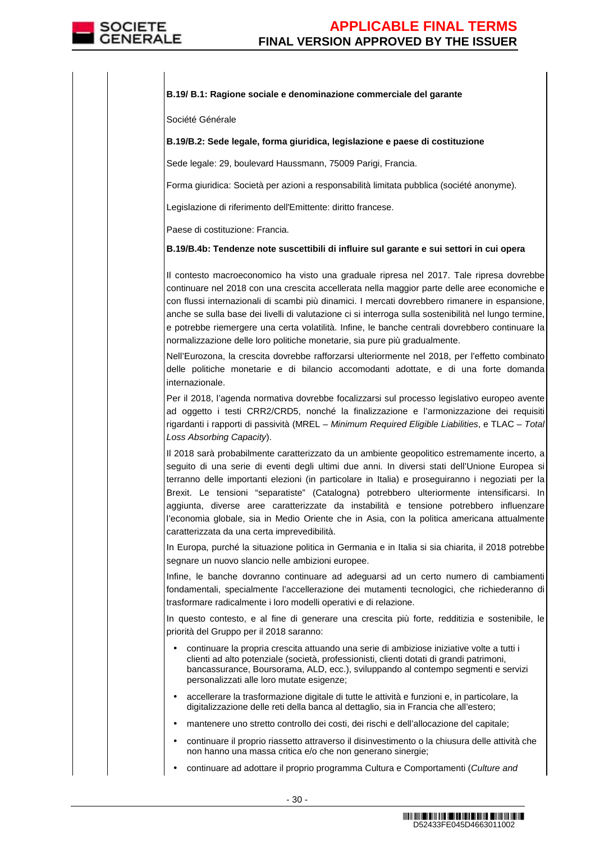### **B.19/ B.1: Ragione sociale e denominazione commerciale del garante**

Société Générale

### **B.19/B.2: Sede legale, forma giuridica, legislazione e paese di costituzione**

Sede legale: 29, boulevard Haussmann, 75009 Parigi, Francia.

Forma giuridica: Società per azioni a responsabilità limitata pubblica (société anonyme).

Legislazione di riferimento dell'Emittente: diritto francese.

Paese di costituzione: Francia.

### **B.19/B.4b: Tendenze note suscettibili di influire sul garante e sui settori in cui opera**

Il contesto macroeconomico ha visto una graduale ripresa nel 2017. Tale ripresa dovrebbe continuare nel 2018 con una crescita accellerata nella maggior parte delle aree economiche e con flussi internazionali di scambi più dinamici. I mercati dovrebbero rimanere in espansione, anche se sulla base dei livelli di valutazione ci si interroga sulla sostenibilità nel lungo termine, e potrebbe riemergere una certa volatilità. Infine, le banche centrali dovrebbero continuare la normalizzazione delle loro politiche monetarie, sia pure più gradualmente.

Nell'Eurozona, la crescita dovrebbe rafforzarsi ulteriormente nel 2018, per l'effetto combinato delle politiche monetarie e di bilancio accomodanti adottate, e di una forte domanda internazionale.

Per il 2018, l'agenda normativa dovrebbe focalizzarsi sul processo legislativo europeo avente ad oggetto i testi CRR2/CRD5, nonché la finalizzazione e l'armonizzazione dei requisiti rigardanti i rapporti di passività (MREL – Minimum Required Eligible Liabilities, e TLAC – Total Loss Absorbing Capacity).

Il 2018 sarà probabilmente caratterizzato da un ambiente geopolitico estremamente incerto, a seguito di una serie di eventi degli ultimi due anni. In diversi stati dell'Unione Europea si terranno delle importanti elezioni (in particolare in Italia) e proseguiranno i negoziati per la Brexit. Le tensioni "separatiste" (Catalogna) potrebbero ulteriormente intensificarsi. In aggiunta, diverse aree caratterizzate da instabilità e tensione potrebbero influenzare l'economia globale, sia in Medio Oriente che in Asia, con la politica americana attualmente caratterizzata da una certa imprevedibilità.

In Europa, purché la situazione politica in Germania e in Italia si sia chiarita, il 2018 potrebbe segnare un nuovo slancio nelle ambizioni europee.

Infine, le banche dovranno continuare ad adeguarsi ad un certo numero di cambiamenti fondamentali, specialmente l'accellerazione dei mutamenti tecnologici, che richiederanno di trasformare radicalmente i loro modelli operativi e di relazione.

In questo contesto, e al fine di generare una crescita più forte, redditizia e sostenibile, le priorità del Gruppo per il 2018 saranno:

- continuare la propria crescita attuando una serie di ambiziose iniziative volte a tutti i clienti ad alto potenziale (società, professionisti, clienti dotati di grandi patrimoni, bancassurance, Boursorama, ALD, ecc.), sviluppando al contempo segmenti e servizi personalizzati alle loro mutate esigenze;
- accellerare la trasformazione digitale di tutte le attività e funzioni e, in particolare, la digitalizzazione delle reti della banca al dettaglio, sia in Francia che all'estero;
- mantenere uno stretto controllo dei costi, dei rischi e dell'allocazione del capitale;
- continuare il proprio riassetto attraverso il disinvestimento o la chiusura delle attività che non hanno una massa critica e/o che non generano sinergie;
- continuare ad adottare il proprio programma Cultura e Comportamenti (Culture and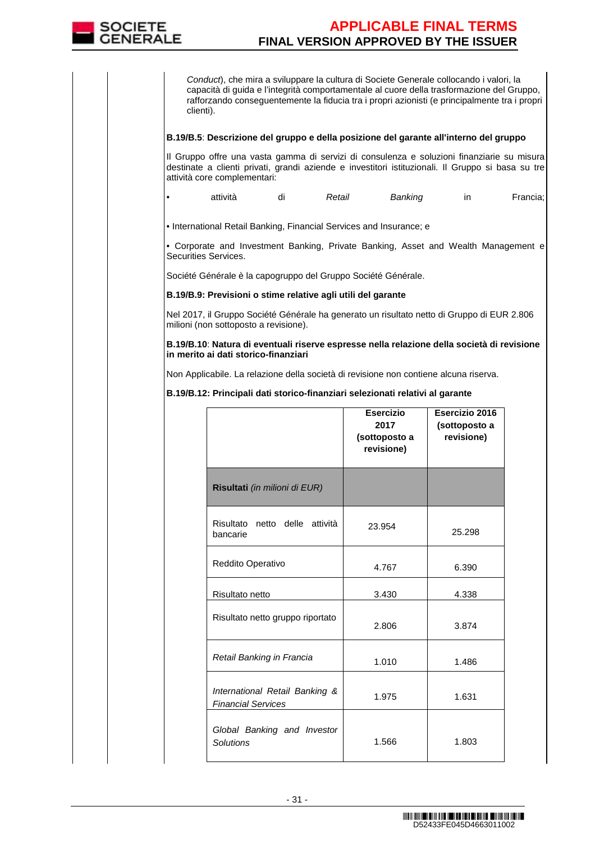

Conduct), che mira a sviluppare la cultura di Societe Generale collocando i valori, la capacità di guida e l'integrità comportamentale al cuore della trasformazione del Gruppo, rafforzando conseguentemente la fiducia tra i propri azionisti (e principalmente tra i propri clienti).

### **B.19/B.5**: **Descrizione del gruppo e della posizione del garante all'interno del gruppo**

Il Gruppo offre una vasta gamma di servizi di consulenza e soluzioni finanziarie su misura destinate a clienti privati, grandi aziende e investitori istituzionali. Il Gruppo si basa su tre attività core complementari:

| attività | dı | Retail | Banking |  | Francia; |
|----------|----|--------|---------|--|----------|
|----------|----|--------|---------|--|----------|

• International Retail Banking, Financial Services and Insurance; e

• Corporate and Investment Banking, Private Banking, Asset and Wealth Management e Securities Services.

Société Générale è la capogruppo del Gruppo Société Générale.

**B.19/B.9: Previsioni o stime relative agli utili del garante** 

Nel 2017, il Gruppo Société Générale ha generato un risultato netto di Gruppo di EUR 2.806 milioni (non sottoposto a revisione).

**B.19/B.10**: **Natura di eventuali riserve espresse nella relazione della società di revisione in merito ai dati storico-finanziari**

Non Applicabile. La relazione della società di revisione non contiene alcuna riserva.

**B.19/B.12: Principali dati storico-finanziari selezionati relativi al garante** 

|                                                             | <b>Esercizio</b><br>2017<br>(sottoposto a<br>revisione) | Esercizio 2016<br>(sottoposto a<br>revisione) |
|-------------------------------------------------------------|---------------------------------------------------------|-----------------------------------------------|
| Risultati (in milioni di EUR)                               |                                                         |                                               |
| Risultato netto delle attività<br>bancarie                  | 23.954                                                  | 25.298                                        |
| Reddito Operativo                                           | 4.767                                                   | 6.390                                         |
| Risultato netto                                             | 3.430                                                   | 4.338                                         |
| Risultato netto gruppo riportato                            | 2.806                                                   | 3.874                                         |
| Retail Banking in Francia                                   | 1.010                                                   | 1.486                                         |
| International Retail Banking &<br><b>Financial Services</b> | 1.975                                                   | 1.631                                         |
| Global Banking and Investor<br><b>Solutions</b>             | 1.566                                                   | 1.803                                         |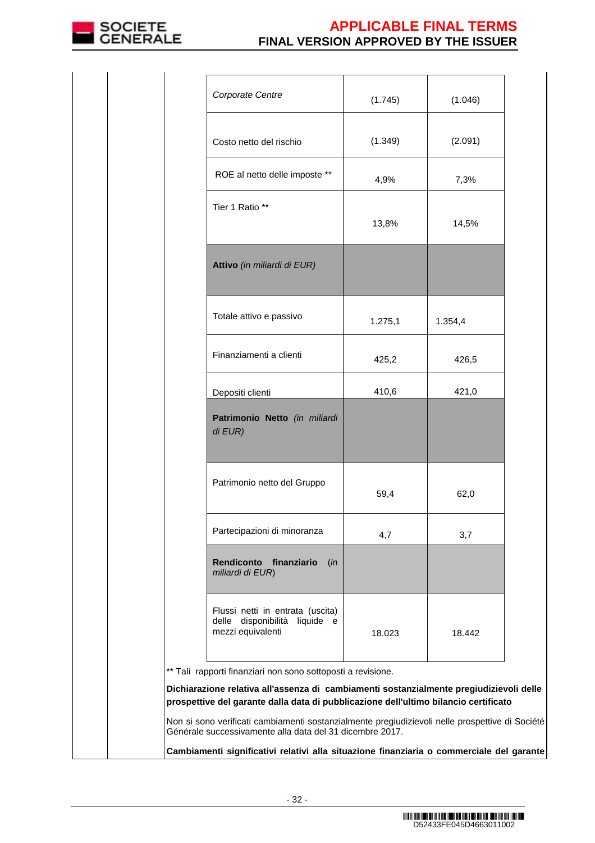

| Corporate Centre                                                                       | (1.745) | (1.046) |
|----------------------------------------------------------------------------------------|---------|---------|
| Costo netto del rischio                                                                | (1.349) | (2.091) |
| ROE al netto delle imposte **                                                          | 4,9%    | 7,3%    |
| Tier 1 Ratio **                                                                        | 13,8%   | 14,5%   |
| Attivo (in miliardi di EUR)                                                            |         |         |
| Totale attivo e passivo                                                                | 1.275,1 | 1.354,4 |
| Finanziamenti a clienti                                                                | 425,2   | 426,5   |
| Depositi clienti                                                                       | 410,6   | 421,0   |
| Patrimonio Netto (in miliardi<br>di EUR)                                               |         |         |
| Patrimonio netto del Gruppo                                                            | 59,4    | 62,0    |
| Partecipazioni di minoranza                                                            | 4,7     | 3,7     |
| Rendiconto finanziario (in<br>miliardi di EUR)                                         |         |         |
| Flussi netti in entrata (uscita)<br>delle disponibilità liquide e<br>mezzi equivalenti | 18.023  | 18.442  |
| ** Tali rapporti finanziari non sono sottoposti a revisione.                           |         |         |

**Dichiarazione relativa all'assenza di cambiamenti sostanzialmente pregiudizievoli delle prospettive del garante dalla data di pubblicazione dell'ultimo bilancio certificato** 

Non si sono verificati cambiamenti sostanzialmente pregiudizievoli nelle prospettive di Société Générale successivamente alla data del 31 dicembre 2017.

**Cambiamenti significativi relativi alla situazione finanziaria o commerciale del garante**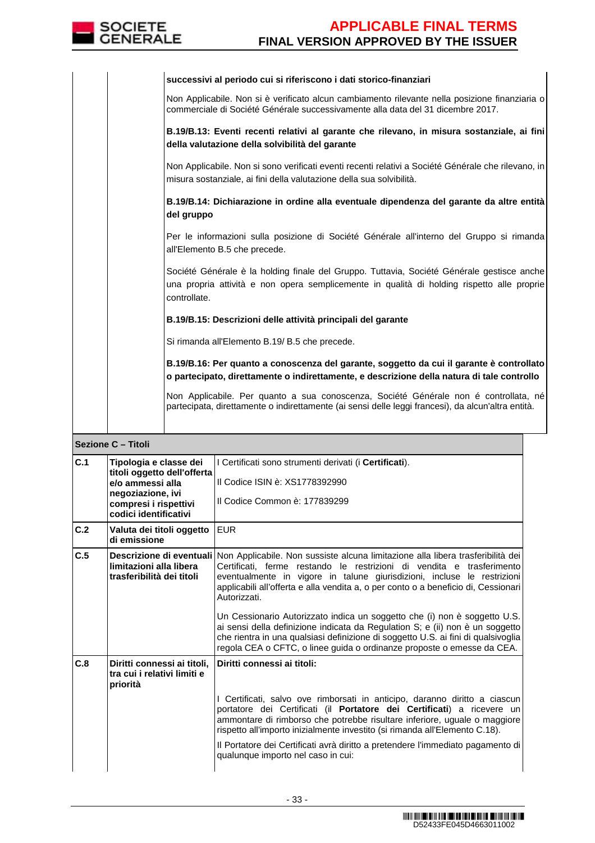

|  | successivi al periodo cui si riferiscono i dati storico-finanziari                                                                                                                                       |
|--|----------------------------------------------------------------------------------------------------------------------------------------------------------------------------------------------------------|
|  | Non Applicabile. Non si è verificato alcun cambiamento rilevante nella posizione finanziaria o<br>commerciale di Société Générale successivamente alla data del 31 dicembre 2017.                        |
|  | B.19/B.13: Eventi recenti relativi al garante che rilevano, in misura sostanziale, ai fini<br>della valutazione della solvibilità del garante                                                            |
|  | Non Applicabile. Non si sono verificati eventi recenti relativi a Société Générale che rilevano, in<br>misura sostanziale, ai fini della valutazione della sua solvibilità.                              |
|  | B.19/B.14: Dichiarazione in ordine alla eventuale dipendenza del garante da altre entità<br>del gruppo                                                                                                   |
|  | Per le informazioni sulla posizione di Société Générale all'interno del Gruppo si rimanda<br>all'Elemento B.5 che precede.                                                                               |
|  | Société Générale è la holding finale del Gruppo. Tuttavia, Société Générale gestisce anche<br>una propria attività e non opera semplicemente in qualità di holding rispetto alle proprie<br>controllate. |
|  | B.19/B.15: Descrizioni delle attività principali del garante                                                                                                                                             |
|  | Si rimanda all'Elemento B.19/ B.5 che precede.                                                                                                                                                           |
|  | B.19/B.16: Per quanto a conoscenza del garante, soggetto da cui il garante è controllato<br>o partecipato, direttamente o indirettamente, e descrizione della natura di tale controllo                   |
|  | Non Applicabile. Per quanto a sua conoscenza, Société Générale non é controllata, né<br>partecipata, direttamente o indirettamente (ai sensi delle leggi francesi), da alcun'altra entità.               |
|  |                                                                                                                                                                                                          |

### **Sezione C – Titoli**

| C.1 | Tipologia e classe dei<br>titoli oggetto dell'offerta<br>e/o ammessi alla | I Certificati sono strumenti derivati (i Certificati).<br>Il Codice ISIN è: XS1778392990                                                                                                                                                                                                                                                                                                                                                                                                                                         |
|-----|---------------------------------------------------------------------------|----------------------------------------------------------------------------------------------------------------------------------------------------------------------------------------------------------------------------------------------------------------------------------------------------------------------------------------------------------------------------------------------------------------------------------------------------------------------------------------------------------------------------------|
|     | negoziazione, ivi<br>compresi i rispettivi                                | Il Codice Common è: 177839299                                                                                                                                                                                                                                                                                                                                                                                                                                                                                                    |
|     | codici identificativi                                                     |                                                                                                                                                                                                                                                                                                                                                                                                                                                                                                                                  |
| C.2 | Valuta dei titoli oggetto<br>di emissione                                 | <b>EUR</b>                                                                                                                                                                                                                                                                                                                                                                                                                                                                                                                       |
| C.5 | limitazioni alla libera<br>trasferibilità dei titoli                      | Descrizione di eventuali Non Applicabile. Non sussiste alcuna limitazione alla libera trasferibilità dei<br>Certificati, ferme restando le restrizioni di vendita e trasferimento<br>eventualmente in vigore in talune giurisdizioni, incluse le restrizioni<br>applicabili all'offerta e alla vendita a, o per conto o a beneficio di, Cessionari<br>Autorizzati.<br>Un Cessionario Autorizzato indica un soggetto che (i) non è soggetto U.S.<br>ai sensi della definizione indicata da Regulation S; e (ii) non è un soggetto |
|     |                                                                           | che rientra in una qualsiasi definizione di soggetto U.S. ai fini di qualsivoglia<br>regola CEA o CFTC, o linee guida o ordinanze proposte o emesse da CEA.                                                                                                                                                                                                                                                                                                                                                                      |
| C.8 | Diritti connessi ai titoli,<br>tra cui i relativi limiti e<br>priorità    | Diritti connessi ai titoli:                                                                                                                                                                                                                                                                                                                                                                                                                                                                                                      |
|     |                                                                           | I Certificati, salvo ove rimborsati in anticipo, daranno diritto a ciascun<br>portatore dei Certificati (il Portatore dei Certificati) a ricevere un<br>ammontare di rimborso che potrebbe risultare inferiore, uguale o maggiore<br>rispetto all'importo inizialmente investito (si rimanda all'Elemento C.18).                                                                                                                                                                                                                 |
|     |                                                                           | Il Portatore dei Certificati avrà diritto a pretendere l'immediato pagamento di<br>qualunque importo nel caso in cui:                                                                                                                                                                                                                                                                                                                                                                                                            |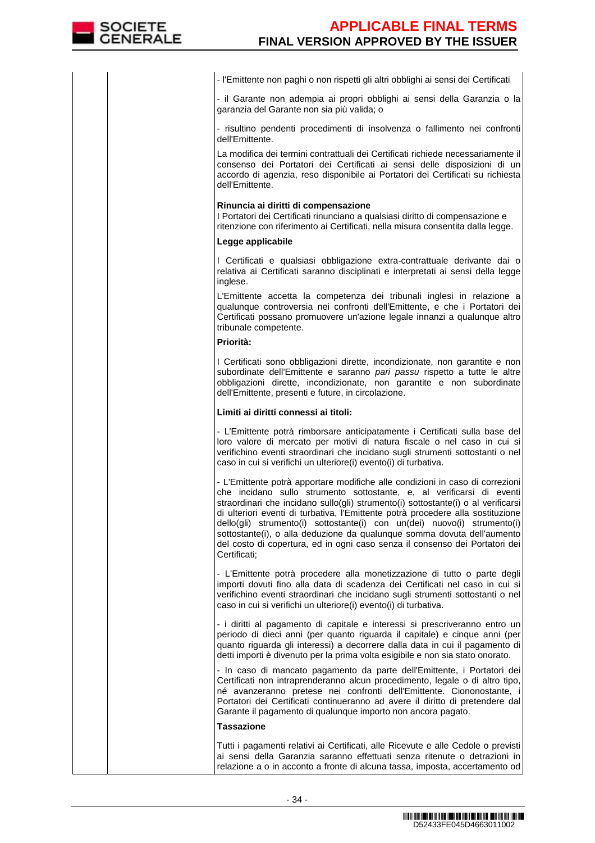- l'Emittente non paghi o non rispetti gli altri obblighi ai sensi dei Certificati

- il Garante non adempia ai propri obblighi ai sensi della Garanzia o la garanzia del Garante non sia più valida; o

- risultino pendenti procedimenti di insolvenza o fallimento nei confronti dell'Emittente.

 La modifica dei termini contrattuali dei Certificati richiede necessariamente il consenso dei Portatori dei Certificati ai sensi delle disposizioni di un accordo di agenzia, reso disponibile ai Portatori dei Certificati su richiesta dell'Emittente.

#### **Rinuncia ai diritti di compensazione**

I Portatori dei Certificati rinunciano a qualsiasi diritto di compensazione e ritenzione con riferimento ai Certificati, nella misura consentita dalla legge.

### **Legge applicabile**

I Certificati e qualsiasi obbligazione extra-contrattuale derivante dai o relativa ai Certificati saranno disciplinati e interpretati ai sensi della legge inglese.

 L'Emittente accetta la competenza dei tribunali inglesi in relazione a qualunque controversia nei confronti dell'Emittente, e che i Portatori dei Certificati possano promuovere un'azione legale innanzi a qualunque altro tribunale competente.

### **Priorità:**

I Certificati sono obbligazioni dirette, incondizionate, non garantite e non subordinate dell'Emittente e saranno pari passu rispetto a tutte le altre obbligazioni dirette, incondizionate, non garantite e non subordinate dell'Emittente, presenti e future, in circolazione.

### **Limiti ai diritti connessi ai titoli:**

- L'Emittente potrà rimborsare anticipatamente i Certificati sulla base del loro valore di mercato per motivi di natura fiscale o nel caso in cui si verifichino eventi straordinari che incidano sugli strumenti sottostanti o nel caso in cui si verifichi un ulteriore(i) evento(i) di turbativa.

- L'Emittente potrà apportare modifiche alle condizioni in caso di correzioni che incidano sullo strumento sottostante, e, al verificarsi di eventi straordinari che incidano sullo(gli) strumento(i) sottostante(i) o al verificarsi di ulteriori eventi di turbativa, l'Emittente potrà procedere alla sostituzione dello(gli) strumento(i) sottostante(i) con un(dei) nuovo(i) strumento(i) sottostante(i), o alla deduzione da qualunque somma dovuta dell'aumento del costo di copertura, ed in ogni caso senza il consenso dei Portatori dei Certificati;

- L'Emittente potrà procedere alla monetizzazione di tutto o parte degli importi dovuti fino alla data di scadenza dei Certificati nel caso in cui si verifichino eventi straordinari che incidano sugli strumenti sottostanti o nel caso in cui si verifichi un ulteriore(i) evento(i) di turbativa.

- i diritti al pagamento di capitale e interessi si prescriveranno entro un periodo di dieci anni (per quanto riguarda il capitale) e cinque anni (per quanto riguarda gli interessi) a decorrere dalla data in cui il pagamento di detti importi è divenuto per la prima volta esigibile e non sia stato onorato.

 - In caso di mancato pagamento da parte dell'Emittente, i Portatori dei Certificati non intraprenderanno alcun procedimento, legale o di altro tipo, né avanzeranno pretese nei confronti dell'Emittente. Ciononostante, i Portatori dei Certificati continueranno ad avere il diritto di pretendere dal Garante il pagamento di qualunque importo non ancora pagato.

### **Tassazione**

Tutti i pagamenti relativi ai Certificati, alle Ricevute e alle Cedole o previsti ai sensi della Garanzia saranno effettuati senza ritenute o detrazioni in relazione a o in acconto a fronte di alcuna tassa, imposta, accertamento od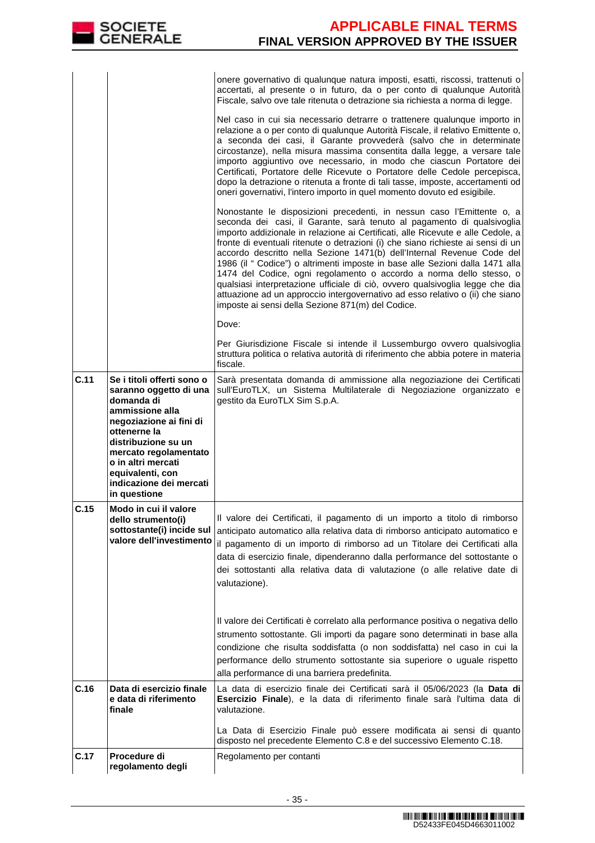|      |                                                                                                                                                                                                                                                                       | onere governativo di qualunque natura imposti, esatti, riscossi, trattenuti o<br>accertati, al presente o in futuro, da o per conto di qualunque Autorità<br>Fiscale, salvo ove tale ritenuta o detrazione sia richiesta a norma di legge.                                                                                                                                                                                                                                                                                                                                                                                                                                                                                                                                       |
|------|-----------------------------------------------------------------------------------------------------------------------------------------------------------------------------------------------------------------------------------------------------------------------|----------------------------------------------------------------------------------------------------------------------------------------------------------------------------------------------------------------------------------------------------------------------------------------------------------------------------------------------------------------------------------------------------------------------------------------------------------------------------------------------------------------------------------------------------------------------------------------------------------------------------------------------------------------------------------------------------------------------------------------------------------------------------------|
|      |                                                                                                                                                                                                                                                                       | Nel caso in cui sia necessario detrarre o trattenere qualunque importo in<br>relazione a o per conto di qualunque Autorità Fiscale, il relativo Emittente o,<br>a seconda dei casi, il Garante provvederà (salvo che in determinate<br>circostanze), nella misura massima consentita dalla legge, a versare tale<br>importo aggiuntivo ove necessario, in modo che ciascun Portatore dei<br>Certificati, Portatore delle Ricevute o Portatore delle Cedole percepisca,<br>dopo la detrazione o ritenuta a fronte di tali tasse, imposte, accertamenti od<br>oneri governativi, l'intero importo in quel momento dovuto ed esigibile.                                                                                                                                             |
|      |                                                                                                                                                                                                                                                                       | Nonostante le disposizioni precedenti, in nessun caso l'Emittente o, a<br>seconda dei casi, il Garante, sarà tenuto al pagamento di qualsivoglia<br>importo addizionale in relazione ai Certificati, alle Ricevute e alle Cedole, a<br>fronte di eventuali ritenute o detrazioni (i) che siano richieste ai sensi di un<br>accordo descritto nella Sezione 1471(b) dell'Internal Revenue Code del<br>1986 (il " Codice") o altrimenti imposte in base alle Sezioni dalla 1471 alla<br>1474 del Codice, ogni regolamento o accordo a norma dello stesso, o<br>qualsiasi interpretazione ufficiale di ciò, ovvero qualsivoglia legge che dia<br>attuazione ad un approccio intergovernativo ad esso relativo o (ii) che siano<br>imposte ai sensi della Sezione 871(m) del Codice. |
|      |                                                                                                                                                                                                                                                                       | Dove:                                                                                                                                                                                                                                                                                                                                                                                                                                                                                                                                                                                                                                                                                                                                                                            |
|      |                                                                                                                                                                                                                                                                       | Per Giurisdizione Fiscale si intende il Lussemburgo ovvero qualsivoglia<br>struttura politica o relativa autorità di riferimento che abbia potere in materia<br>fiscale.                                                                                                                                                                                                                                                                                                                                                                                                                                                                                                                                                                                                         |
| C.11 | Se i titoli offerti sono o<br>saranno oggetto di una<br>domanda di<br>ammissione alla<br>negoziazione ai fini di<br>ottenerne la<br>distribuzione su un<br>mercato regolamentato<br>o in altri mercati<br>equivalenti, con<br>indicazione dei mercati<br>in questione | Sarà presentata domanda di ammissione alla negoziazione dei Certificati<br>sull'EuroTLX, un Sistema Multilaterale di Negoziazione organizzato e<br>gestito da EuroTLX Sim S.p.A.                                                                                                                                                                                                                                                                                                                                                                                                                                                                                                                                                                                                 |
| C.15 | Modo in cui il valore<br>dello strumento(i)<br>sottostante(i) incide sul<br>valore dell'investimento                                                                                                                                                                  | Il valore dei Certificati, il pagamento di un importo a titolo di rimborso<br>anticipato automatico alla relativa data di rimborso anticipato automatico e<br>il pagamento di un importo di rimborso ad un Titolare dei Certificati alla<br>data di esercizio finale, dipenderanno dalla performance del sottostante o<br>dei sottostanti alla relativa data di valutazione (o alle relative date di<br>valutazione).                                                                                                                                                                                                                                                                                                                                                            |
|      |                                                                                                                                                                                                                                                                       | Il valore dei Certificati è correlato alla performance positiva o negativa dello<br>strumento sottostante. Gli importi da pagare sono determinati in base alla<br>condizione che risulta soddisfatta (o non soddisfatta) nel caso in cui la<br>performance dello strumento sottostante sia superiore o uguale rispetto<br>alla performance di una barriera predefinita.                                                                                                                                                                                                                                                                                                                                                                                                          |
| C.16 | Data di esercizio finale<br>e data di riferimento<br>finale                                                                                                                                                                                                           | La data di esercizio finale dei Certificati sarà il 05/06/2023 (la Data di<br>Esercizio Finale), e la data di riferimento finale sarà l'ultima data di<br>valutazione.                                                                                                                                                                                                                                                                                                                                                                                                                                                                                                                                                                                                           |
|      |                                                                                                                                                                                                                                                                       | La Data di Esercizio Finale può essere modificata ai sensi di quanto<br>disposto nel precedente Elemento C.8 e del successivo Elemento C.18.                                                                                                                                                                                                                                                                                                                                                                                                                                                                                                                                                                                                                                     |
| C.17 | Procedure di<br>regolamento degli                                                                                                                                                                                                                                     | Regolamento per contanti                                                                                                                                                                                                                                                                                                                                                                                                                                                                                                                                                                                                                                                                                                                                                         |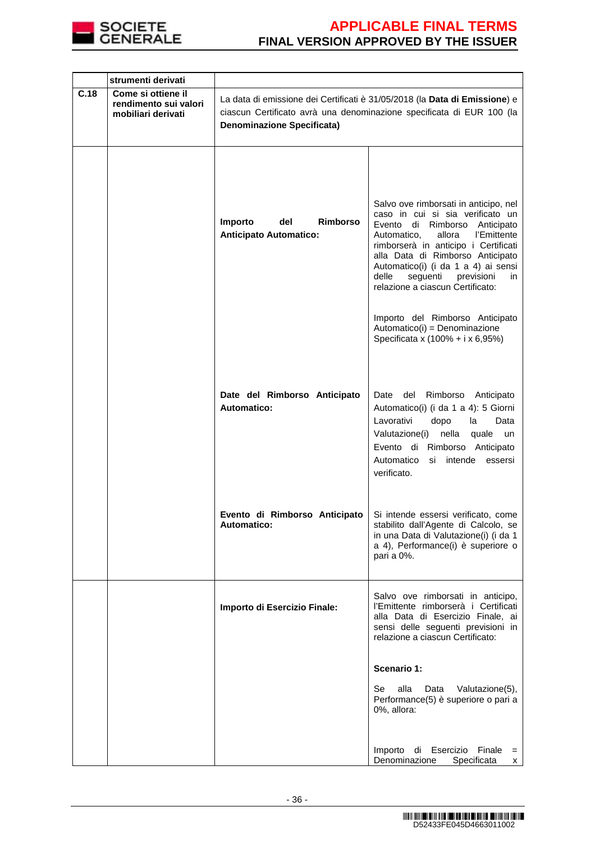

|      | strumenti derivati                                                |                                                                                                                                                                                          |                                                                                                                                                                                                                                                                                                                                                            |  |  |  |
|------|-------------------------------------------------------------------|------------------------------------------------------------------------------------------------------------------------------------------------------------------------------------------|------------------------------------------------------------------------------------------------------------------------------------------------------------------------------------------------------------------------------------------------------------------------------------------------------------------------------------------------------------|--|--|--|
| C.18 | Come si ottiene il<br>rendimento sui valori<br>mobiliari derivati | La data di emissione dei Certificati è 31/05/2018 (la Data di Emissione) e<br>ciascun Certificato avrà una denominazione specificata di EUR 100 (la<br><b>Denominazione Specificata)</b> |                                                                                                                                                                                                                                                                                                                                                            |  |  |  |
|      |                                                                   | del<br><b>Rimborso</b><br>Importo<br><b>Anticipato Automatico:</b>                                                                                                                       | Salvo ove rimborsati in anticipo, nel<br>caso in cui si sia verificato un<br>Evento di Rimborso Anticipato<br>l'Emittente<br>allora<br>Automatico,<br>rimborserà in anticipo i Certificati<br>alla Data di Rimborso Anticipato<br>Automatico(i) (i da 1 a 4) ai sensi<br>seguenti<br>delle<br>previsioni<br>in.<br>relazione a ciascun Certificato:        |  |  |  |
|      |                                                                   | Date del Rimborso Anticipato<br>Automatico:                                                                                                                                              | Importo del Rimborso Anticipato<br>Automatico(i) = Denominazione<br>Specificata x (100% + i x 6,95%)<br>del<br>Rimborso<br>Date<br>Anticipato<br>Automatico(i) (i da 1 a 4): 5 Giorni<br>Lavorativi<br>dopo<br>la<br>Data<br>Valutazione(i)<br>nella<br>quale<br>un<br>Evento di Rimborso Anticipato<br>Automatico<br>si intende<br>essersi<br>verificato. |  |  |  |
|      |                                                                   | Evento di Rimborso Anticipato<br><b>Automatico:</b>                                                                                                                                      | Si intende essersi verificato, come<br>stabilito dall'Agente di Calcolo, se<br>in una Data di Valutazione(i) (i da 1<br>a 4), Performance(i) è superiore o<br>pari a 0%.                                                                                                                                                                                   |  |  |  |
|      |                                                                   | Importo di Esercizio Finale:                                                                                                                                                             | Salvo ove rimborsati in anticipo,<br>l'Emittente rimborserà i Certificati<br>alla Data di Esercizio Finale, ai<br>sensi delle seguenti previsioni in<br>relazione a ciascun Certificato:                                                                                                                                                                   |  |  |  |
|      |                                                                   |                                                                                                                                                                                          | Scenario 1:                                                                                                                                                                                                                                                                                                                                                |  |  |  |
|      |                                                                   |                                                                                                                                                                                          | alla<br>Se<br>Data<br>Valutazione(5),<br>Performance(5) è superiore o pari a<br>0%, allora:                                                                                                                                                                                                                                                                |  |  |  |
|      |                                                                   |                                                                                                                                                                                          | Importo<br>Esercizio Finale<br>di<br>$=$<br>Denominazione<br>Specificata<br>$\times$                                                                                                                                                                                                                                                                       |  |  |  |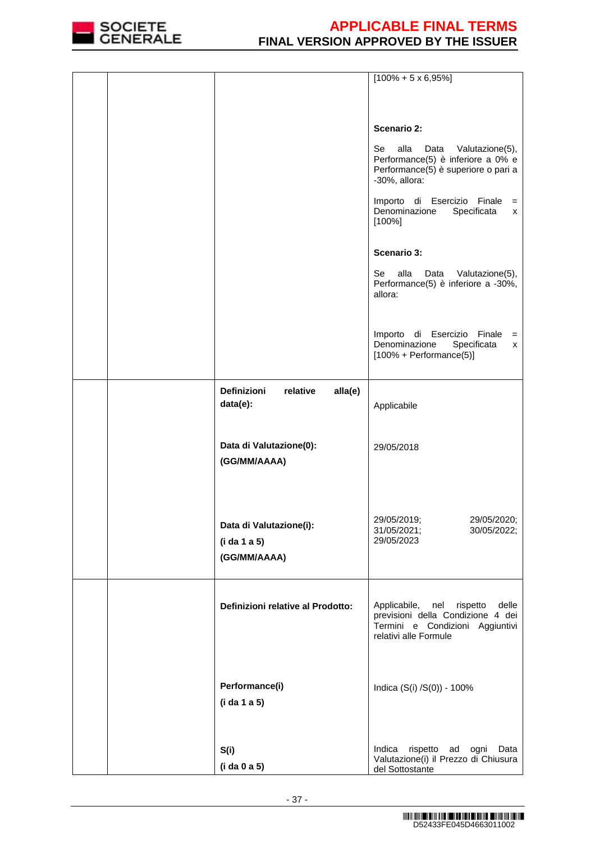

|  |                                                         | $[100\% + 5 \times 6,95\%]$                                                                                                            |
|--|---------------------------------------------------------|----------------------------------------------------------------------------------------------------------------------------------------|
|  |                                                         |                                                                                                                                        |
|  |                                                         |                                                                                                                                        |
|  |                                                         | <b>Scenario 2:</b>                                                                                                                     |
|  |                                                         | Se<br>alla<br>Valutazione(5),<br>Data<br>Performance(5) è inferiore a 0% e<br>Performance(5) è superiore o pari a<br>-30%, allora:     |
|  |                                                         | Importo di Esercizio Finale<br>$=$<br>Denominazione<br>Specificata<br>X<br>$[100\%]$                                                   |
|  |                                                         | <b>Scenario 3:</b>                                                                                                                     |
|  |                                                         | alla<br>Se<br>Data<br>Valutazione(5),<br>Performance(5) è inferiore a -30%,<br>allora:                                                 |
|  |                                                         | Importo di Esercizio Finale<br>$\qquad \qquad =$<br>Denominazione<br>Specificata<br>X<br>$[100\% + Performance(5)]$                    |
|  | Definizioni<br>alla(e)<br>relative<br>data(e):          | Applicabile                                                                                                                            |
|  | Data di Valutazione(0):<br>(GG/MM/AAAA)                 | 29/05/2018                                                                                                                             |
|  | Data di Valutazione(i):<br>(i da 1 a 5)<br>(GG/MM/AAAA) | 29/05/2019;<br>29/05/2020;<br>31/05/2021;<br>30/05/2022;<br>29/05/2023                                                                 |
|  | Definizioni relative al Prodotto:                       | Applicabile, nel<br>rispetto<br>delle<br>previsioni della Condizione 4 dei<br>Termini e Condizioni Aggiuntivi<br>relativi alle Formule |
|  | Performance(i)<br>(i da 1 a 5)                          | Indica (S(i) /S(0)) - 100%                                                                                                             |
|  | S(i)<br>(i da 0 a 5)                                    | Indica<br>rispetto ad ogni<br>Data<br>Valutazione(i) il Prezzo di Chiusura<br>del Sottostante                                          |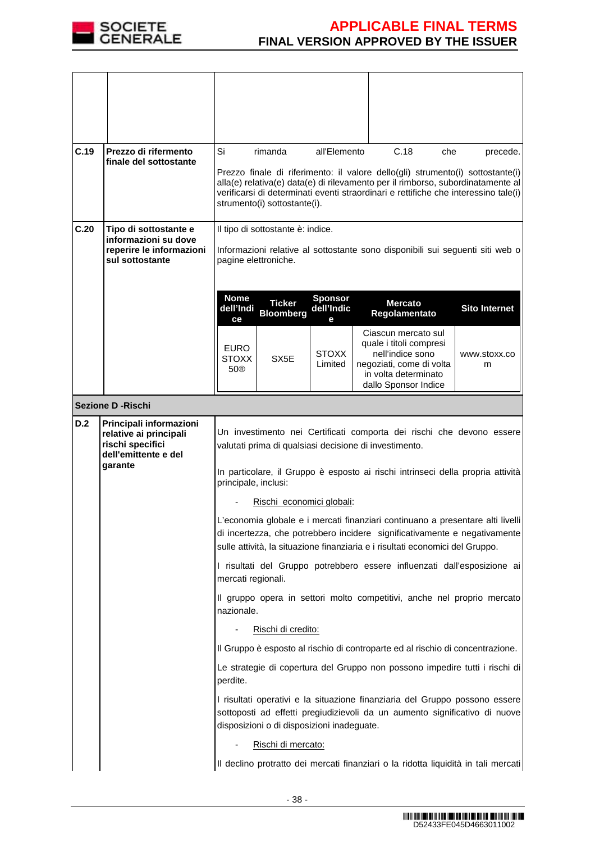

| C.19 | Prezzo di rifermento<br>finale del sottostante    | Si                                                                                      | rimanda                                                | all'Elemento    |  | C.18<br>che                                                                   | precede.                                                                                                                                                               |  |
|------|---------------------------------------------------|-----------------------------------------------------------------------------------------|--------------------------------------------------------|-----------------|--|-------------------------------------------------------------------------------|------------------------------------------------------------------------------------------------------------------------------------------------------------------------|--|
|      |                                                   |                                                                                         |                                                        |                 |  |                                                                               | Prezzo finale di riferimento: il valore dello(gli) strumento(i) sottostante(i)                                                                                         |  |
|      |                                                   |                                                                                         |                                                        |                 |  |                                                                               | alla(e) relativa(e) data(e) di rilevamento per il rimborso, subordinatamente al<br>verificarsi di determinati eventi straordinari e rettifiche che interessino tale(i) |  |
|      |                                                   |                                                                                         | strumento(i) sottostante(i).                           |                 |  |                                                                               |                                                                                                                                                                        |  |
| C.20 | Tipo di sottostante e<br>informazioni su dove     |                                                                                         | Il tipo di sottostante è: indice.                      |                 |  |                                                                               |                                                                                                                                                                        |  |
|      | reperire le informazioni                          | Informazioni relative al sottostante sono disponibili sui seguenti siti web o           |                                                        |                 |  |                                                                               |                                                                                                                                                                        |  |
|      | sul sottostante                                   | pagine elettroniche.                                                                    |                                                        |                 |  |                                                                               |                                                                                                                                                                        |  |
|      |                                                   | <b>Nome</b>                                                                             |                                                        | <b>Sponsor</b>  |  |                                                                               |                                                                                                                                                                        |  |
|      |                                                   | dell'Indi<br>ce                                                                         | <b>Ticker</b><br><b>Bloomberg</b>                      | dell'Indic<br>е |  | <b>Mercato</b><br>Regolamentato                                               | <b>Sito Internet</b>                                                                                                                                                   |  |
|      |                                                   |                                                                                         |                                                        |                 |  | Ciascun mercato sul                                                           |                                                                                                                                                                        |  |
|      |                                                   | <b>EURO</b><br><b>STOXX</b>                                                             | SX <sub>5</sub> E                                      | <b>STOXX</b>    |  | quale i titoli compresi<br>nell'indice sono                                   | www.stoxx.co                                                                                                                                                           |  |
|      |                                                   | 50®                                                                                     |                                                        | Limited         |  | negoziati, come di volta<br>in volta determinato                              | m                                                                                                                                                                      |  |
|      |                                                   |                                                                                         |                                                        |                 |  | dallo Sponsor Indice                                                          |                                                                                                                                                                        |  |
|      | Sezione D - Rischi                                |                                                                                         |                                                        |                 |  |                                                                               |                                                                                                                                                                        |  |
| D.2  | Principali informazioni<br>relative ai principali |                                                                                         |                                                        |                 |  |                                                                               | Un investimento nei Certificati comporta dei rischi che devono essere                                                                                                  |  |
|      | rischi specifici<br>dell'emittente e del          |                                                                                         | valutati prima di qualsiasi decisione di investimento. |                 |  |                                                                               |                                                                                                                                                                        |  |
|      | garante                                           |                                                                                         |                                                        |                 |  |                                                                               | In particolare, il Gruppo è esposto ai rischi intrinseci della propria attività                                                                                        |  |
|      |                                                   | principale, inclusi:                                                                    |                                                        |                 |  |                                                                               |                                                                                                                                                                        |  |
|      |                                                   |                                                                                         | Rischi economici globali:                              |                 |  |                                                                               |                                                                                                                                                                        |  |
|      |                                                   |                                                                                         |                                                        |                 |  |                                                                               | L'economia globale e i mercati finanziari continuano a presentare alti livelli                                                                                         |  |
|      |                                                   |                                                                                         |                                                        |                 |  | sulle attività, la situazione finanziaria e i risultati economici del Gruppo. | di incertezza, che potrebbero incidere significativamente e negativamente                                                                                              |  |
|      |                                                   | mercati regionali.                                                                      |                                                        |                 |  |                                                                               | I risultati del Gruppo potrebbero essere influenzati dall'esposizione ai                                                                                               |  |
|      |                                                   | nazionale.                                                                              |                                                        |                 |  |                                                                               | Il gruppo opera in settori molto competitivi, anche nel proprio mercato                                                                                                |  |
|      |                                                   |                                                                                         | Rischi di credito:                                     |                 |  |                                                                               |                                                                                                                                                                        |  |
|      |                                                   |                                                                                         |                                                        |                 |  |                                                                               | Il Gruppo è esposto al rischio di controparte ed al rischio di concentrazione.                                                                                         |  |
|      |                                                   | Le strategie di copertura del Gruppo non possono impedire tutti i rischi di<br>perdite. |                                                        |                 |  |                                                                               |                                                                                                                                                                        |  |
|      |                                                   |                                                                                         | disposizioni o di disposizioni inadeguate.             |                 |  |                                                                               | I risultati operativi e la situazione finanziaria del Gruppo possono essere<br>sottoposti ad effetti pregiudizievoli da un aumento significativo di nuove              |  |
|      |                                                   |                                                                                         | Rischi di mercato:                                     |                 |  |                                                                               |                                                                                                                                                                        |  |
|      |                                                   |                                                                                         |                                                        |                 |  |                                                                               | Il declino protratto dei mercati finanziari o la ridotta liquidità in tali mercati                                                                                     |  |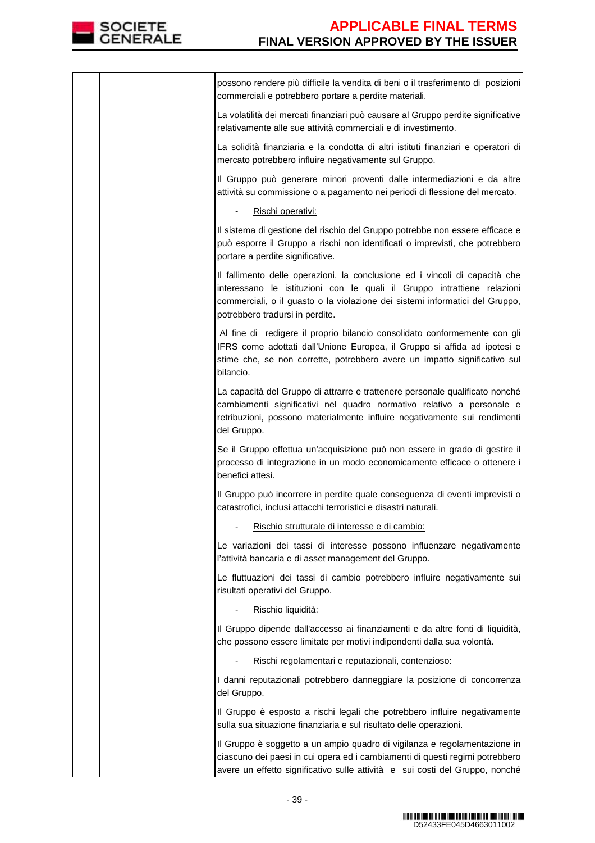

| possono rendere più difficile la vendita di beni o il trasferimento di posizioni<br>commerciali e potrebbero portare a perdite materiali.                                                                                                                                 |
|---------------------------------------------------------------------------------------------------------------------------------------------------------------------------------------------------------------------------------------------------------------------------|
| La volatilità dei mercati finanziari può causare al Gruppo perdite significative<br>relativamente alle sue attività commerciali e di investimento.                                                                                                                        |
| La solidità finanziaria e la condotta di altri istituti finanziari e operatori di<br>mercato potrebbero influire negativamente sul Gruppo.                                                                                                                                |
| Il Gruppo può generare minori proventi dalle intermediazioni e da altre<br>attività su commissione o a pagamento nei periodi di flessione del mercato.                                                                                                                    |
| Rischi operativi:                                                                                                                                                                                                                                                         |
| Il sistema di gestione del rischio del Gruppo potrebbe non essere efficace e<br>può esporre il Gruppo a rischi non identificati o imprevisti, che potrebbero<br>portare a perdite significative.                                                                          |
| Il fallimento delle operazioni, la conclusione ed i vincoli di capacità che<br>interessano le istituzioni con le quali il Gruppo intrattiene relazioni<br>commerciali, o il guasto o la violazione dei sistemi informatici del Gruppo,<br>potrebbero tradursi in perdite. |
| Al fine di redigere il proprio bilancio consolidato conformemente con gli<br>IFRS come adottati dall'Unione Europea, il Gruppo si affida ad ipotesi e<br>stime che, se non corrette, potrebbero avere un impatto significativo sul<br>bilancio.                           |
| La capacità del Gruppo di attrarre e trattenere personale qualificato nonché<br>cambiamenti significativi nel quadro normativo relativo a personale e<br>retribuzioni, possono materialmente influire negativamente sui rendimenti<br>del Gruppo.                         |
| Se il Gruppo effettua un'acquisizione può non essere in grado di gestire il<br>processo di integrazione in un modo economicamente efficace o ottenere i<br>benefici attesi.                                                                                               |
| Il Gruppo può incorrere in perdite quale conseguenza di eventi imprevisti o<br>catastrofici, inclusi attacchi terroristici e disastri naturali.                                                                                                                           |
| Rischio strutturale di interesse e di cambio:                                                                                                                                                                                                                             |
| Le variazioni dei tassi di interesse possono influenzare negativamente<br>l'attività bancaria e di asset management del Gruppo.                                                                                                                                           |
| Le fluttuazioni dei tassi di cambio potrebbero influire negativamente sui<br>risultati operativi del Gruppo.                                                                                                                                                              |
| Rischio liquidità:                                                                                                                                                                                                                                                        |
| Il Gruppo dipende dall'accesso ai finanziamenti e da altre fonti di liquidità,<br>che possono essere limitate per motivi indipendenti dalla sua volontà.                                                                                                                  |
| Rischi regolamentari e reputazionali, contenzioso:                                                                                                                                                                                                                        |
| I danni reputazionali potrebbero danneggiare la posizione di concorrenza<br>del Gruppo.                                                                                                                                                                                   |
| Il Gruppo è esposto a rischi legali che potrebbero influire negativamente<br>sulla sua situazione finanziaria e sul risultato delle operazioni.                                                                                                                           |
| Il Gruppo è soggetto a un ampio quadro di vigilanza e regolamentazione in<br>ciascuno dei paesi in cui opera ed i cambiamenti di questi regimi potrebbero<br>avere un effetto significativo sulle attività e sui costi del Gruppo, nonché                                 |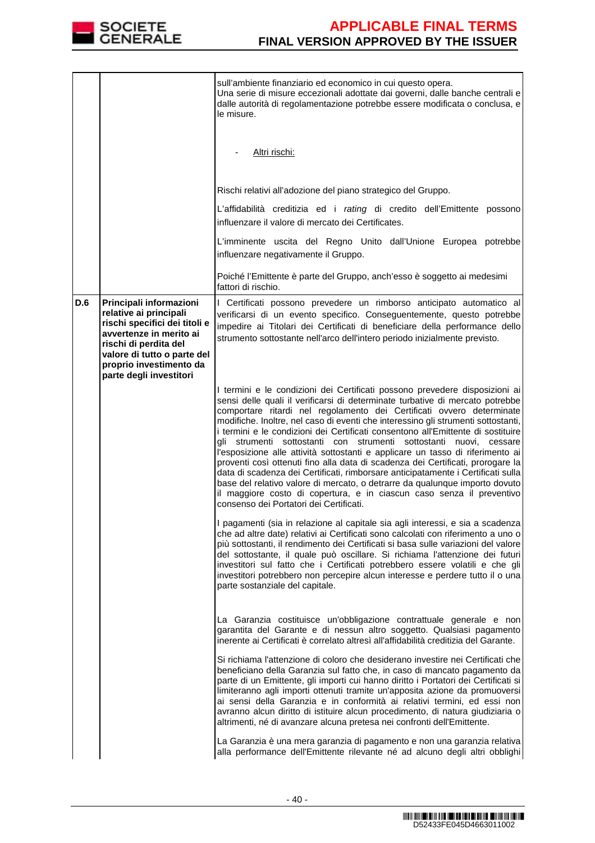

|     |                                                                                                                                                                                                                             | sull'ambiente finanziario ed economico in cui questo opera.<br>Una serie di misure eccezionali adottate dai governi, dalle banche centrali e<br>dalle autorità di regolamentazione potrebbe essere modificata o conclusa, e<br>le misure.                                                                                                                                                                                                                                                                                                                                                                                                                                                                                                                                                                                                                                                                                                        |
|-----|-----------------------------------------------------------------------------------------------------------------------------------------------------------------------------------------------------------------------------|--------------------------------------------------------------------------------------------------------------------------------------------------------------------------------------------------------------------------------------------------------------------------------------------------------------------------------------------------------------------------------------------------------------------------------------------------------------------------------------------------------------------------------------------------------------------------------------------------------------------------------------------------------------------------------------------------------------------------------------------------------------------------------------------------------------------------------------------------------------------------------------------------------------------------------------------------|
|     |                                                                                                                                                                                                                             | Altri rischi:                                                                                                                                                                                                                                                                                                                                                                                                                                                                                                                                                                                                                                                                                                                                                                                                                                                                                                                                    |
|     |                                                                                                                                                                                                                             | Rischi relativi all'adozione del piano strategico del Gruppo.                                                                                                                                                                                                                                                                                                                                                                                                                                                                                                                                                                                                                                                                                                                                                                                                                                                                                    |
|     |                                                                                                                                                                                                                             | L'affidabilità creditizia ed i rating di credito dell'Emittente possono<br>influenzare il valore di mercato dei Certificates.                                                                                                                                                                                                                                                                                                                                                                                                                                                                                                                                                                                                                                                                                                                                                                                                                    |
|     |                                                                                                                                                                                                                             | L'imminente uscita del Regno Unito dall'Unione Europea potrebbe<br>influenzare negativamente il Gruppo.                                                                                                                                                                                                                                                                                                                                                                                                                                                                                                                                                                                                                                                                                                                                                                                                                                          |
|     |                                                                                                                                                                                                                             | Poiché l'Emittente è parte del Gruppo, anch'esso è soggetto ai medesimi<br>fattori di rischio.                                                                                                                                                                                                                                                                                                                                                                                                                                                                                                                                                                                                                                                                                                                                                                                                                                                   |
| D.6 | Principali informazioni<br>relative ai principali<br>rischi specifici dei titoli e<br>avvertenze in merito ai<br>rischi di perdita del<br>valore di tutto o parte del<br>proprio investimento da<br>parte degli investitori | I Certificati possono prevedere un rimborso anticipato automatico al<br>verificarsi di un evento specifico. Conseguentemente, questo potrebbe<br>impedire ai Titolari dei Certificati di beneficiare della performance dello<br>strumento sottostante nell'arco dell'intero periodo inizialmente previsto.                                                                                                                                                                                                                                                                                                                                                                                                                                                                                                                                                                                                                                       |
|     |                                                                                                                                                                                                                             | I termini e le condizioni dei Certificati possono prevedere disposizioni ai<br>sensi delle quali il verificarsi di determinate turbative di mercato potrebbe<br>comportare ritardi nel regolamento dei Certificati ovvero determinate<br>modifiche. Inoltre, nel caso di eventi che interessino gli strumenti sottostanti,<br>i termini e le condizioni dei Certificati consentono all'Emittente di sostituire<br>gli strumenti sottostanti con strumenti sottostanti nuovi, cessare<br>l'esposizione alle attività sottostanti e applicare un tasso di riferimento ai<br>proventi così ottenuti fino alla data di scadenza dei Certificati, prorogare la<br>data di scadenza dei Certificati, rimborsare anticipatamente i Certificati sulla<br>base del relativo valore di mercato, o detrarre da qualunque importo dovuto<br>il maggiore costo di copertura, e in ciascun caso senza il preventivo<br>consenso dei Portatori dei Certificati. |
|     |                                                                                                                                                                                                                             | I pagamenti (sia in relazione al capitale sia agli interessi, e sia a scadenza<br>che ad altre date) relativi ai Certificati sono calcolati con riferimento a uno o<br>più sottostanti, il rendimento dei Certificati si basa sulle variazioni del valore<br>del sottostante, il quale può oscillare. Si richiama l'attenzione dei futuri<br>investitori sul fatto che i Certificati potrebbero essere volatili e che gli<br>investitori potrebbero non percepire alcun interesse e perdere tutto il o una<br>parte sostanziale del capitale.                                                                                                                                                                                                                                                                                                                                                                                                    |
|     |                                                                                                                                                                                                                             | La Garanzia costituisce un'obbligazione contrattuale generale e non<br>garantita del Garante e di nessun altro soggetto. Qualsiasi pagamento<br>inerente ai Certificati è correlato altresì all'affidabilità creditizia del Garante.                                                                                                                                                                                                                                                                                                                                                                                                                                                                                                                                                                                                                                                                                                             |
|     |                                                                                                                                                                                                                             | Si richiama l'attenzione di coloro che desiderano investire nei Certificati che<br>beneficiano della Garanzia sul fatto che, in caso di mancato pagamento da<br>parte di un Emittente, gli importi cui hanno diritto i Portatori dei Certificati si<br>limiteranno agli importi ottenuti tramite un'apposita azione da promuoversi<br>ai sensi della Garanzia e in conformità ai relativi termini, ed essi non<br>avranno alcun diritto di istituire alcun procedimento, di natura giudiziaria o<br>altrimenti, né di avanzare alcuna pretesa nei confronti dell'Emittente.                                                                                                                                                                                                                                                                                                                                                                      |
|     |                                                                                                                                                                                                                             | La Garanzia è una mera garanzia di pagamento e non una garanzia relativa<br>alla performance dell'Emittente rilevante né ad alcuno degli altri obblighi                                                                                                                                                                                                                                                                                                                                                                                                                                                                                                                                                                                                                                                                                                                                                                                          |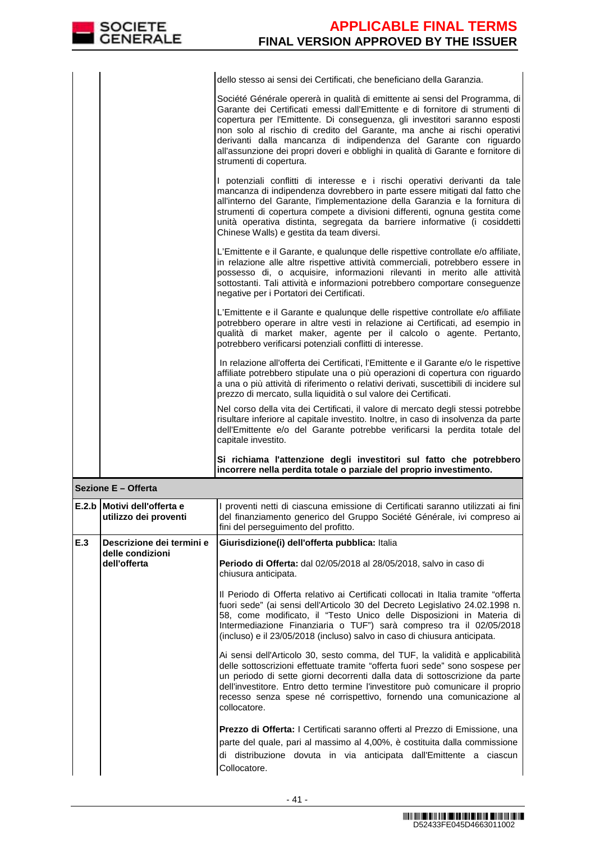|                     | <b>SOCIETE</b><br><b>GENERALE</b>                    | <b>APPLICABLE FINAL TERMS</b><br><b>FINAL VERSION APPROVED BY THE ISSUER</b>                                                                                                                                                                                                                                                                                                                                                                                                                              |  |  |
|---------------------|------------------------------------------------------|-----------------------------------------------------------------------------------------------------------------------------------------------------------------------------------------------------------------------------------------------------------------------------------------------------------------------------------------------------------------------------------------------------------------------------------------------------------------------------------------------------------|--|--|
|                     |                                                      | dello stesso ai sensi dei Certificati, che beneficiano della Garanzia.                                                                                                                                                                                                                                                                                                                                                                                                                                    |  |  |
|                     |                                                      | Société Générale opererà in qualità di emittente ai sensi del Programma, di<br>Garante dei Certificati emessi dall'Emittente e di fornitore di strumenti di<br>copertura per l'Emittente. Di conseguenza, gli investitori saranno esposti<br>non solo al rischio di credito del Garante, ma anche ai rischi operativi<br>derivanti dalla mancanza di indipendenza del Garante con riguardo<br>all'assunzione dei propri doveri e obblighi in qualità di Garante e fornitore di<br>strumenti di copertura. |  |  |
|                     |                                                      | I potenziali conflitti di interesse e i rischi operativi derivanti da tale<br>mancanza di indipendenza dovrebbero in parte essere mitigati dal fatto che<br>all'interno del Garante, l'implementazione della Garanzia e la fornitura di<br>strumenti di copertura compete a divisioni differenti, ognuna gestita come<br>unità operativa distinta, segregata da barriere informative (i cosiddetti<br>Chinese Walls) e gestita da team diversi.                                                           |  |  |
|                     |                                                      | L'Emittente e il Garante, e qualunque delle rispettive controllate e/o affiliate,<br>in relazione alle altre rispettive attività commerciali, potrebbero essere in<br>possesso di, o acquisire, informazioni rilevanti in merito alle attività<br>sottostanti. Tali attività e informazioni potrebbero comportare conseguenze<br>negative per i Portatori dei Certificati.                                                                                                                                |  |  |
|                     |                                                      | L'Emittente e il Garante e qualunque delle rispettive controllate e/o affiliate<br>potrebbero operare in altre vesti in relazione ai Certificati, ad esempio in<br>qualità di market maker, agente per il calcolo o agente. Pertanto,<br>potrebbero verificarsi potenziali conflitti di interesse.                                                                                                                                                                                                        |  |  |
|                     |                                                      | In relazione all'offerta dei Certificati, l'Emittente e il Garante e/o le rispettive<br>affiliate potrebbero stipulate una o più operazioni di copertura con riguardo<br>a una o più attività di riferimento o relativi derivati, suscettibili di incidere sul<br>prezzo di mercato, sulla liquidità o sul valore dei Certificati.                                                                                                                                                                        |  |  |
|                     |                                                      | Nel corso della vita dei Certificati, il valore di mercato degli stessi potrebbe<br>risultare inferiore al capitale investito. Inoltre, in caso di insolvenza da parte<br>dell'Emittente e/o del Garante potrebbe verificarsi la perdita totale del<br>capitale investito.                                                                                                                                                                                                                                |  |  |
|                     |                                                      | Si richiama l'attenzione degli investitori sul fatto che potrebbero<br>incorrere nella perdita totale o parziale del proprio investimento.                                                                                                                                                                                                                                                                                                                                                                |  |  |
| Sezione E - Offerta |                                                      |                                                                                                                                                                                                                                                                                                                                                                                                                                                                                                           |  |  |
|                     | E.2.b Motivi dell'offerta e<br>utilizzo dei proventi | I proventi netti di ciascuna emissione di Certificati saranno utilizzati ai fini<br>del finanziamento generico del Gruppo Société Générale, ivi compreso ai<br>fini del perseguimento del profitto.                                                                                                                                                                                                                                                                                                       |  |  |
| E.3                 | Descrizione dei termini e                            | Giurisdizione(i) dell'offerta pubblica: Italia                                                                                                                                                                                                                                                                                                                                                                                                                                                            |  |  |
|                     | delle condizioni<br>dell'offerta                     | Periodo di Offerta: dal 02/05/2018 al 28/05/2018, salvo in caso di<br>chiusura anticipata.                                                                                                                                                                                                                                                                                                                                                                                                                |  |  |
|                     |                                                      | Il Periodo di Offerta relativo ai Certificati collocati in Italia tramite "offerta<br>fuori sede" (ai sensi dell'Articolo 30 del Decreto Legislativo 24.02.1998 n.<br>58, come modificato, il "Testo Unico delle Disposizioni in Materia di<br>Intermediazione Finanziaria o TUF") sarà compreso tra il 02/05/2018<br>(incluso) e il 23/05/2018 (incluso) salvo in caso di chiusura anticipata.                                                                                                           |  |  |
|                     |                                                      | Ai sensi dell'Articolo 30, sesto comma, del TUF, la validità e applicabilità<br>delle sottoscrizioni effettuate tramite "offerta fuori sede" sono sospese per<br>un periodo di sette giorni decorrenti dalla data di sottoscrizione da parte<br>dell'investitore. Entro detto termine l'investitore può comunicare il proprio<br>recesso senza spese né corrispettivo, fornendo una comunicazione al<br>collocatore.                                                                                      |  |  |

**Prezzo di Offerta:** I Certificati saranno offerti al Prezzo di Emissione, una parte del quale, pari al massimo al 4,00%, è costituita dalla commissione di distribuzione dovuta in via anticipata dall'Emittente a ciascun Collocatore.